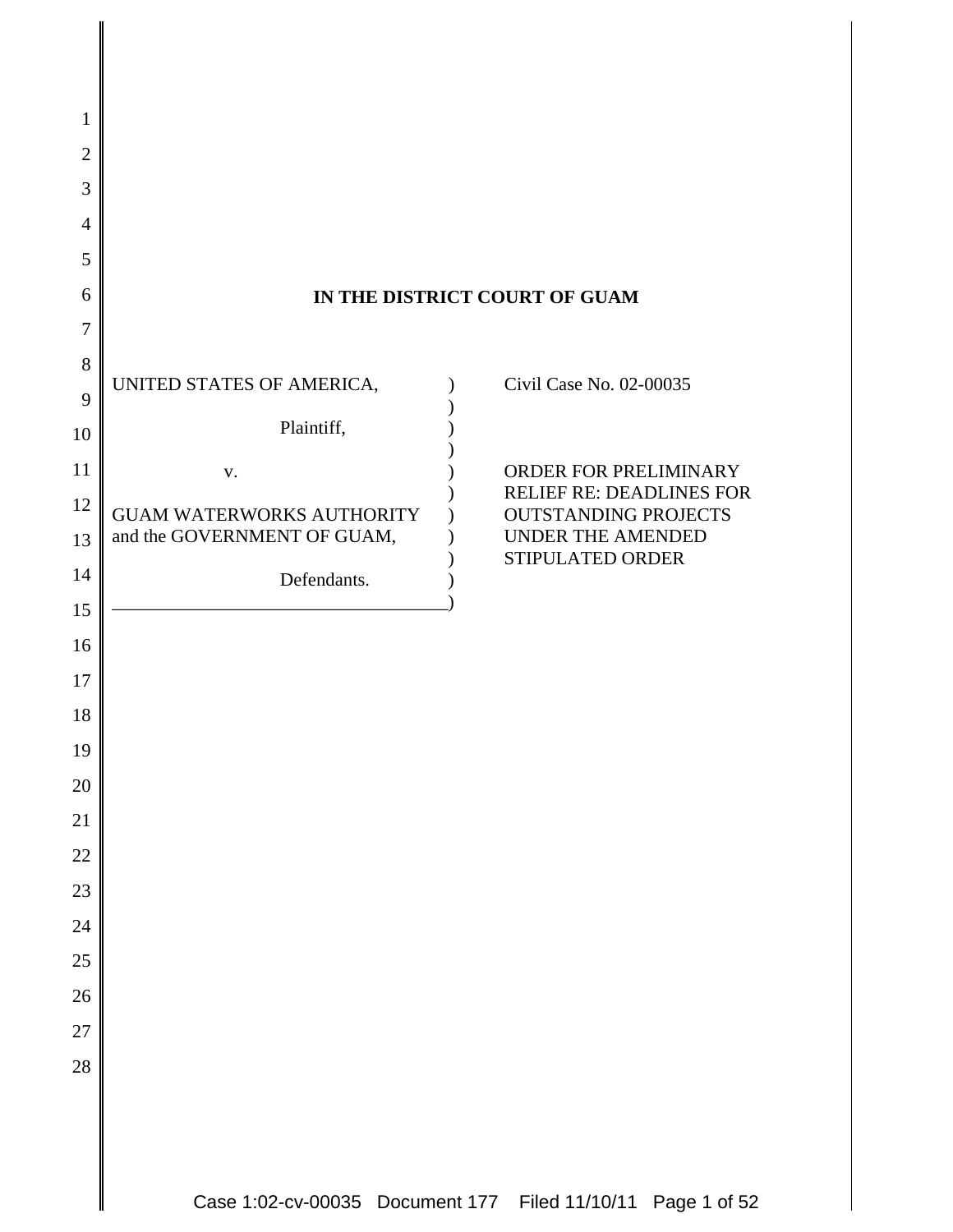| 1                                  |                                                          |                                                  |
|------------------------------------|----------------------------------------------------------|--------------------------------------------------|
| $\overline{2}$                     |                                                          |                                                  |
| 3                                  |                                                          |                                                  |
| $\overline{4}$                     |                                                          |                                                  |
| 5                                  |                                                          |                                                  |
| 6                                  |                                                          | IN THE DISTRICT COURT OF GUAM                    |
| $\tau$                             |                                                          |                                                  |
| $8\,$                              | UNITED STATES OF AMERICA,                                | Civil Case No. 02-00035                          |
| 9<br>10                            | Plaintiff,                                               |                                                  |
| 11                                 | V.                                                       | ORDER FOR PRELIMINARY                            |
| 12                                 |                                                          | <b>RELIEF RE: DEADLINES FOR</b>                  |
| 13                                 | GUAM WATERWORKS AUTHORITY<br>and the GOVERNMENT OF GUAM, | <b>OUTSTANDING PROJECTS</b><br>UNDER THE AMENDED |
| 14                                 | Defendants.                                              | STIPULATED ORDER                                 |
| 15                                 |                                                          |                                                  |
| 16                                 |                                                          |                                                  |
| 17                                 |                                                          |                                                  |
| 18                                 |                                                          |                                                  |
| 19                                 |                                                          |                                                  |
| 20                                 |                                                          |                                                  |
| 21                                 |                                                          |                                                  |
| 22                                 |                                                          |                                                  |
| $\overline{23}$<br>$\overline{24}$ |                                                          |                                                  |
| 25                                 |                                                          |                                                  |
| 26                                 |                                                          |                                                  |
| 27                                 |                                                          |                                                  |
| 28                                 |                                                          |                                                  |
|                                    |                                                          |                                                  |
|                                    |                                                          |                                                  |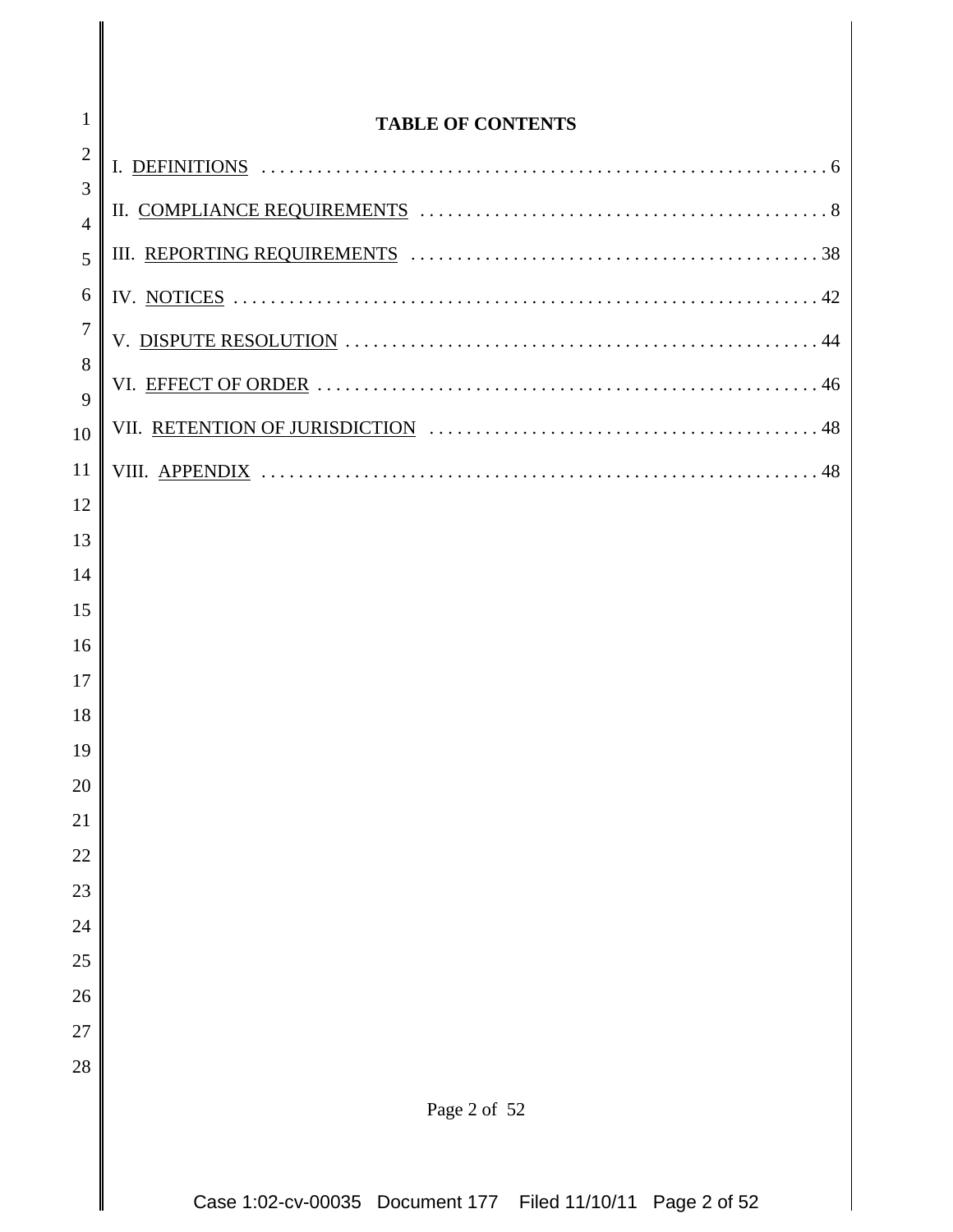| $\mathbf{1}$        | <b>TABLE OF CONTENTS</b> |
|---------------------|--------------------------|
| $\overline{2}$      |                          |
| 3<br>$\overline{4}$ |                          |
| 5                   |                          |
| 6                   |                          |
| $\overline{7}$      |                          |
| 8                   |                          |
| 9<br>10             |                          |
| 11                  |                          |
| 12                  |                          |
| 13                  |                          |
| 14                  |                          |
| 15                  |                          |
| 16                  |                          |
| 17                  |                          |
| 18<br>19            |                          |
| 20                  |                          |
| 21                  |                          |
| 22                  |                          |
| 23                  |                          |
| 24                  |                          |
| 25                  |                          |
| 26                  |                          |
| 27<br>28            |                          |
|                     |                          |
|                     | Page 2 of 52             |
|                     |                          |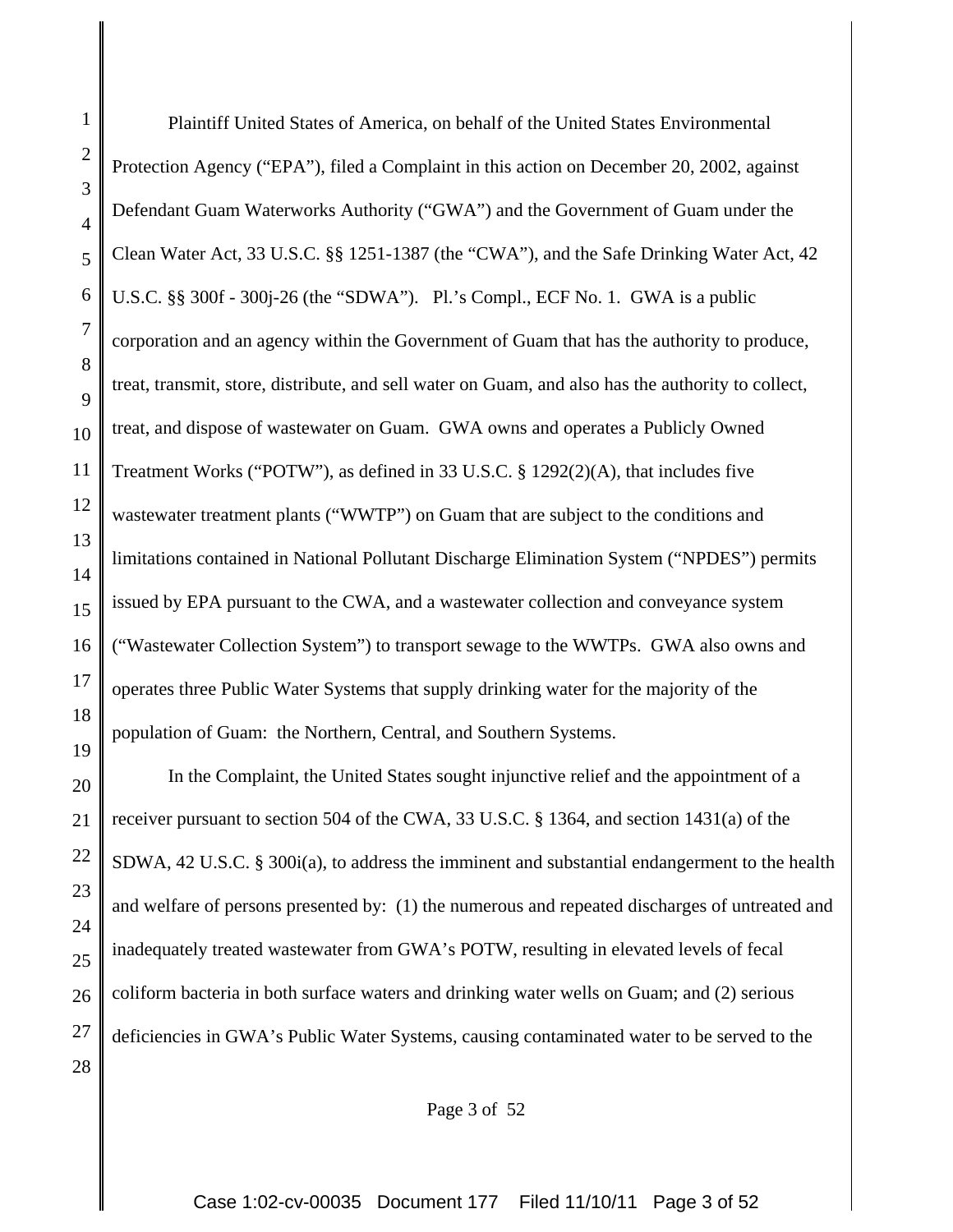Plaintiff United States of America, on behalf of the United States Environmental Protection Agency ("EPA"), filed a Complaint in this action on December 20, 2002, against Defendant Guam Waterworks Authority ("GWA") and the Government of Guam under the Clean Water Act, 33 U.S.C. §§ 1251-1387 (the "CWA"), and the Safe Drinking Water Act, 42 U.S.C. §§ 300f - 300j-26 (the "SDWA"). Pl.'s Compl., ECF No. 1. GWA is a public corporation and an agency within the Government of Guam that has the authority to produce, treat, transmit, store, distribute, and sell water on Guam, and also has the authority to collect, treat, and dispose of wastewater on Guam. GWA owns and operates a Publicly Owned Treatment Works ("POTW"), as defined in 33 U.S.C. § 1292(2)(A), that includes five wastewater treatment plants ("WWTP") on Guam that are subject to the conditions and limitations contained in National Pollutant Discharge Elimination System ("NPDES") permits issued by EPA pursuant to the CWA, and a wastewater collection and conveyance system ("Wastewater Collection System") to transport sewage to the WWTPs. GWA also owns and operates three Public Water Systems that supply drinking water for the majority of the population of Guam: the Northern, Central, and Southern Systems.

In the Complaint, the United States sought injunctive relief and the appointment of a receiver pursuant to section 504 of the CWA, 33 U.S.C. § 1364, and section 1431(a) of the SDWA, 42 U.S.C. § 300i(a), to address the imminent and substantial endangerment to the health and welfare of persons presented by: (1) the numerous and repeated discharges of untreated and inadequately treated wastewater from GWA's POTW, resulting in elevated levels of fecal coliform bacteria in both surface waters and drinking water wells on Guam; and (2) serious deficiencies in GWA's Public Water Systems, causing contaminated water to be served to the

Page 3 of 52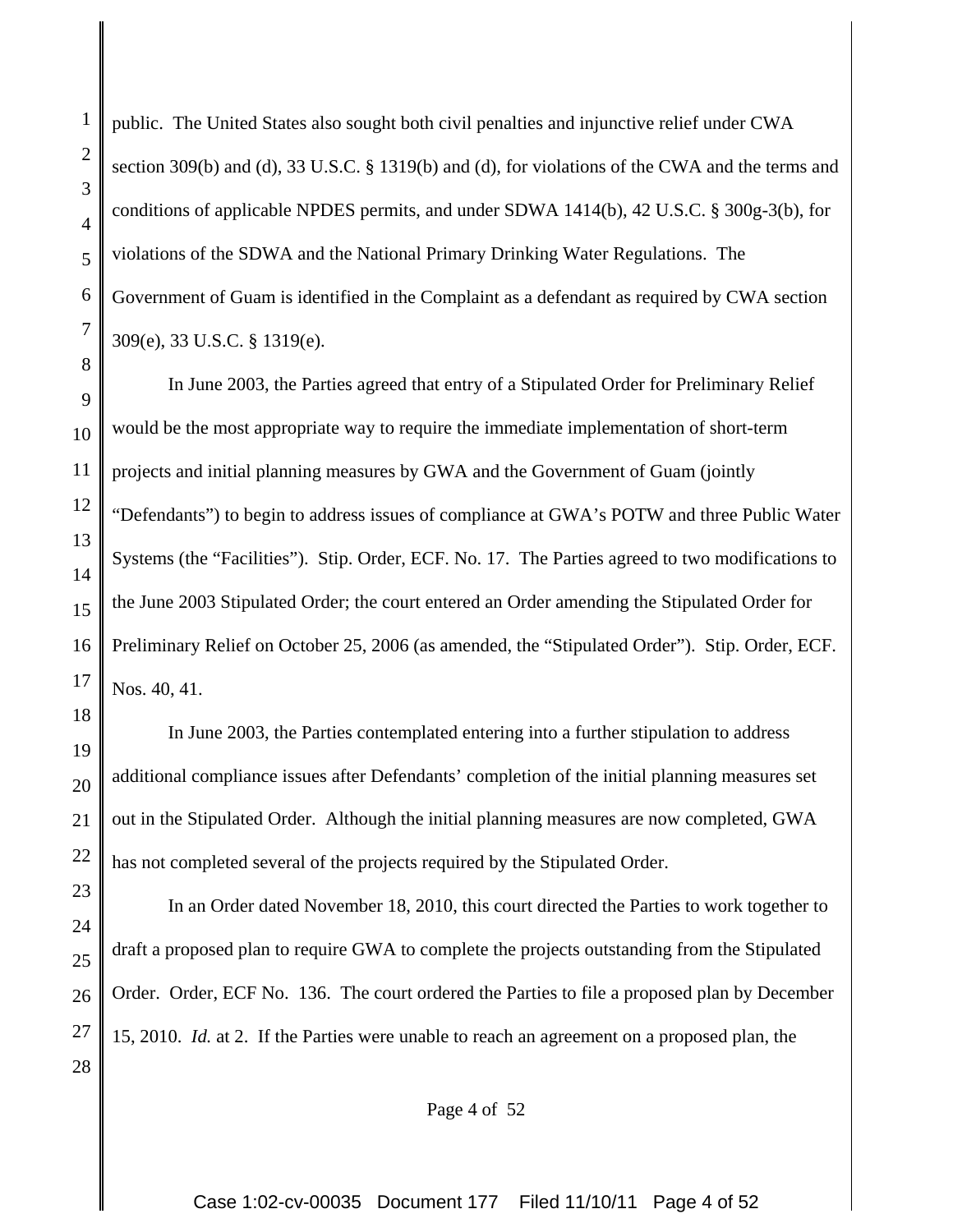public. The United States also sought both civil penalties and injunctive relief under CWA section 309(b) and (d), 33 U.S.C. § 1319(b) and (d), for violations of the CWA and the terms and conditions of applicable NPDES permits, and under SDWA 1414(b), 42 U.S.C. § 300g-3(b), for violations of the SDWA and the National Primary Drinking Water Regulations. The Government of Guam is identified in the Complaint as a defendant as required by CWA section 309(e), 33 U.S.C. § 1319(e).

In June 2003, the Parties agreed that entry of a Stipulated Order for Preliminary Relief would be the most appropriate way to require the immediate implementation of short-term projects and initial planning measures by GWA and the Government of Guam (jointly "Defendants") to begin to address issues of compliance at GWA's POTW and three Public Water Systems (the "Facilities"). Stip. Order, ECF. No. 17. The Parties agreed to two modifications to the June 2003 Stipulated Order; the court entered an Order amending the Stipulated Order for Preliminary Relief on October 25, 2006 (as amended, the "Stipulated Order"). Stip. Order, ECF. Nos. 40, 41.

In June 2003, the Parties contemplated entering into a further stipulation to address additional compliance issues after Defendants' completion of the initial planning measures set out in the Stipulated Order. Although the initial planning measures are now completed, GWA has not completed several of the projects required by the Stipulated Order.

In an Order dated November 18, 2010, this court directed the Parties to work together to draft a proposed plan to require GWA to complete the projects outstanding from the Stipulated Order. Order, ECF No. 136. The court ordered the Parties to file a proposed plan by December 15, 2010. *Id.* at 2. If the Parties were unable to reach an agreement on a proposed plan, the

Page 4 of 52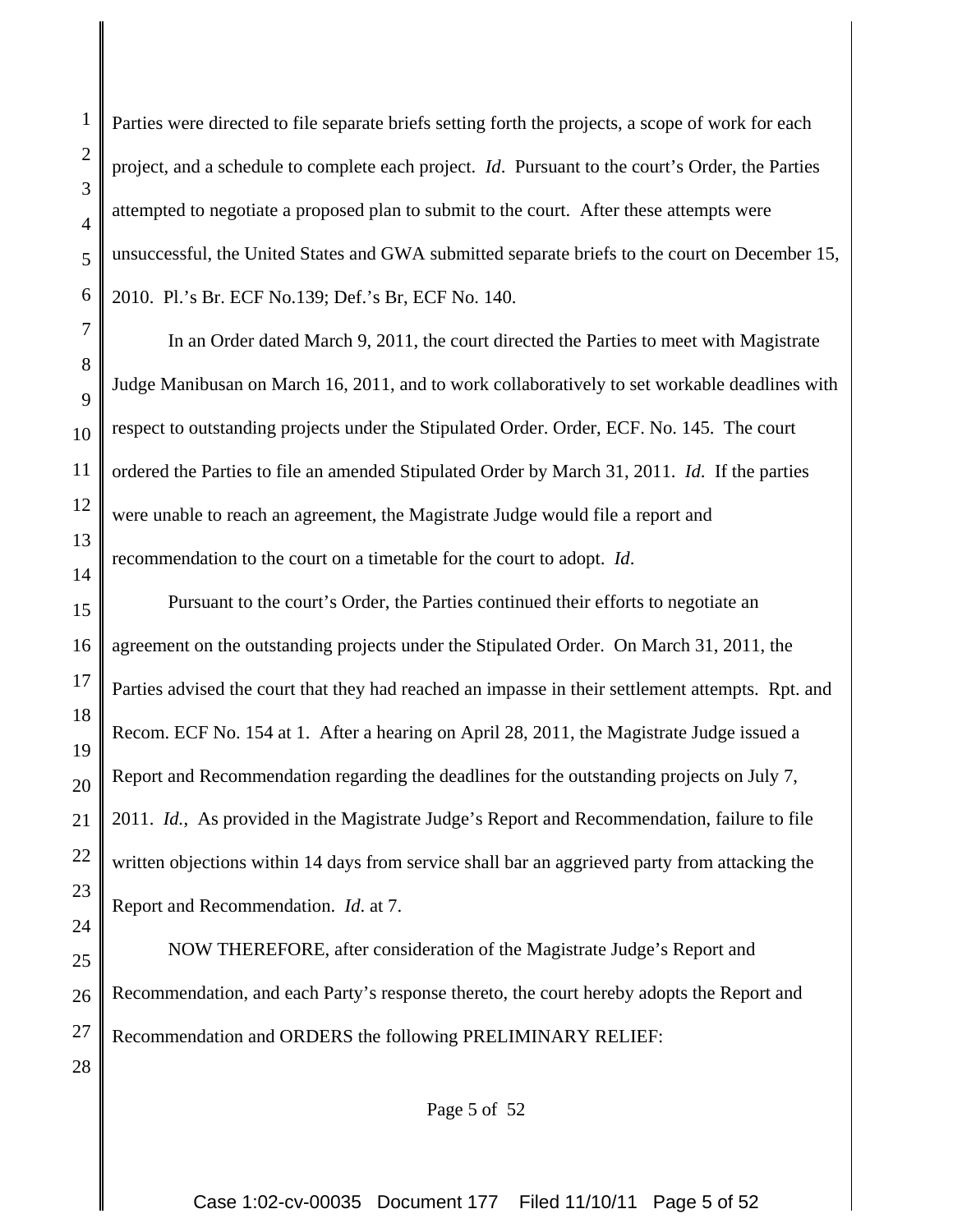1

Parties were directed to file separate briefs setting forth the projects, a scope of work for each project, and a schedule to complete each project. *Id*. Pursuant to the court's Order, the Parties attempted to negotiate a proposed plan to submit to the court. After these attempts were unsuccessful, the United States and GWA submitted separate briefs to the court on December 15, 2010. Pl.'s Br. ECF No.139; Def.'s Br, ECF No. 140.

In an Order dated March 9, 2011, the court directed the Parties to meet with Magistrate Judge Manibusan on March 16, 2011, and to work collaboratively to set workable deadlines with respect to outstanding projects under the Stipulated Order. Order, ECF. No. 145. The court ordered the Parties to file an amended Stipulated Order by March 31, 2011. *Id*. If the parties were unable to reach an agreement, the Magistrate Judge would file a report and recommendation to the court on a timetable for the court to adopt. *Id*.

Pursuant to the court's Order, the Parties continued their efforts to negotiate an agreement on the outstanding projects under the Stipulated Order. On March 31, 2011, the Parties advised the court that they had reached an impasse in their settlement attempts. Rpt. and Recom. ECF No. 154 at 1. After a hearing on April 28, 2011, the Magistrate Judge issued a Report and Recommendation regarding the deadlines for the outstanding projects on July 7, 2011. *Id.*, As provided in the Magistrate Judge's Report and Recommendation, failure to file written objections within 14 days from service shall bar an aggrieved party from attacking the Report and Recommendation. *Id*. at 7.

NOW THEREFORE, after consideration of the Magistrate Judge's Report and Recommendation, and each Party's response thereto, the court hereby adopts the Report and Recommendation and ORDERS the following PRELIMINARY RELIEF:

Page 5 of 52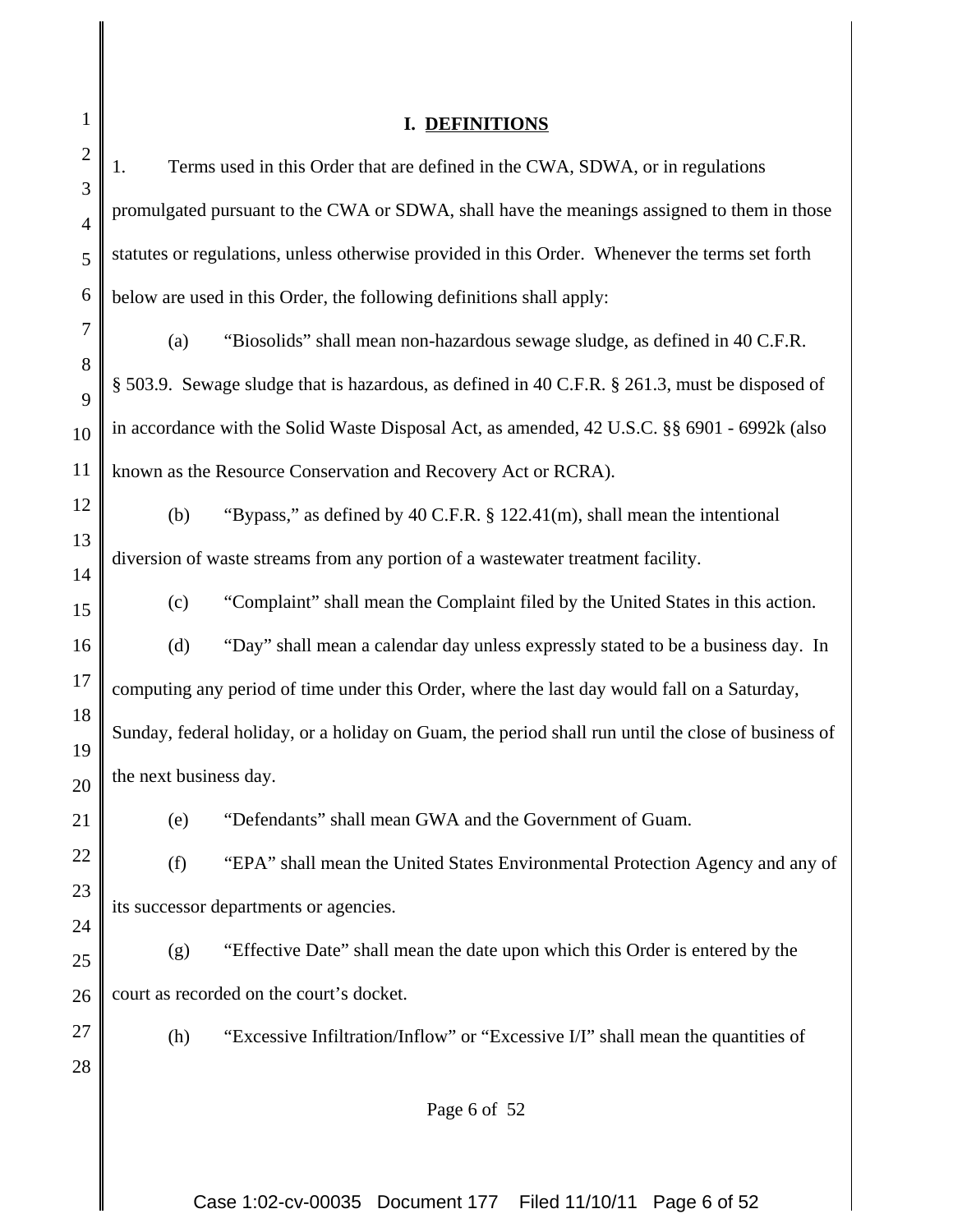| $\mathbf{1}$        |                                                                                             | <b>DEFINITIONS</b>                                                                                 |  |  |  |
|---------------------|---------------------------------------------------------------------------------------------|----------------------------------------------------------------------------------------------------|--|--|--|
| $\mathbf{2}$        | 1.                                                                                          | Terms used in this Order that are defined in the CWA, SDWA, or in regulations                      |  |  |  |
| 3<br>$\overline{4}$ | promulgated pursuant to the CWA or SDWA, shall have the meanings assigned to them in those  |                                                                                                    |  |  |  |
| 5                   |                                                                                             | statutes or regulations, unless otherwise provided in this Order. Whenever the terms set forth     |  |  |  |
| 6                   |                                                                                             | below are used in this Order, the following definitions shall apply:                               |  |  |  |
| $\boldsymbol{7}$    | (a)                                                                                         | "Biosolids" shall mean non-hazardous sewage sludge, as defined in 40 C.F.R.                        |  |  |  |
| 8                   |                                                                                             | § 503.9. Sewage sludge that is hazardous, as defined in 40 C.F.R. § 261.3, must be disposed of     |  |  |  |
| 9<br>10             |                                                                                             | in accordance with the Solid Waste Disposal Act, as amended, 42 U.S.C. §§ 6901 - 6992k (also       |  |  |  |
| 11                  |                                                                                             | known as the Resource Conservation and Recovery Act or RCRA).                                      |  |  |  |
| 12                  | (b)                                                                                         | "Bypass," as defined by 40 C.F.R. § 122.41(m), shall mean the intentional                          |  |  |  |
| 13                  |                                                                                             | diversion of waste streams from any portion of a wastewater treatment facility.                    |  |  |  |
| 14                  | (c)                                                                                         | "Complaint" shall mean the Complaint filed by the United States in this action.                    |  |  |  |
| 15<br>16            | (d)                                                                                         | "Day" shall mean a calendar day unless expressly stated to be a business day. In                   |  |  |  |
| 17                  |                                                                                             |                                                                                                    |  |  |  |
| 18                  | computing any period of time under this Order, where the last day would fall on a Saturday, |                                                                                                    |  |  |  |
| 19                  |                                                                                             | Sunday, federal holiday, or a holiday on Guam, the period shall run until the close of business of |  |  |  |
| 20                  | the next business day.                                                                      |                                                                                                    |  |  |  |
| 21                  | (e)                                                                                         | "Defendants" shall mean GWA and the Government of Guam.                                            |  |  |  |
| 22                  | (f)                                                                                         | "EPA" shall mean the United States Environmental Protection Agency and any of                      |  |  |  |
| 23                  |                                                                                             | its successor departments or agencies.                                                             |  |  |  |
| 24<br>25            | (g)                                                                                         | "Effective Date" shall mean the date upon which this Order is entered by the                       |  |  |  |
| 26                  |                                                                                             | court as recorded on the court's docket.                                                           |  |  |  |
| 27                  | (h)                                                                                         | "Excessive Infiltration/Inflow" or "Excessive I/I" shall mean the quantities of                    |  |  |  |
| 28                  |                                                                                             |                                                                                                    |  |  |  |
|                     |                                                                                             | Page 6 of 52                                                                                       |  |  |  |
|                     |                                                                                             |                                                                                                    |  |  |  |

Case 1:02-cv-00035 Document 177 Filed 11/10/11 Page 6 of 52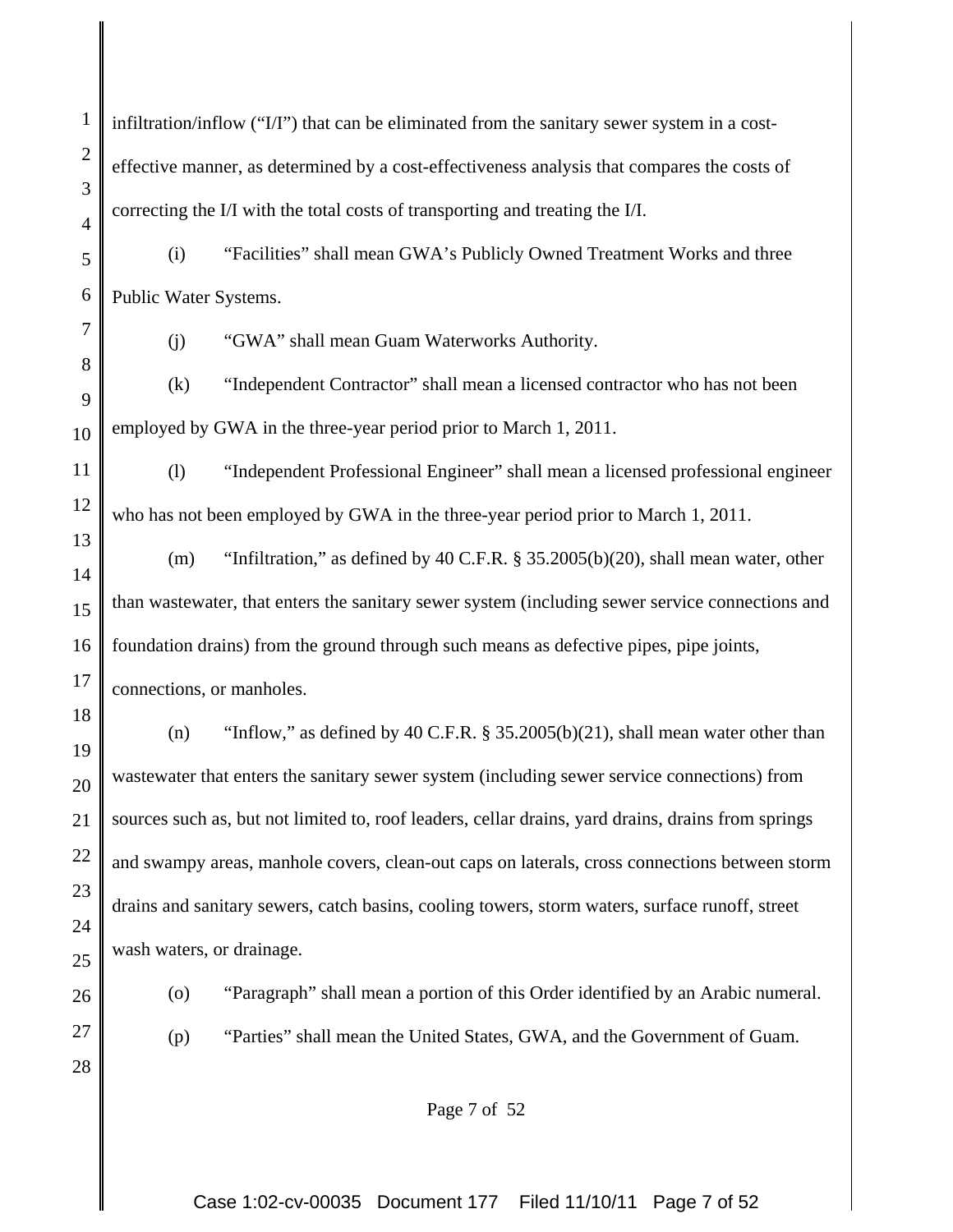1 2 3 4 infiltration/inflow  $("I/T")$  that can be eliminated from the sanitary sewer system in a costeffective manner, as determined by a cost-effectiveness analysis that compares the costs of correcting the I/I with the total costs of transporting and treating the I/I.

5 6 (i) "Facilities" shall mean GWA's Publicly Owned Treatment Works and three Public Water Systems.

7

8

13

18

19

20

21

22

23

24

25

26

28

(j) "GWA" shall mean Guam Waterworks Authority.

9 10 (k) "Independent Contractor" shall mean a licensed contractor who has not been employed by GWA in the three-year period prior to March 1, 2011.

11 12 (l) "Independent Professional Engineer" shall mean a licensed professional engineer who has not been employed by GWA in the three-year period prior to March 1, 2011.

14 15 16 17 (m) "Infiltration," as defined by 40 C.F.R. § 35.2005(b)(20), shall mean water, other than wastewater, that enters the sanitary sewer system (including sewer service connections and foundation drains) from the ground through such means as defective pipes, pipe joints, connections, or manholes.

(n) "Inflow," as defined by 40 C.F.R. § 35.2005(b)(21), shall mean water other than wastewater that enters the sanitary sewer system (including sewer service connections) from sources such as, but not limited to, roof leaders, cellar drains, yard drains, drains from springs and swampy areas, manhole covers, clean-out caps on laterals, cross connections between storm drains and sanitary sewers, catch basins, cooling towers, storm waters, surface runoff, street wash waters, or drainage.

- 
- 27

(o) "Paragraph" shall mean a portion of this Order identified by an Arabic numeral.

(p) "Parties" shall mean the United States, GWA, and the Government of Guam.

Page 7 of 52

Case 1:02-cv-00035 Document 177 Filed 11/10/11 Page 7 of 52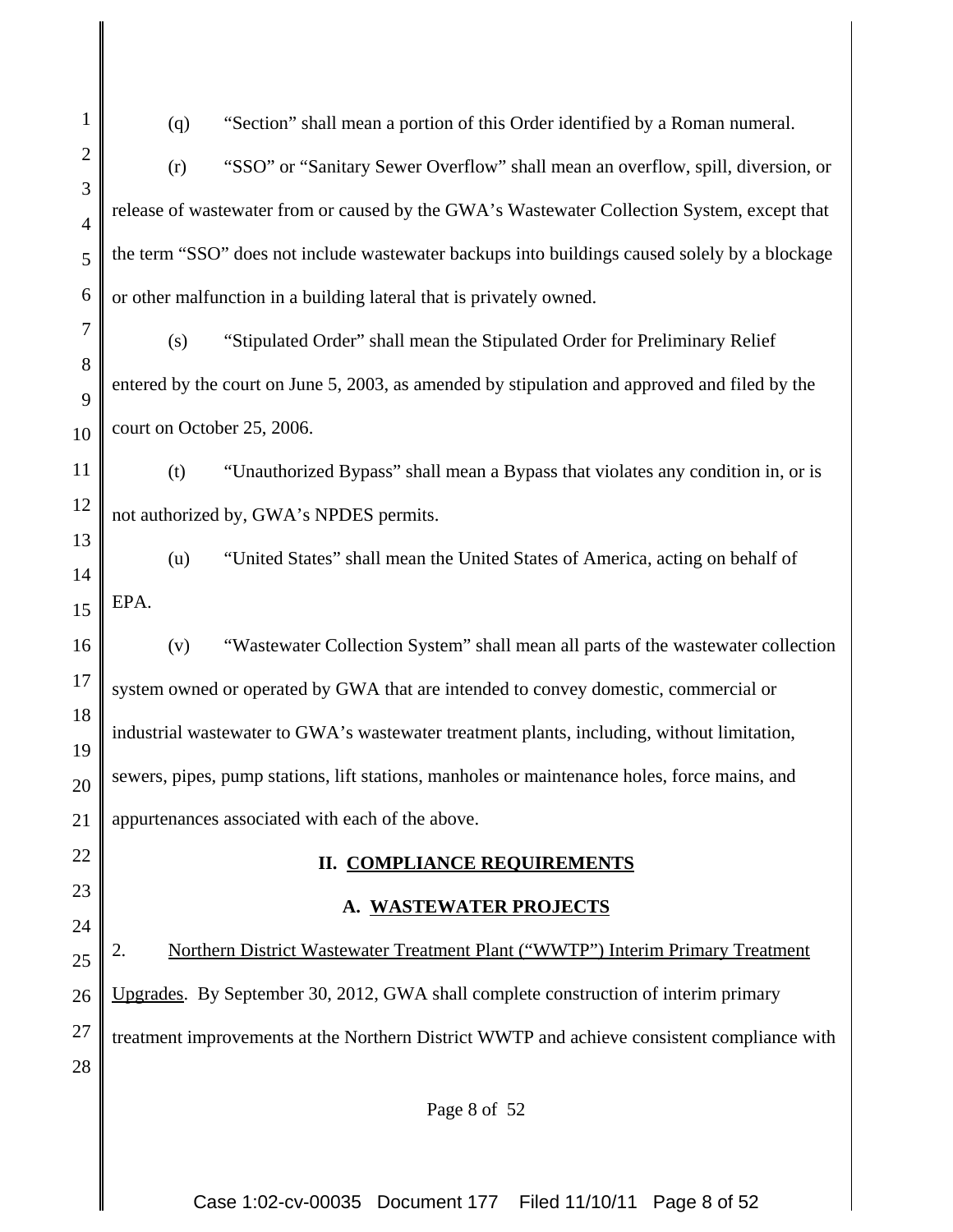1 2 3 4 5 6 7 8 9 10 11 12 13 14 15 16 17 18 19 20 21 22 23 24 25 26 27 28 (q) "Section" shall mean a portion of this Order identified by a Roman numeral. (r) "SSO" or "Sanitary Sewer Overflow" shall mean an overflow, spill, diversion, or release of wastewater from or caused by the GWA's Wastewater Collection System, except that the term "SSO" does not include wastewater backups into buildings caused solely by a blockage or other malfunction in a building lateral that is privately owned. (s) "Stipulated Order" shall mean the Stipulated Order for Preliminary Relief entered by the court on June 5, 2003, as amended by stipulation and approved and filed by the court on October 25, 2006. (t) "Unauthorized Bypass" shall mean a Bypass that violates any condition in, or is not authorized by, GWA's NPDES permits. (u) "United States" shall mean the United States of America, acting on behalf of EPA. (v) "Wastewater Collection System" shall mean all parts of the wastewater collection system owned or operated by GWA that are intended to convey domestic, commercial or industrial wastewater to GWA's wastewater treatment plants, including, without limitation, sewers, pipes, pump stations, lift stations, manholes or maintenance holes, force mains, and appurtenances associated with each of the above. **II. COMPLIANCE REQUIREMENTS A. WASTEWATER PROJECTS** 2. Northern District Wastewater Treatment Plant ("WWTP") Interim Primary Treatment Upgrades. By September 30, 2012, GWA shall complete construction of interim primary treatment improvements at the Northern District WWTP and achieve consistent compliance with

Page 8 of 52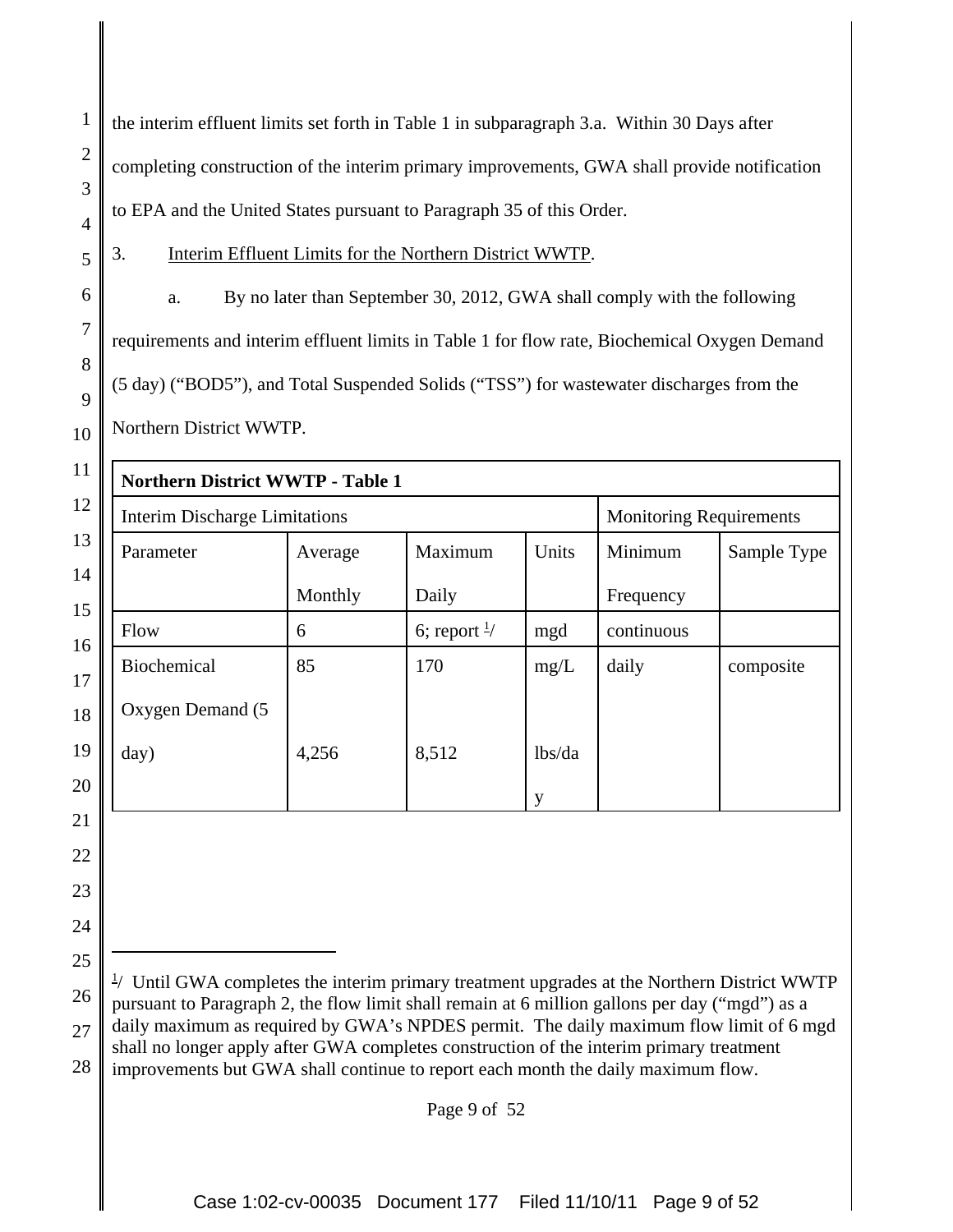the interim effluent limits set forth in Table 1 in subparagraph 3.a. Within 30 Days after completing construction of the interim primary improvements, GWA shall provide notification to EPA and the United States pursuant to Paragraph 35 of this Order.

5

1

2

3

4

6

7

8

9

10

21

22

23

24

25

3. Interim Effluent Limits for the Northern District WWTP.

a. By no later than September 30, 2012, GWA shall comply with the following requirements and interim effluent limits in Table 1 for flow rate, Biochemical Oxygen Demand (5 day) ("BOD5"), and Total Suspended Solids ("TSS") for wastewater discharges from the Northern District WWTP.

| 11       | <b>Northern District WWTP - Table 1</b> |         |                         |        |                                |             |
|----------|-----------------------------------------|---------|-------------------------|--------|--------------------------------|-------------|
| 12       | <b>Interim Discharge Limitations</b>    |         |                         |        | <b>Monitoring Requirements</b> |             |
| 13       | Parameter                               | Average | Maximum                 | Units  | Minimum                        | Sample Type |
| 14<br>15 |                                         | Monthly | Daily                   |        | Frequency                      |             |
| 16       | Flow                                    | 6       | 6; report $\frac{1}{2}$ | mgd    | continuous                     |             |
| 17       | Biochemical                             | 85      | 170                     | mg/L   | daily                          | composite   |
| 18       | Oxygen Demand (5                        |         |                         |        |                                |             |
| 19       | day)                                    | 4,256   | 8,512                   | lbs/da |                                |             |
| 20       |                                         |         |                         | у      |                                |             |

26 27 28 <sup>1</sup>/ Until GWA completes the interim primary treatment upgrades at the Northern District WWTP pursuant to Paragraph 2, the flow limit shall remain at 6 million gallons per day ("mgd") as a daily maximum as required by GWA's NPDES permit. The daily maximum flow limit of 6 mgd shall no longer apply after GWA completes construction of the interim primary treatment improvements but GWA shall continue to report each month the daily maximum flow.

Page 9 of 52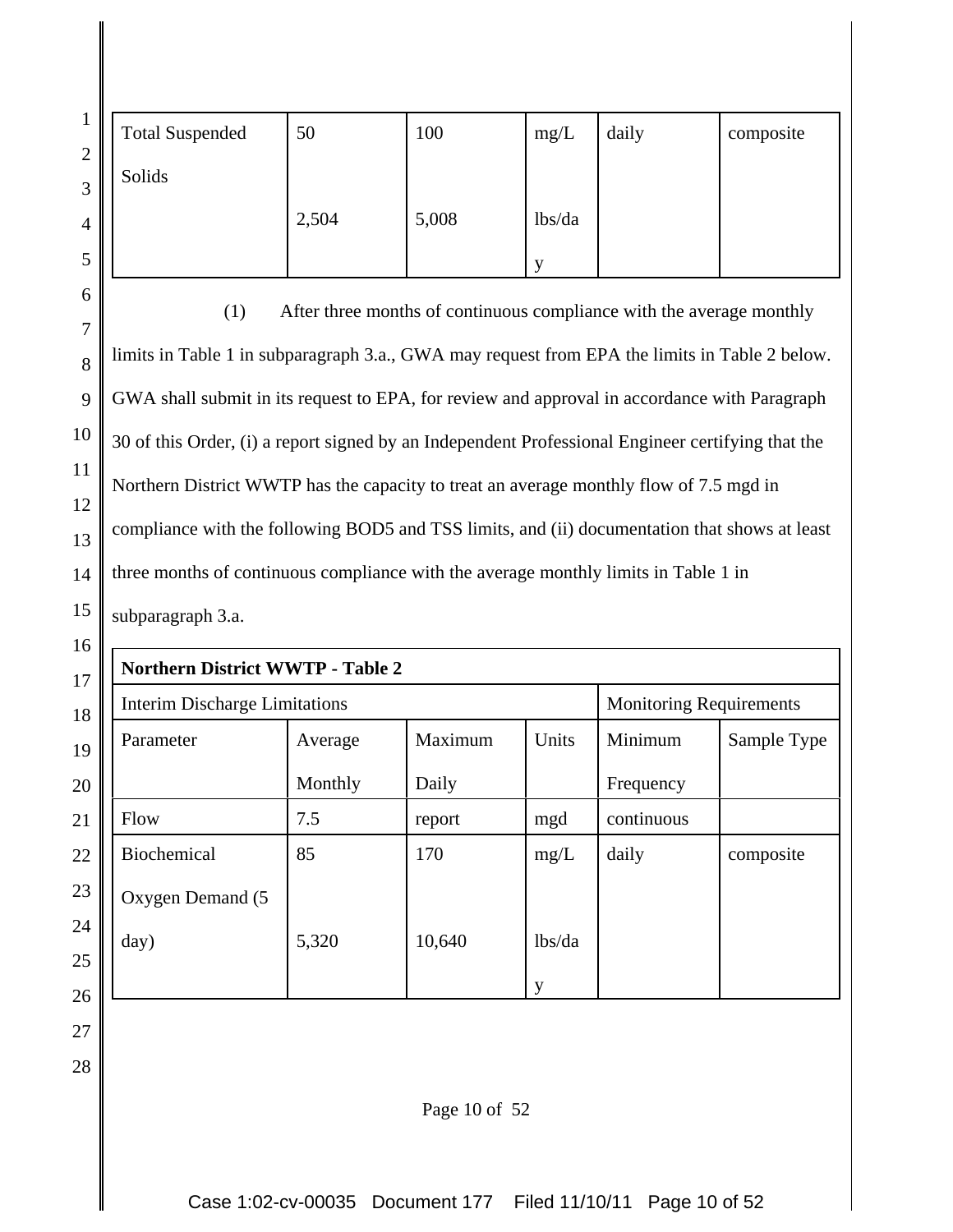|                                                                                               | <b>Total Suspended</b>                                                                            | 50                                                                   | 100     | mg/L   | daily      | composite   |
|-----------------------------------------------------------------------------------------------|---------------------------------------------------------------------------------------------------|----------------------------------------------------------------------|---------|--------|------------|-------------|
|                                                                                               | Solids                                                                                            |                                                                      |         |        |            |             |
|                                                                                               |                                                                                                   | 2,504                                                                | 5,008   | lbs/da |            |             |
|                                                                                               |                                                                                                   |                                                                      |         | y      |            |             |
|                                                                                               | (1)                                                                                               | After three months of continuous compliance with the average monthly |         |        |            |             |
|                                                                                               | limits in Table 1 in subparagraph 3.a., GWA may request from EPA the limits in Table 2 below.     |                                                                      |         |        |            |             |
|                                                                                               | GWA shall submit in its request to EPA, for review and approval in accordance with Paragraph      |                                                                      |         |        |            |             |
|                                                                                               | 30 of this Order, (i) a report signed by an Independent Professional Engineer certifying that the |                                                                      |         |        |            |             |
| Northern District WWTP has the capacity to treat an average monthly flow of 7.5 mgd in        |                                                                                                   |                                                                      |         |        |            |             |
| compliance with the following BOD5 and TSS limits, and (ii) documentation that shows at least |                                                                                                   |                                                                      |         |        |            |             |
| three months of continuous compliance with the average monthly limits in Table 1 in           |                                                                                                   |                                                                      |         |        |            |             |
|                                                                                               | subparagraph 3.a.                                                                                 |                                                                      |         |        |            |             |
|                                                                                               | <b>Northern District WWTP - Table 2</b>                                                           |                                                                      |         |        |            |             |
| <b>Interim Discharge Limitations</b><br><b>Monitoring Requirements</b>                        |                                                                                                   |                                                                      |         |        |            |             |
|                                                                                               | Parameter                                                                                         | Average                                                              | Maximum | Units  | Minimum    | Sample Type |
|                                                                                               |                                                                                                   | Monthly                                                              | Daily   |        | Frequency  |             |
|                                                                                               | Flow                                                                                              | 7.5                                                                  | report  | mgd    | continuous |             |
|                                                                                               | <b>Biochemical</b>                                                                                | 85                                                                   | 170     | mg/L   | daily      | composite   |

Oxygen Demand (5

5,320

day)

28

lbs/da

y

10,640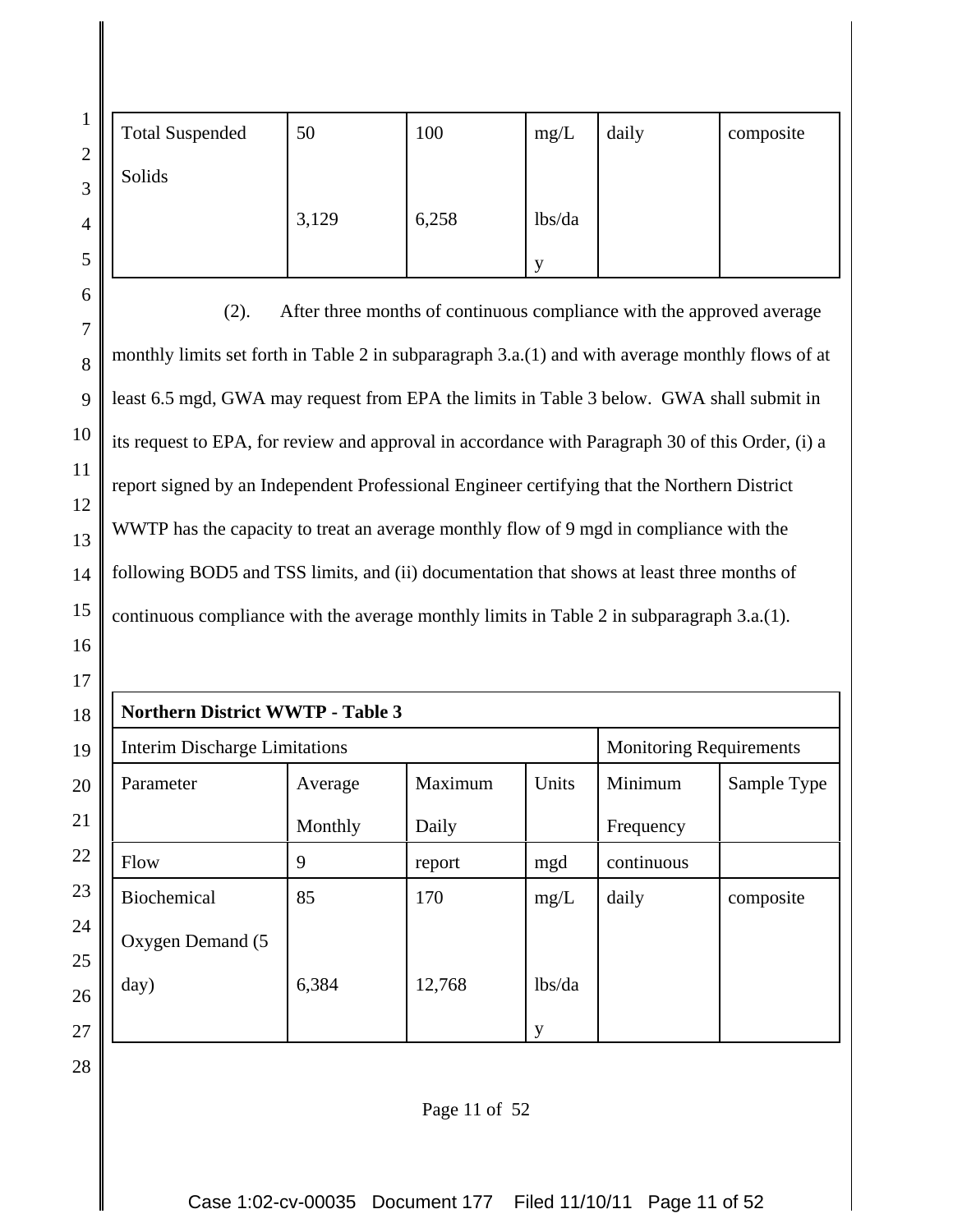| $\overline{2}$ | <b>Total Suspended</b> | 50    | 100   | mg/L   | daily | composite |
|----------------|------------------------|-------|-------|--------|-------|-----------|
| 3              | Solids                 |       |       |        |       |           |
| $\overline{4}$ |                        | 3,129 | 6,258 | lbs/da |       |           |
| 5              |                        |       |       |        |       |           |

(2). After three months of continuous compliance with the approved average monthly limits set forth in Table 2 in subparagraph 3.a.(1) and with average monthly flows of at least 6.5 mgd, GWA may request from EPA the limits in Table 3 below. GWA shall submit in its request to EPA, for review and approval in accordance with Paragraph 30 of this Order, (i) a report signed by an Independent Professional Engineer certifying that the Northern District WWTP has the capacity to treat an average monthly flow of 9 mgd in compliance with the following BOD5 and TSS limits, and (ii) documentation that shows at least three months of continuous compliance with the average monthly limits in Table 2 in subparagraph 3.a.(1).

| 17     |             |                                         |         |         |        |                                |             |  |  |
|--------|-------------|-----------------------------------------|---------|---------|--------|--------------------------------|-------------|--|--|
| 18     |             | <b>Northern District WWTP - Table 3</b> |         |         |        |                                |             |  |  |
| 19     |             | <b>Interim Discharge Limitations</b>    |         |         |        | <b>Monitoring Requirements</b> |             |  |  |
| 20     | Parameter   |                                         | Average | Maximum | Units  | Minimum                        | Sample Type |  |  |
| 21     |             |                                         | Monthly | Daily   |        | Frequency                      |             |  |  |
| 22     | Flow        |                                         | 9       | report  | mgd    | continuous                     |             |  |  |
| 23     | Biochemical |                                         | 85      | 170     | mg/L   | daily                          | composite   |  |  |
| 24     |             | Oxygen Demand (5                        |         |         |        |                                |             |  |  |
| 25     |             |                                         |         |         |        |                                |             |  |  |
| 26     | day)        |                                         | 6,384   | 12,768  | lbs/da |                                |             |  |  |
| $27\,$ |             |                                         |         |         | y      |                                |             |  |  |

28

6

7

8

9

10

11

12

13

14

15

16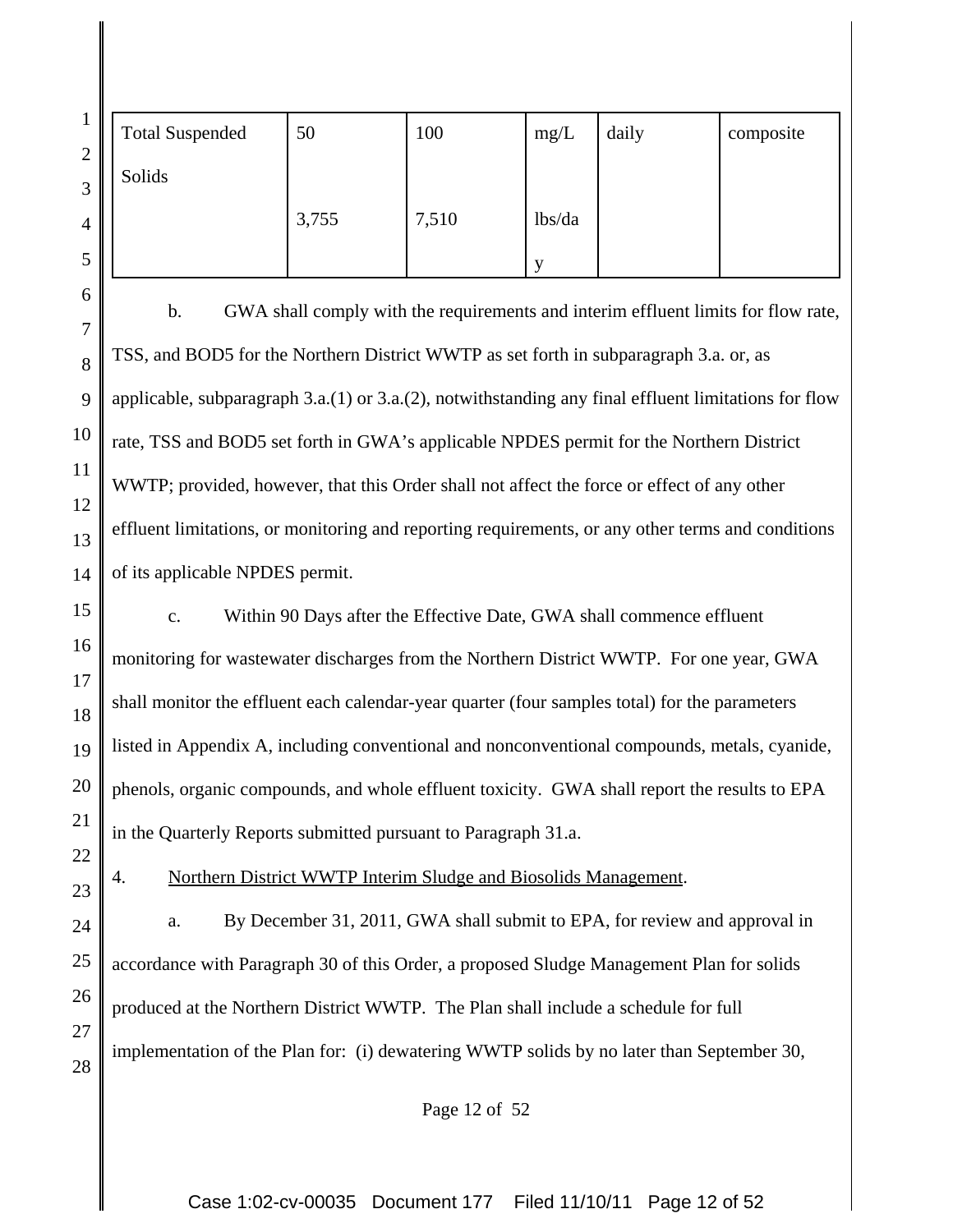| $\overline{2}$ | <b>Total Suspended</b> | 50    | 100   | mg/L   | daily | composite |
|----------------|------------------------|-------|-------|--------|-------|-----------|
| 3              | Solids                 |       |       |        |       |           |
| 4              |                        | 3,755 | 7,510 | lbs/da |       |           |
| 5              |                        |       |       |        |       |           |

6

7

8

9

10

11

12

13

14

15

16

17

18

19

20

21

22

23

24

25

26

27

28

b. GWA shall comply with the requirements and interim effluent limits for flow rate, TSS, and BOD5 for the Northern District WWTP as set forth in subparagraph 3.a. or, as applicable, subparagraph  $3.a.(1)$  or  $3.a.(2)$ , notwithstanding any final effluent limitations for flow rate, TSS and BOD5 set forth in GWA's applicable NPDES permit for the Northern District WWTP; provided, however, that this Order shall not affect the force or effect of any other effluent limitations, or monitoring and reporting requirements, or any other terms and conditions of its applicable NPDES permit.

c. Within 90 Days after the Effective Date, GWA shall commence effluent monitoring for wastewater discharges from the Northern District WWTP. For one year, GWA shall monitor the effluent each calendar-year quarter (four samples total) for the parameters listed in Appendix A, including conventional and nonconventional compounds, metals, cyanide, phenols, organic compounds, and whole effluent toxicity. GWA shall report the results to EPA in the Quarterly Reports submitted pursuant to Paragraph 31.a.

4. Northern District WWTP Interim Sludge and Biosolids Management.

a. By December 31, 2011, GWA shall submit to EPA, for review and approval in accordance with Paragraph 30 of this Order, a proposed Sludge Management Plan for solids produced at the Northern District WWTP. The Plan shall include a schedule for full implementation of the Plan for: (i) dewatering WWTP solids by no later than September 30,

Page 12 of 52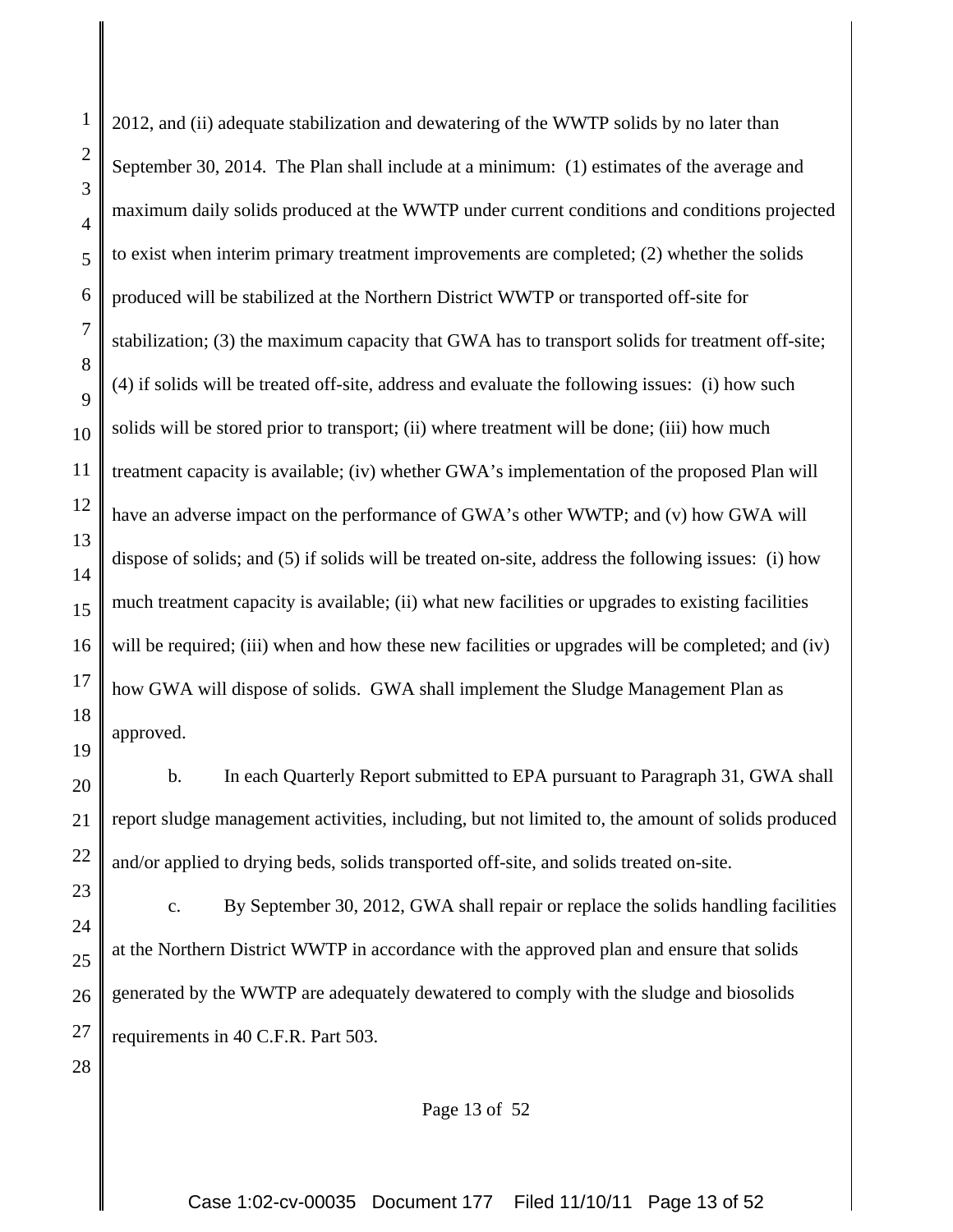1

2012, and (ii) adequate stabilization and dewatering of the WWTP solids by no later than September 30, 2014. The Plan shall include at a minimum: (1) estimates of the average and maximum daily solids produced at the WWTP under current conditions and conditions projected to exist when interim primary treatment improvements are completed; (2) whether the solids produced will be stabilized at the Northern District WWTP or transported off-site for stabilization; (3) the maximum capacity that GWA has to transport solids for treatment off-site; (4) if solids will be treated off-site, address and evaluate the following issues: (i) how such solids will be stored prior to transport; (ii) where treatment will be done; (iii) how much treatment capacity is available; (iv) whether GWA's implementation of the proposed Plan will have an adverse impact on the performance of GWA's other WWTP; and (v) how GWA will dispose of solids; and (5) if solids will be treated on-site, address the following issues: (i) how much treatment capacity is available; (ii) what new facilities or upgrades to existing facilities will be required; (iii) when and how these new facilities or upgrades will be completed; and (iv) how GWA will dispose of solids. GWA shall implement the Sludge Management Plan as approved.

b. In each Quarterly Report submitted to EPA pursuant to Paragraph 31, GWA shall report sludge management activities, including, but not limited to, the amount of solids produced and/or applied to drying beds, solids transported off-site, and solids treated on-site.

c. By September 30, 2012, GWA shall repair or replace the solids handling facilities at the Northern District WWTP in accordance with the approved plan and ensure that solids generated by the WWTP are adequately dewatered to comply with the sludge and biosolids requirements in 40 C.F.R. Part 503.

Page 13 of 52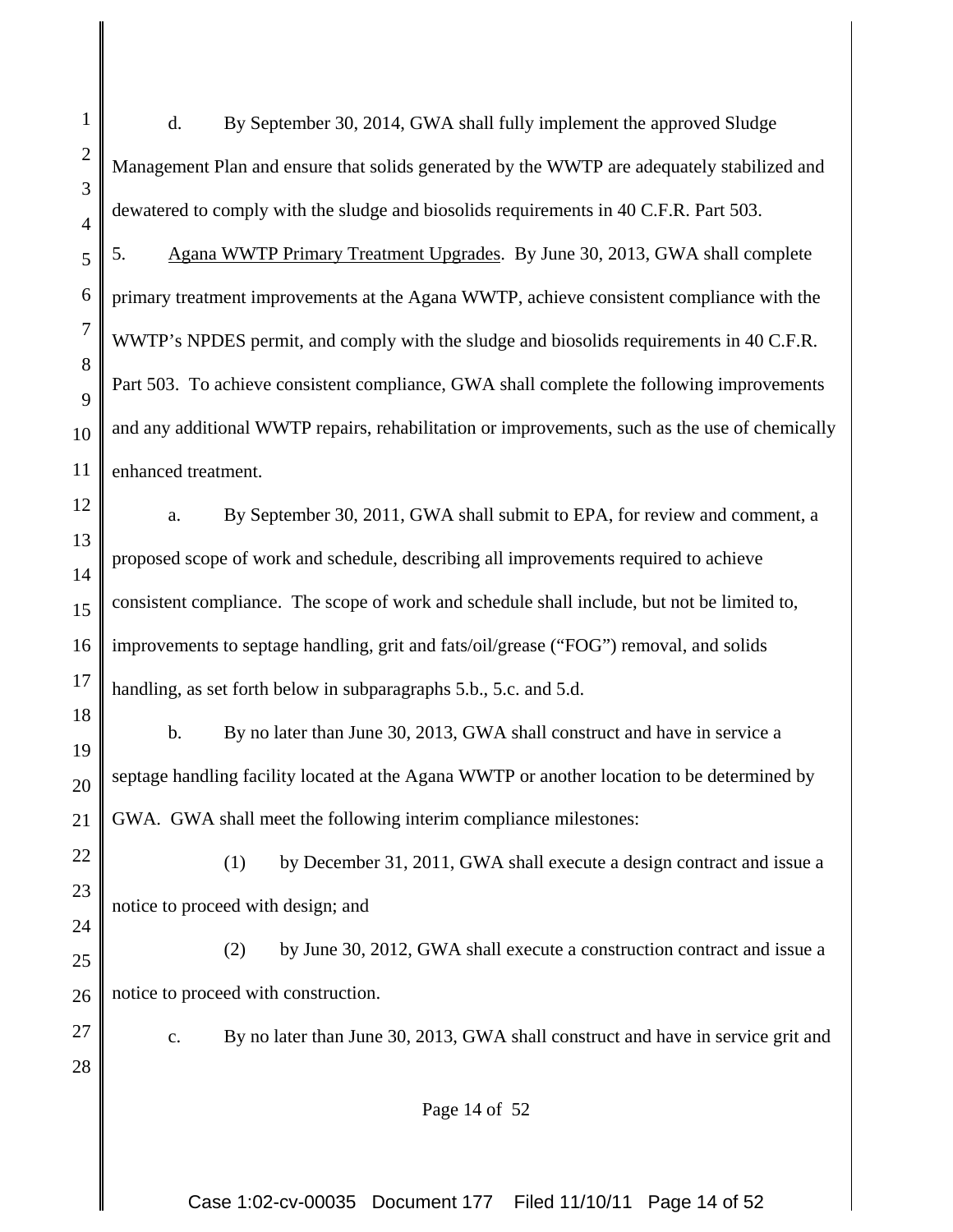1 2 3 4 5 6 7 8 9 10 11 12 13 14 15 16 17 18 19 20 21 22 23 24 25 26 27 28 d. By September 30, 2014, GWA shall fully implement the approved Sludge Management Plan and ensure that solids generated by the WWTP are adequately stabilized and dewatered to comply with the sludge and biosolids requirements in 40 C.F.R. Part 503. 5. Agana WWTP Primary Treatment Upgrades. By June 30, 2013, GWA shall complete primary treatment improvements at the Agana WWTP, achieve consistent compliance with the WWTP's NPDES permit, and comply with the sludge and biosolids requirements in 40 C.F.R. Part 503. To achieve consistent compliance, GWA shall complete the following improvements and any additional WWTP repairs, rehabilitation or improvements, such as the use of chemically enhanced treatment. a. By September 30, 2011, GWA shall submit to EPA, for review and comment, a proposed scope of work and schedule, describing all improvements required to achieve consistent compliance. The scope of work and schedule shall include, but not be limited to, improvements to septage handling, grit and fats/oil/grease ("FOG") removal, and solids handling, as set forth below in subparagraphs 5.b., 5.c. and 5.d. b. By no later than June 30, 2013, GWA shall construct and have in service a septage handling facility located at the Agana WWTP or another location to be determined by GWA. GWA shall meet the following interim compliance milestones: (1) by December 31, 2011, GWA shall execute a design contract and issue a notice to proceed with design; and (2) by June 30, 2012, GWA shall execute a construction contract and issue a notice to proceed with construction. c. By no later than June 30, 2013, GWA shall construct and have in service grit and Page 14 of 52

Case 1:02-cv-00035 Document 177 Filed 11/10/11 Page 14 of 52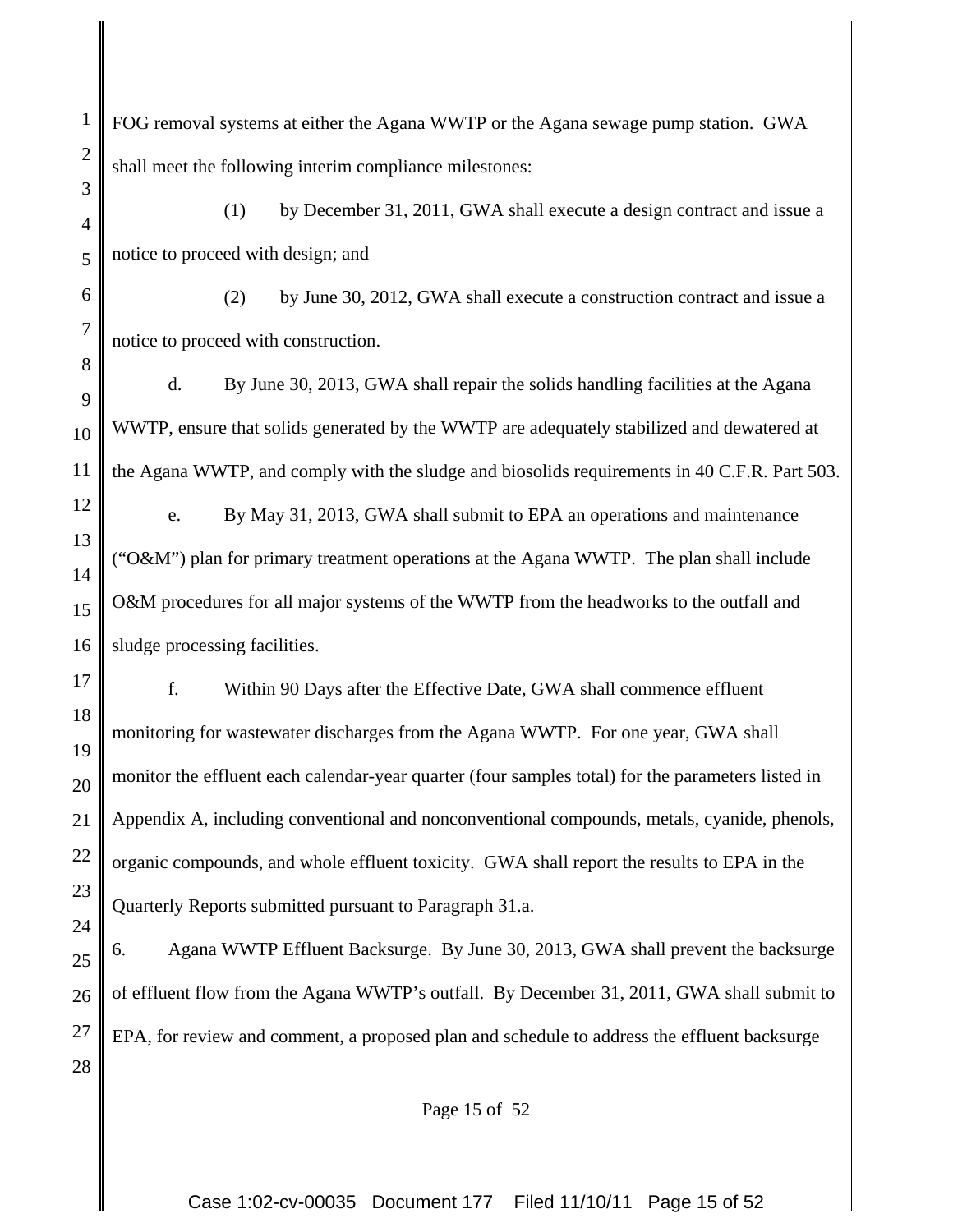2 FOG removal systems at either the Agana WWTP or the Agana sewage pump station. GWA shall meet the following interim compliance milestones:

1

3

7

8

12

13

14

15

16

17

18

19

20

21

22

23

24

4 5 (1) by December 31, 2011, GWA shall execute a design contract and issue a notice to proceed with design; and

6 (2) by June 30, 2012, GWA shall execute a construction contract and issue a notice to proceed with construction.

9 10 11 d. By June 30, 2013, GWA shall repair the solids handling facilities at the Agana WWTP, ensure that solids generated by the WWTP are adequately stabilized and dewatered at the Agana WWTP, and comply with the sludge and biosolids requirements in 40 C.F.R. Part 503.

e. By May 31, 2013, GWA shall submit to EPA an operations and maintenance (" $O&M$ ") plan for primary treatment operations at the Agana WWTP. The plan shall include O&M procedures for all major systems of the WWTP from the headworks to the outfall and sludge processing facilities.

f. Within 90 Days after the Effective Date, GWA shall commence effluent monitoring for wastewater discharges from the Agana WWTP. For one year, GWA shall monitor the effluent each calendar-year quarter (four samples total) for the parameters listed in Appendix A, including conventional and nonconventional compounds, metals, cyanide, phenols, organic compounds, and whole effluent toxicity. GWA shall report the results to EPA in the Quarterly Reports submitted pursuant to Paragraph 31.a.

25 26 27 28 6. Agana WWTP Effluent Backsurge. By June 30, 2013, GWA shall prevent the backsurge of effluent flow from the Agana WWTP's outfall. By December 31, 2011, GWA shall submit to EPA, for review and comment, a proposed plan and schedule to address the effluent backsurge

Page 15 of 52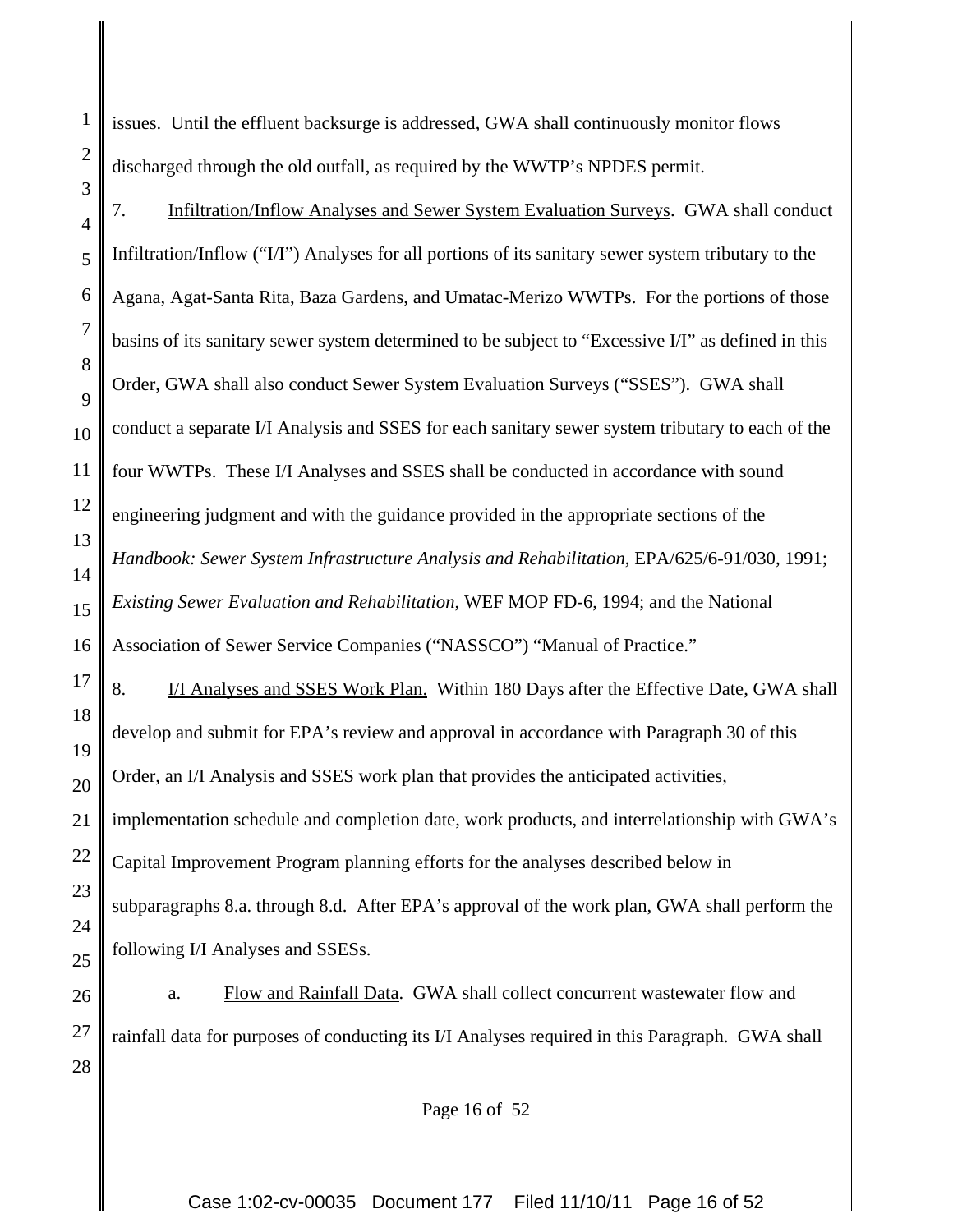issues. Until the effluent backsurge is addressed, GWA shall continuously monitor flows discharged through the old outfall, as required by the WWTP's NPDES permit.

1

2

3

17

18

19

20

21

22

23

24

25

4 5 6 7 8 9 10 11 12 13 14 15 16 7. Infiltration/Inflow Analyses and Sewer System Evaluation Surveys. GWA shall conduct Infiltration/Inflow ("I/I") Analyses for all portions of its sanitary sewer system tributary to the Agana, Agat-Santa Rita, Baza Gardens, and Umatac-Merizo WWTPs. For the portions of those basins of its sanitary sewer system determined to be subject to "Excessive I/I" as defined in this Order, GWA shall also conduct Sewer System Evaluation Surveys ("SSES"). GWA shall conduct a separate I/I Analysis and SSES for each sanitary sewer system tributary to each of the four WWTPs. These I/I Analyses and SSES shall be conducted in accordance with sound engineering judgment and with the guidance provided in the appropriate sections of the *Handbook: Sewer System Infrastructure Analysis and Rehabilitation*, EPA/625/6-91/030, 1991; *Existing Sewer Evaluation and Rehabilitation*, WEF MOP FD-6, 1994; and the National Association of Sewer Service Companies ("NASSCO") "Manual of Practice."

8. I/I Analyses and SSES Work Plan. Within 180 Days after the Effective Date, GWA shall develop and submit for EPA's review and approval in accordance with Paragraph 30 of this Order, an I/I Analysis and SSES work plan that provides the anticipated activities, implementation schedule and completion date, work products, and interrelationship with GWA's Capital Improvement Program planning efforts for the analyses described below in subparagraphs 8.a. through 8.d. After EPA's approval of the work plan, GWA shall perform the following I/I Analyses and SSESs.

26 27 28 a. Flow and Rainfall Data. GWA shall collect concurrent wastewater flow and rainfall data for purposes of conducting its I/I Analyses required in this Paragraph. GWA shall

Page 16 of 52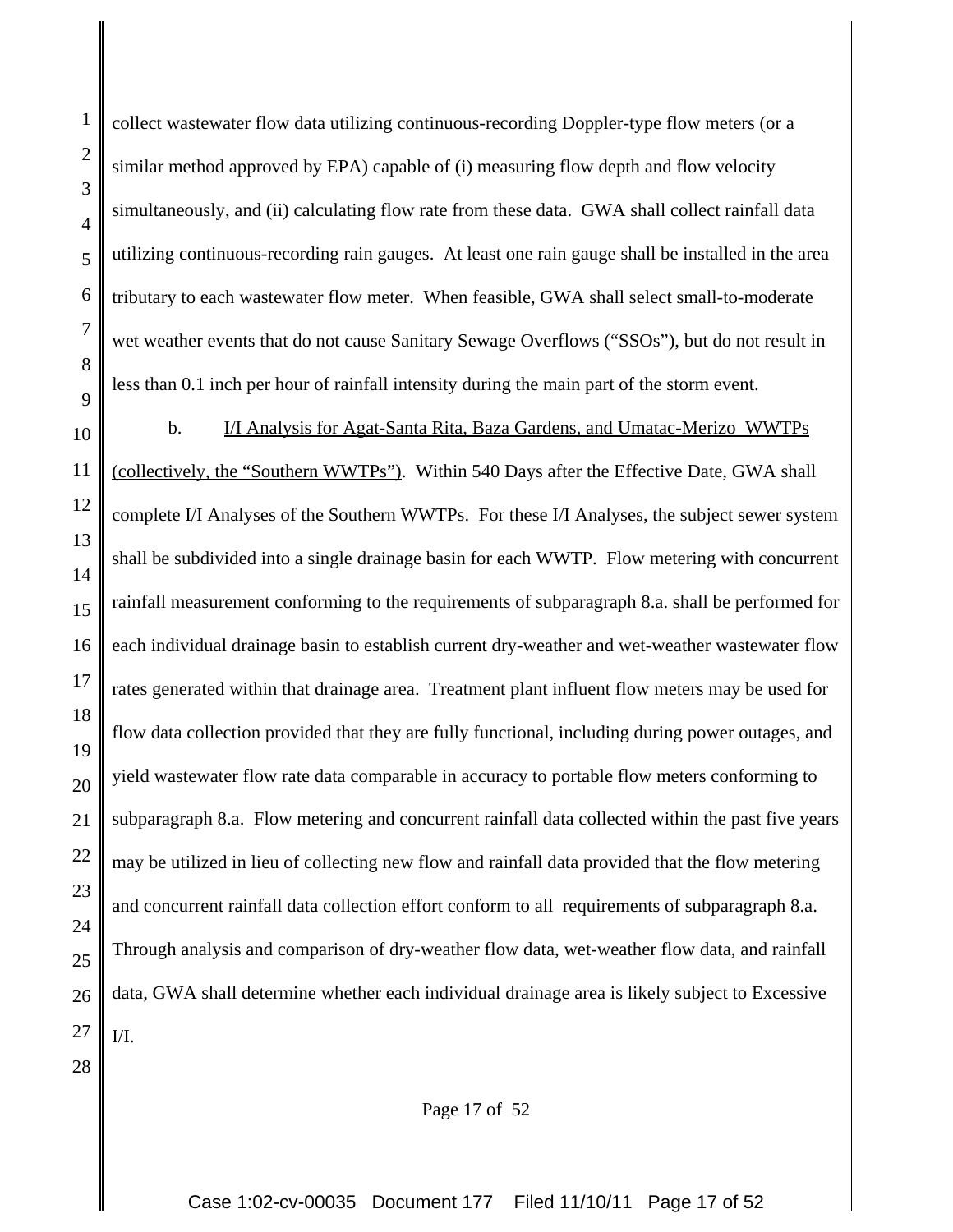2 3 4 5 6 7 8 9 10 collect wastewater flow data utilizing continuous-recording Doppler-type flow meters (or a similar method approved by EPA) capable of (i) measuring flow depth and flow velocity simultaneously, and (ii) calculating flow rate from these data. GWA shall collect rainfall data utilizing continuous-recording rain gauges. At least one rain gauge shall be installed in the area tributary to each wastewater flow meter. When feasible, GWA shall select small-to-moderate wet weather events that do not cause Sanitary Sewage Overflows ("SSOs"), but do not result in less than 0.1 inch per hour of rainfall intensity during the main part of the storm event. b. I/I Analysis for Agat-Santa Rita, Baza Gardens, and Umatac-Merizo WWTPs

1

28

11 12 13 14 15 16 17 18 19 20 21 22 23 24 25 26 27 (collectively, the "Southern WWTPs"). Within 540 Days after the Effective Date, GWA shall complete I/I Analyses of the Southern WWTPs. For these I/I Analyses, the subject sewer system shall be subdivided into a single drainage basin for each WWTP. Flow metering with concurrent rainfall measurement conforming to the requirements of subparagraph 8.a. shall be performed for each individual drainage basin to establish current dry-weather and wet-weather wastewater flow rates generated within that drainage area. Treatment plant influent flow meters may be used for flow data collection provided that they are fully functional, including during power outages, and yield wastewater flow rate data comparable in accuracy to portable flow meters conforming to subparagraph 8.a. Flow metering and concurrent rainfall data collected within the past five years may be utilized in lieu of collecting new flow and rainfall data provided that the flow metering and concurrent rainfall data collection effort conform to all requirements of subparagraph 8.a. Through analysis and comparison of dry-weather flow data, wet-weather flow data, and rainfall data, GWA shall determine whether each individual drainage area is likely subject to Excessive  $I/I$ .

Page 17 of 52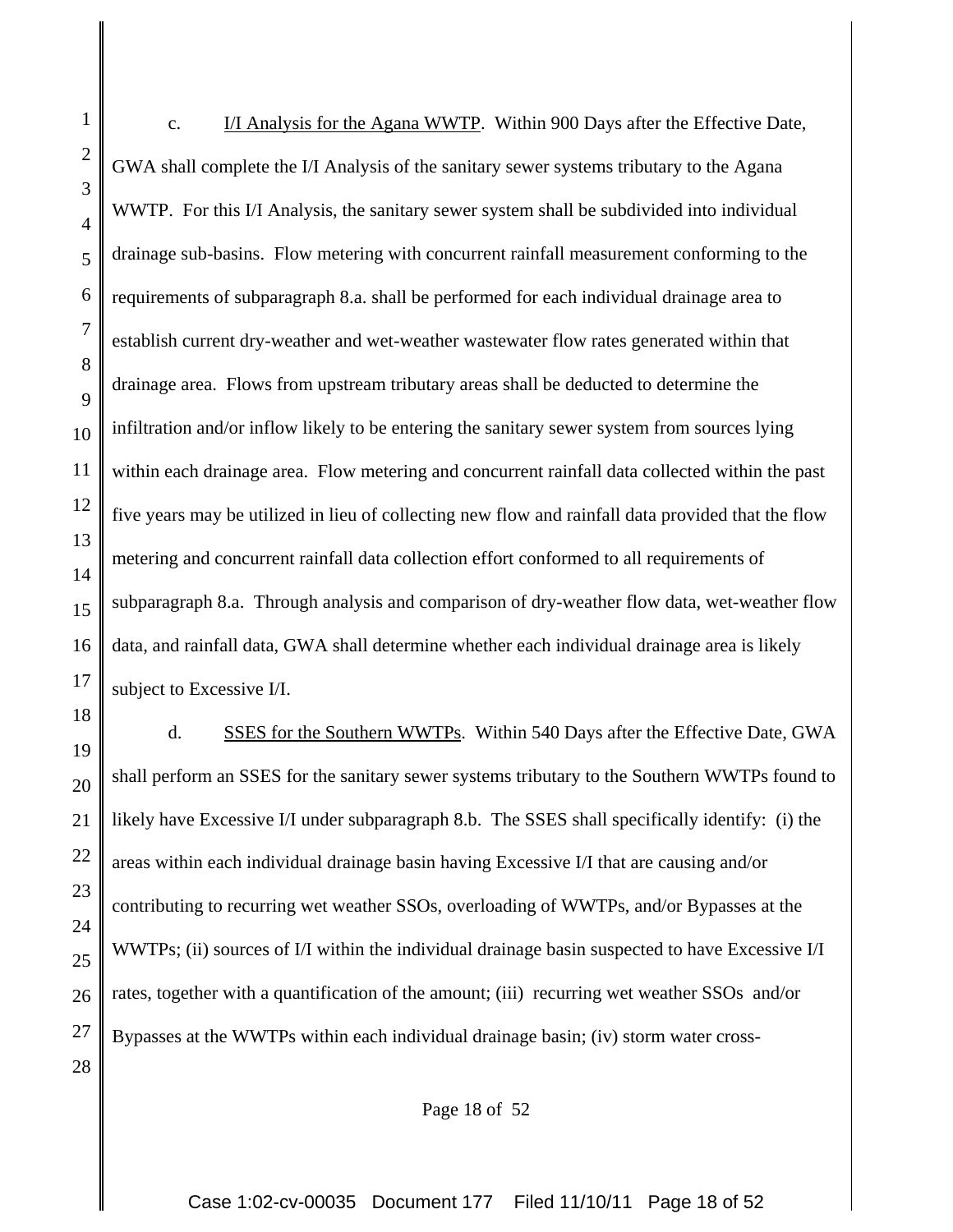16 c. I/I Analysis for the Agana WWTP. Within 900 Days after the Effective Date, GWA shall complete the I/I Analysis of the sanitary sewer systems tributary to the Agana WWTP. For this I/I Analysis, the sanitary sewer system shall be subdivided into individual drainage sub-basins. Flow metering with concurrent rainfall measurement conforming to the requirements of subparagraph 8.a. shall be performed for each individual drainage area to establish current dry-weather and wet-weather wastewater flow rates generated within that drainage area. Flows from upstream tributary areas shall be deducted to determine the infiltration and/or inflow likely to be entering the sanitary sewer system from sources lying within each drainage area. Flow metering and concurrent rainfall data collected within the past five years may be utilized in lieu of collecting new flow and rainfall data provided that the flow metering and concurrent rainfall data collection effort conformed to all requirements of subparagraph 8.a. Through analysis and comparison of dry-weather flow data, wet-weather flow data, and rainfall data, GWA shall determine whether each individual drainage area is likely subject to Excessive I/I.

1

2

3

4

5

6

7

8

9

10

11

12

13

14

15

17

18

19 20 21 22 23 24 25 26 27 28 d. SSES for the Southern WWTPs. Within 540 Days after the Effective Date, GWA shall perform an SSES for the sanitary sewer systems tributary to the Southern WWTPs found to likely have Excessive I/I under subparagraph 8.b. The SSES shall specifically identify: (i) the areas within each individual drainage basin having Excessive I/I that are causing and/or contributing to recurring wet weather SSOs, overloading of WWTPs, and/or Bypasses at the WWTPs; (ii) sources of I/I within the individual drainage basin suspected to have Excessive I/I rates, together with a quantification of the amount; (iii) recurring wet weather SSOs and/or Bypasses at the WWTPs within each individual drainage basin; (iv) storm water cross-

Page 18 of 52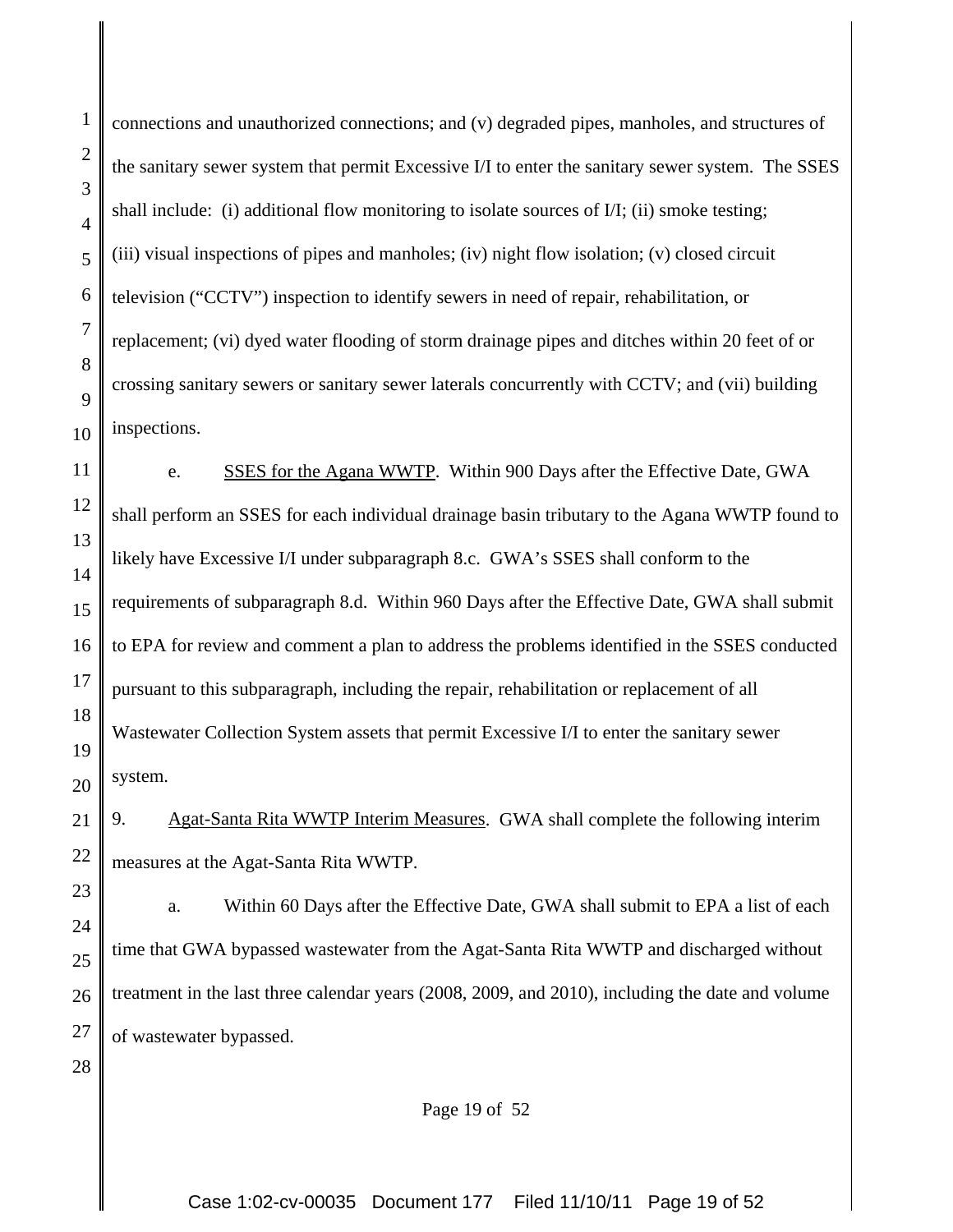1

2

3

connections and unauthorized connections; and (v) degraded pipes, manholes, and structures of the sanitary sewer system that permit Excessive I/I to enter the sanitary sewer system. The SSES shall include: (i) additional flow monitoring to isolate sources of I/I; (ii) smoke testing; (iii) visual inspections of pipes and manholes; (iv) night flow isolation; (v) closed circuit television ("CCTV") inspection to identify sewers in need of repair, rehabilitation, or replacement; (vi) dyed water flooding of storm drainage pipes and ditches within 20 feet of or crossing sanitary sewers or sanitary sewer laterals concurrently with CCTV; and (vii) building inspections.

e. SSES for the Agana WWTP. Within 900 Days after the Effective Date, GWA shall perform an SSES for each individual drainage basin tributary to the Agana WWTP found to likely have Excessive I/I under subparagraph 8.c. GWA's SSES shall conform to the requirements of subparagraph 8.d. Within 960 Days after the Effective Date, GWA shall submit to EPA for review and comment a plan to address the problems identified in the SSES conducted pursuant to this subparagraph, including the repair, rehabilitation or replacement of all Wastewater Collection System assets that permit Excessive I/I to enter the sanitary sewer system.

9. Agat-Santa Rita WWTP Interim Measures. GWA shall complete the following interim measures at the Agat-Santa Rita WWTP.

a. Within 60 Days after the Effective Date, GWA shall submit to EPA a list of each time that GWA bypassed wastewater from the Agat-Santa Rita WWTP and discharged without treatment in the last three calendar years (2008, 2009, and 2010), including the date and volume of wastewater bypassed.

Page 19 of 52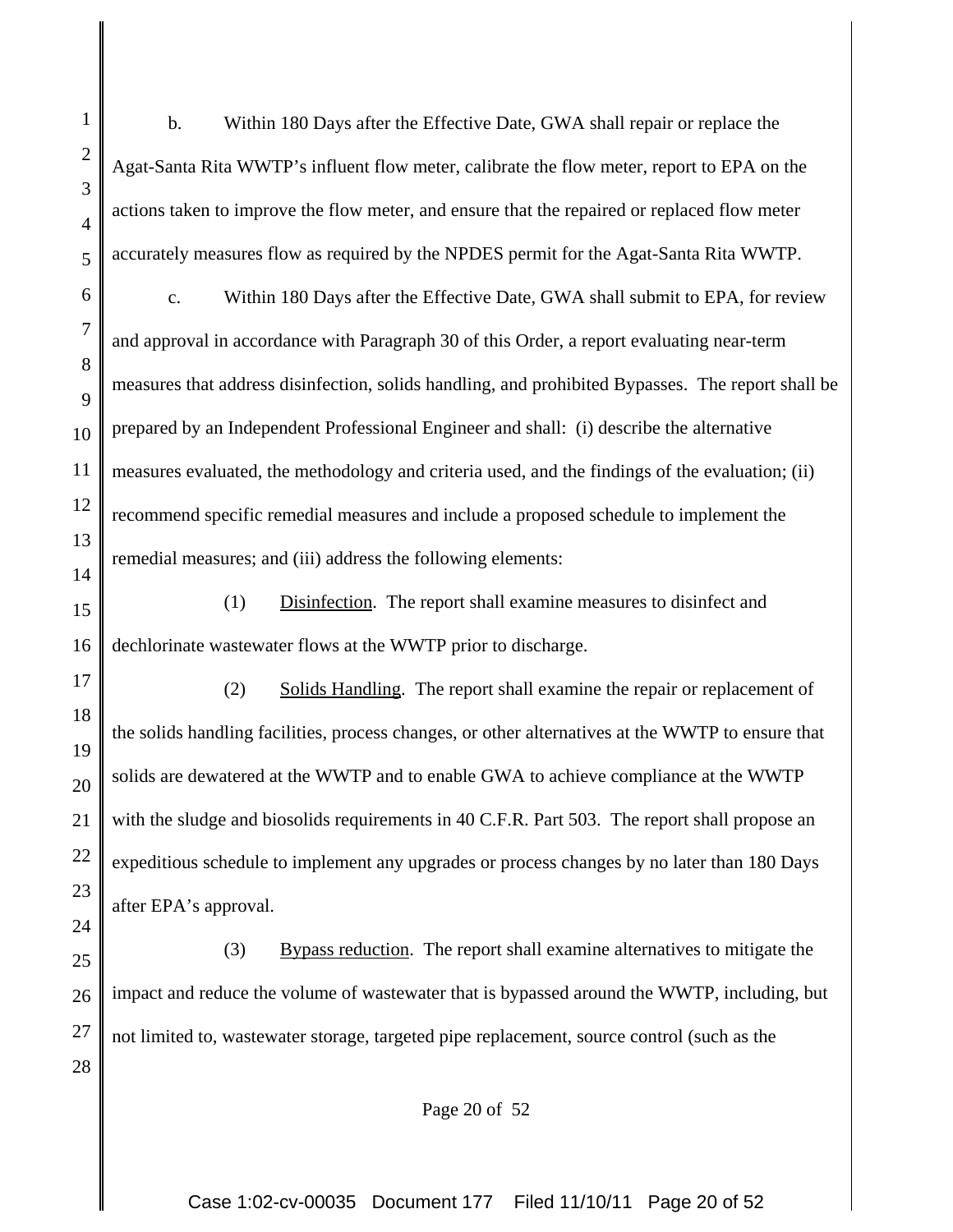1 2 3 4 5 6 7 8 9 10 11 12 13 14 15 16 17 18 19 20 21 22 23 24 25 26 b. Within 180 Days after the Effective Date, GWA shall repair or replace the Agat-Santa Rita WWTP's influent flow meter, calibrate the flow meter, report to EPA on the actions taken to improve the flow meter, and ensure that the repaired or replaced flow meter accurately measures flow as required by the NPDES permit for the Agat-Santa Rita WWTP. c. Within 180 Days after the Effective Date, GWA shall submit to EPA, for review and approval in accordance with Paragraph 30 of this Order, a report evaluating near-term measures that address disinfection, solids handling, and prohibited Bypasses. The report shall be prepared by an Independent Professional Engineer and shall: (i) describe the alternative measures evaluated, the methodology and criteria used, and the findings of the evaluation; (ii) recommend specific remedial measures and include a proposed schedule to implement the remedial measures; and (iii) address the following elements: (1) Disinfection. The report shall examine measures to disinfect and dechlorinate wastewater flows at the WWTP prior to discharge. (2) Solids Handling. The report shall examine the repair or replacement of the solids handling facilities, process changes, or other alternatives at the WWTP to ensure that solids are dewatered at the WWTP and to enable GWA to achieve compliance at the WWTP with the sludge and biosolids requirements in 40 C.F.R. Part 503. The report shall propose an expeditious schedule to implement any upgrades or process changes by no later than 180 Days after EPA's approval. (3) Bypass reduction. The report shall examine alternatives to mitigate the impact and reduce the volume of wastewater that is bypassed around the WWTP, including, but

27 28 not limited to, wastewater storage, targeted pipe replacement, source control (such as the

Page 20 of 52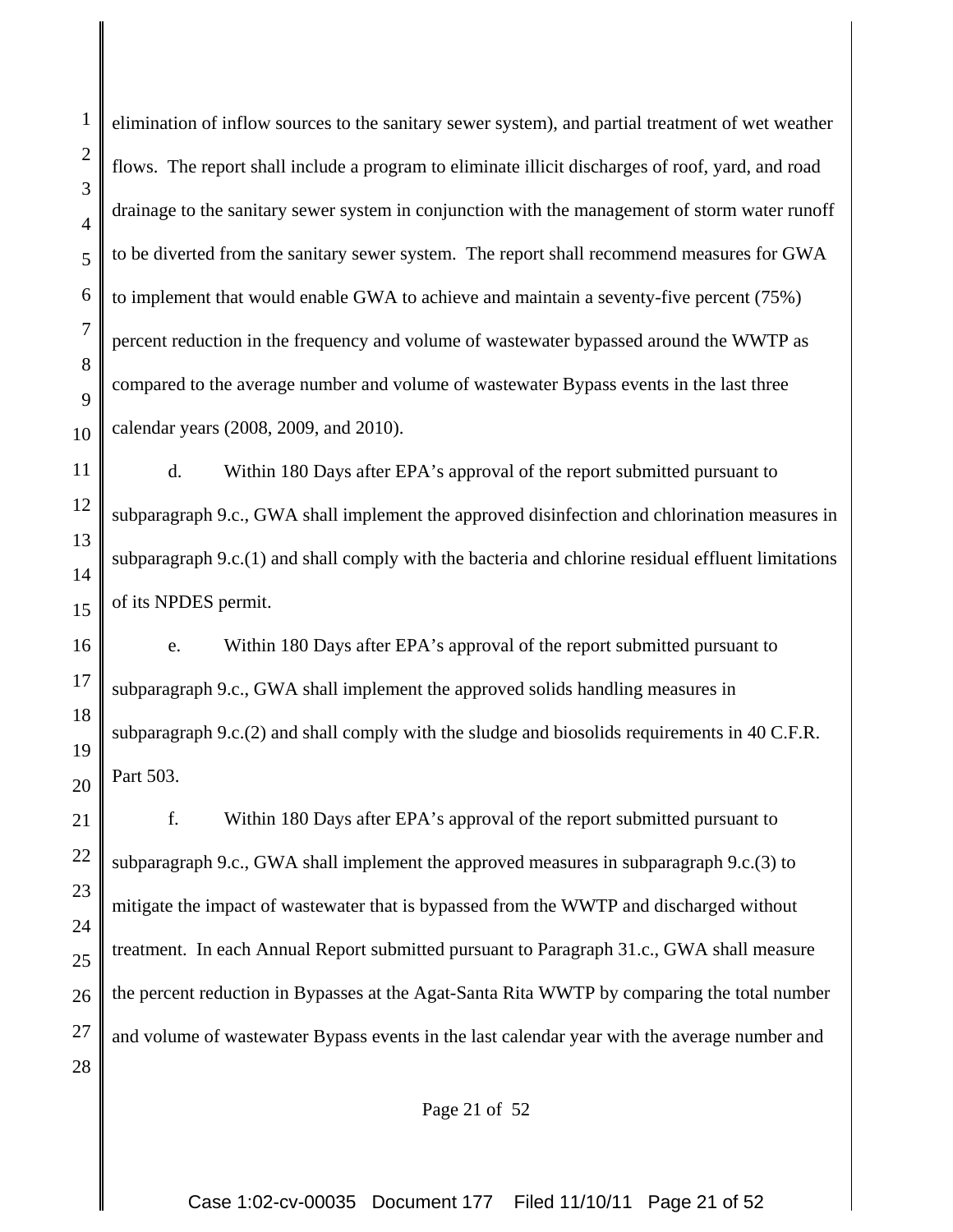1

2

elimination of inflow sources to the sanitary sewer system), and partial treatment of wet weather flows. The report shall include a program to eliminate illicit discharges of roof, yard, and road drainage to the sanitary sewer system in conjunction with the management of storm water runoff to be diverted from the sanitary sewer system. The report shall recommend measures for GWA to implement that would enable GWA to achieve and maintain a seventy-five percent (75%) percent reduction in the frequency and volume of wastewater bypassed around the WWTP as compared to the average number and volume of wastewater Bypass events in the last three calendar years (2008, 2009, and 2010).

d. Within 180 Days after EPA's approval of the report submitted pursuant to subparagraph 9.c., GWA shall implement the approved disinfection and chlorination measures in subparagraph 9.c.(1) and shall comply with the bacteria and chlorine residual effluent limitations of its NPDES permit.

e. Within 180 Days after EPA's approval of the report submitted pursuant to subparagraph 9.c., GWA shall implement the approved solids handling measures in subparagraph 9.c.(2) and shall comply with the sludge and biosolids requirements in 40 C.F.R. Part 503.

f. Within 180 Days after EPA's approval of the report submitted pursuant to subparagraph 9.c., GWA shall implement the approved measures in subparagraph 9.c.(3) to mitigate the impact of wastewater that is bypassed from the WWTP and discharged without treatment. In each Annual Report submitted pursuant to Paragraph 31.c., GWA shall measure the percent reduction in Bypasses at the Agat-Santa Rita WWTP by comparing the total number and volume of wastewater Bypass events in the last calendar year with the average number and

Page 21 of 52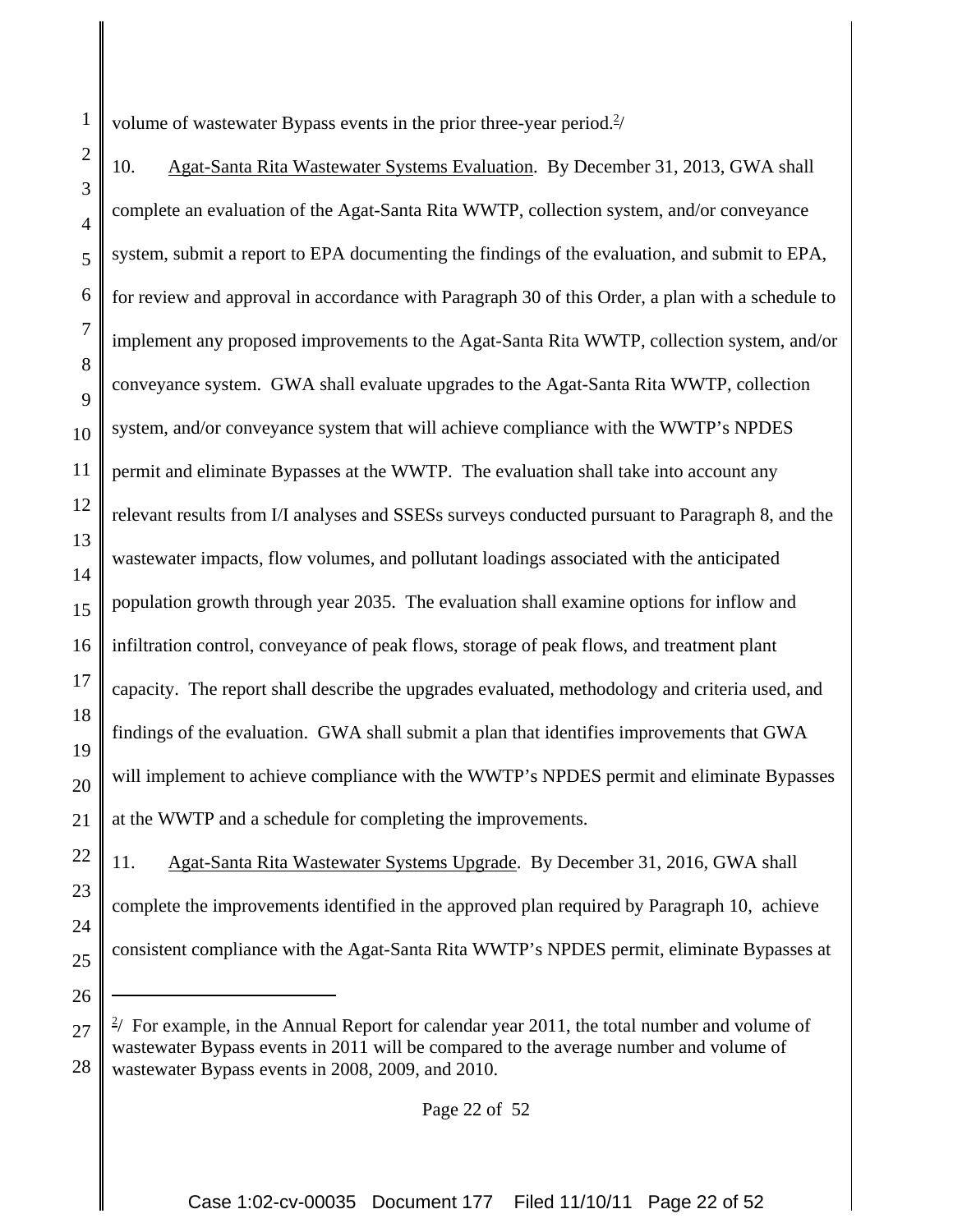volume of wastewater Bypass events in the prior three-year period. $\frac{2}{3}$ 

1

22

23

24

25

26

2 3 4 5 6 7 8 9 10 11 12 13 14 15 16 17 18 19 20 21 10. Agat-Santa Rita Wastewater Systems Evaluation. By December 31, 2013, GWA shall complete an evaluation of the Agat-Santa Rita WWTP, collection system, and/or conveyance system, submit a report to EPA documenting the findings of the evaluation, and submit to EPA, for review and approval in accordance with Paragraph 30 of this Order, a plan with a schedule to implement any proposed improvements to the Agat-Santa Rita WWTP, collection system, and/or conveyance system. GWA shall evaluate upgrades to the Agat-Santa Rita WWTP, collection system, and/or conveyance system that will achieve compliance with the WWTP's NPDES permit and eliminate Bypasses at the WWTP. The evaluation shall take into account any relevant results from I/I analyses and SSESs surveys conducted pursuant to Paragraph 8, and the wastewater impacts, flow volumes, and pollutant loadings associated with the anticipated population growth through year 2035. The evaluation shall examine options for inflow and infiltration control, conveyance of peak flows, storage of peak flows, and treatment plant capacity. The report shall describe the upgrades evaluated, methodology and criteria used, and findings of the evaluation. GWA shall submit a plan that identifies improvements that GWA will implement to achieve compliance with the WWTP's NPDES permit and eliminate Bypasses at the WWTP and a schedule for completing the improvements.

11. Agat-Santa Rita Wastewater Systems Upgrade. By December 31, 2016, GWA shall complete the improvements identified in the approved plan required by Paragraph 10, achieve consistent compliance with the Agat-Santa Rita WWTP's NPDES permit, eliminate Bypasses at

Page 22 of 52

<sup>27</sup> 28  $2/$  For example, in the Annual Report for calendar year 2011, the total number and volume of wastewater Bypass events in 2011 will be compared to the average number and volume of wastewater Bypass events in 2008, 2009, and 2010.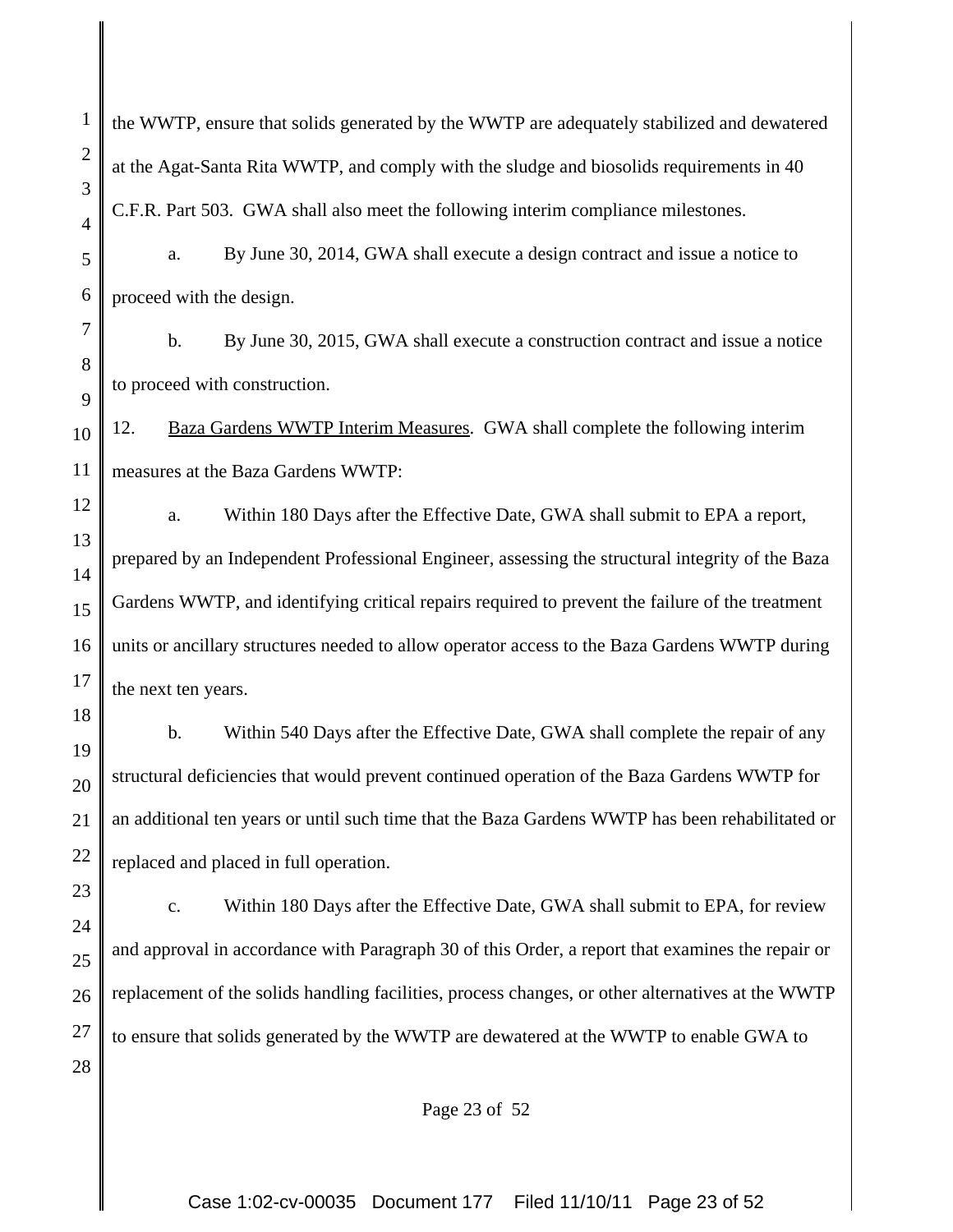the WWTP, ensure that solids generated by the WWTP are adequately stabilized and dewatered at the Agat-Santa Rita WWTP, and comply with the sludge and biosolids requirements in 40 C.F.R. Part 503. GWA shall also meet the following interim compliance milestones.

1

2

3

4

9

23

5 6 a. By June 30, 2014, GWA shall execute a design contract and issue a notice to proceed with the design.

7 8 b. By June 30, 2015, GWA shall execute a construction contract and issue a notice to proceed with construction.

10 11 12. Baza Gardens WWTP Interim Measures. GWA shall complete the following interim measures at the Baza Gardens WWTP:

12 13 14 15 16 17 a. Within 180 Days after the Effective Date, GWA shall submit to EPA a report, prepared by an Independent Professional Engineer, assessing the structural integrity of the Baza Gardens WWTP, and identifying critical repairs required to prevent the failure of the treatment units or ancillary structures needed to allow operator access to the Baza Gardens WWTP during the next ten years.

18 19 20 21 22 b. Within 540 Days after the Effective Date, GWA shall complete the repair of any structural deficiencies that would prevent continued operation of the Baza Gardens WWTP for an additional ten years or until such time that the Baza Gardens WWTP has been rehabilitated or replaced and placed in full operation.

24 25 26 27 28 c. Within 180 Days after the Effective Date, GWA shall submit to EPA, for review and approval in accordance with Paragraph 30 of this Order, a report that examines the repair or replacement of the solids handling facilities, process changes, or other alternatives at the WWTP to ensure that solids generated by the WWTP are dewatered at the WWTP to enable GWA to

Page 23 of 52

Case 1:02-cv-00035 Document 177 Filed 11/10/11 Page 23 of 52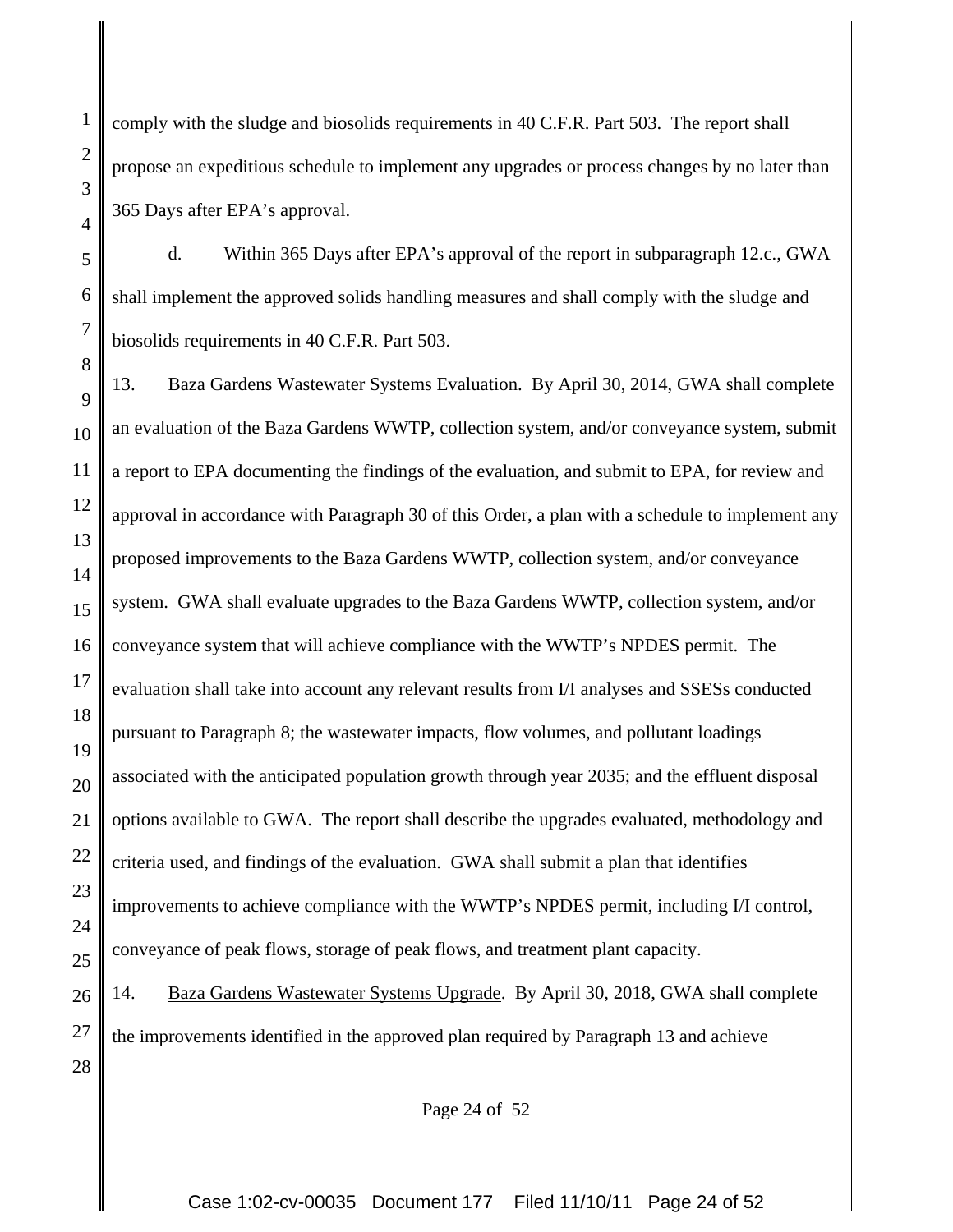1

2

3

comply with the sludge and biosolids requirements in 40 C.F.R. Part 503. The report shall propose an expeditious schedule to implement any upgrades or process changes by no later than 365 Days after EPA's approval.

d. Within 365 Days after EPA's approval of the report in subparagraph 12.c., GWA shall implement the approved solids handling measures and shall comply with the sludge and biosolids requirements in 40 C.F.R. Part 503.

13. Baza Gardens Wastewater Systems Evaluation. By April 30, 2014, GWA shall complete an evaluation of the Baza Gardens WWTP, collection system, and/or conveyance system, submit a report to EPA documenting the findings of the evaluation, and submit to EPA, for review and approval in accordance with Paragraph 30 of this Order, a plan with a schedule to implement any proposed improvements to the Baza Gardens WWTP, collection system, and/or conveyance system. GWA shall evaluate upgrades to the Baza Gardens WWTP, collection system, and/or conveyance system that will achieve compliance with the WWTP's NPDES permit. The evaluation shall take into account any relevant results from I/I analyses and SSESs conducted pursuant to Paragraph 8; the wastewater impacts, flow volumes, and pollutant loadings associated with the anticipated population growth through year 2035; and the effluent disposal options available to GWA. The report shall describe the upgrades evaluated, methodology and criteria used, and findings of the evaluation. GWA shall submit a plan that identifies improvements to achieve compliance with the WWTP's NPDES permit, including I/I control, conveyance of peak flows, storage of peak flows, and treatment plant capacity.

28 14. Baza Gardens Wastewater Systems Upgrade. By April 30, 2018, GWA shall complete the improvements identified in the approved plan required by Paragraph 13 and achieve

Page 24 of 52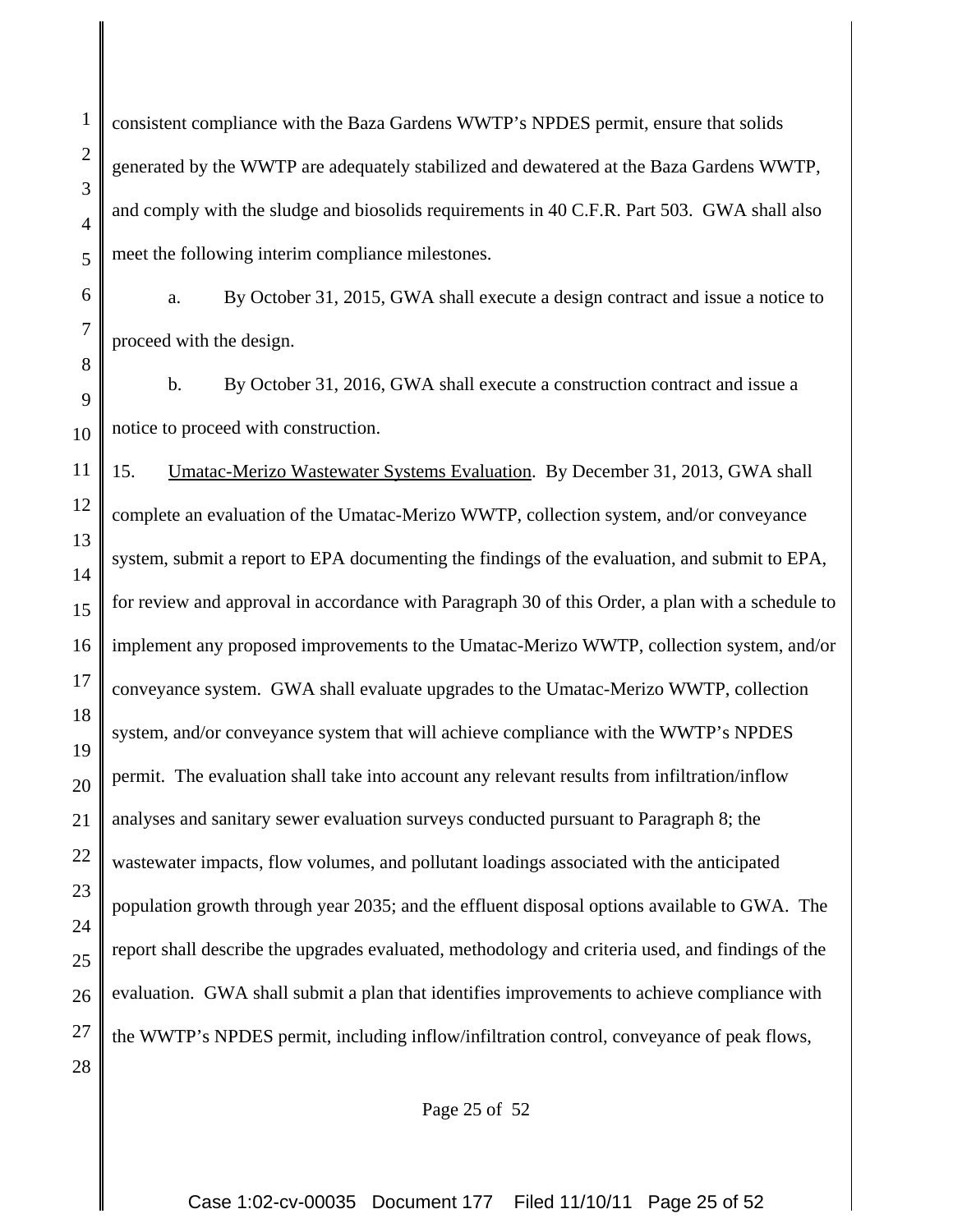consistent compliance with the Baza Gardens WWTP's NPDES permit, ensure that solids generated by the WWTP are adequately stabilized and dewatered at the Baza Gardens WWTP, and comply with the sludge and biosolids requirements in 40 C.F.R. Part 503. GWA shall also meet the following interim compliance milestones.

1

2

3

4

5

6

7

8

a. By October 31, 2015, GWA shall execute a design contract and issue a notice to proceed with the design.

9 10 b. By October 31, 2016, GWA shall execute a construction contract and issue a notice to proceed with construction.

11 12 13 14 15 16 17 18 19 20 21 22 23 24 25 26 27 28 15. Umatac-Merizo Wastewater Systems Evaluation. By December 31, 2013, GWA shall complete an evaluation of the Umatac-Merizo WWTP, collection system, and/or conveyance system, submit a report to EPA documenting the findings of the evaluation, and submit to EPA, for review and approval in accordance with Paragraph 30 of this Order, a plan with a schedule to implement any proposed improvements to the Umatac-Merizo WWTP, collection system, and/or conveyance system. GWA shall evaluate upgrades to the Umatac-Merizo WWTP, collection system, and/or conveyance system that will achieve compliance with the WWTP's NPDES permit. The evaluation shall take into account any relevant results from infiltration/inflow analyses and sanitary sewer evaluation surveys conducted pursuant to Paragraph 8; the wastewater impacts, flow volumes, and pollutant loadings associated with the anticipated population growth through year 2035; and the effluent disposal options available to GWA. The report shall describe the upgrades evaluated, methodology and criteria used, and findings of the evaluation. GWA shall submit a plan that identifies improvements to achieve compliance with the WWTP's NPDES permit, including inflow/infiltration control, conveyance of peak flows,

Page 25 of 52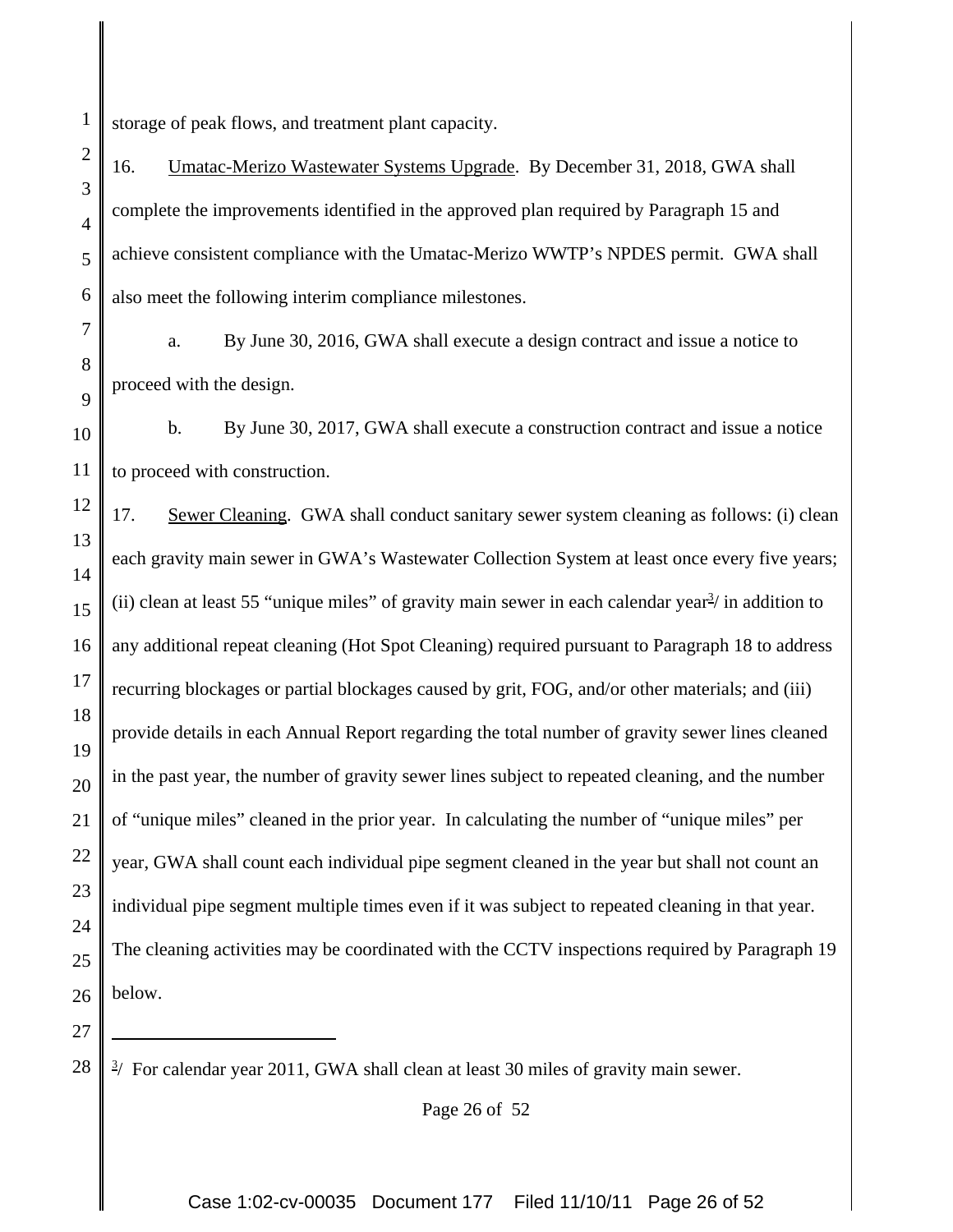1 storage of peak flows, and treatment plant capacity.

16. Umatac-Merizo Wastewater Systems Upgrade. By December 31, 2018, GWA shall complete the improvements identified in the approved plan required by Paragraph 15 and achieve consistent compliance with the Umatac-Merizo WWTP's NPDES permit. GWA shall also meet the following interim compliance milestones.

7 8 9 a. By June 30, 2016, GWA shall execute a design contract and issue a notice to proceed with the design.

10 11 b. By June 30, 2017, GWA shall execute a construction contract and issue a notice to proceed with construction.

12 13 14 15 16 17 18 19 20 21 22 23 24 25 26 17. Sewer Cleaning. GWA shall conduct sanitary sewer system cleaning as follows: (i) clean each gravity main sewer in GWA's Wastewater Collection System at least once every five years; (ii) clean at least 55 "unique miles" of gravity main sewer in each calendar year $\frac{3}{2}$  in addition to any additional repeat cleaning (Hot Spot Cleaning) required pursuant to Paragraph 18 to address recurring blockages or partial blockages caused by grit, FOG, and/or other materials; and (iii) provide details in each Annual Report regarding the total number of gravity sewer lines cleaned in the past year, the number of gravity sewer lines subject to repeated cleaning, and the number of "unique miles" cleaned in the prior year. In calculating the number of "unique miles" per year, GWA shall count each individual pipe segment cleaned in the year but shall not count an individual pipe segment multiple times even if it was subject to repeated cleaning in that year. The cleaning activities may be coordinated with the CCTV inspections required by Paragraph 19 below.

27 28

2

3

4

5

6

Page 26 of 52

 $3/$  For calendar year 2011, GWA shall clean at least 30 miles of gravity main sewer.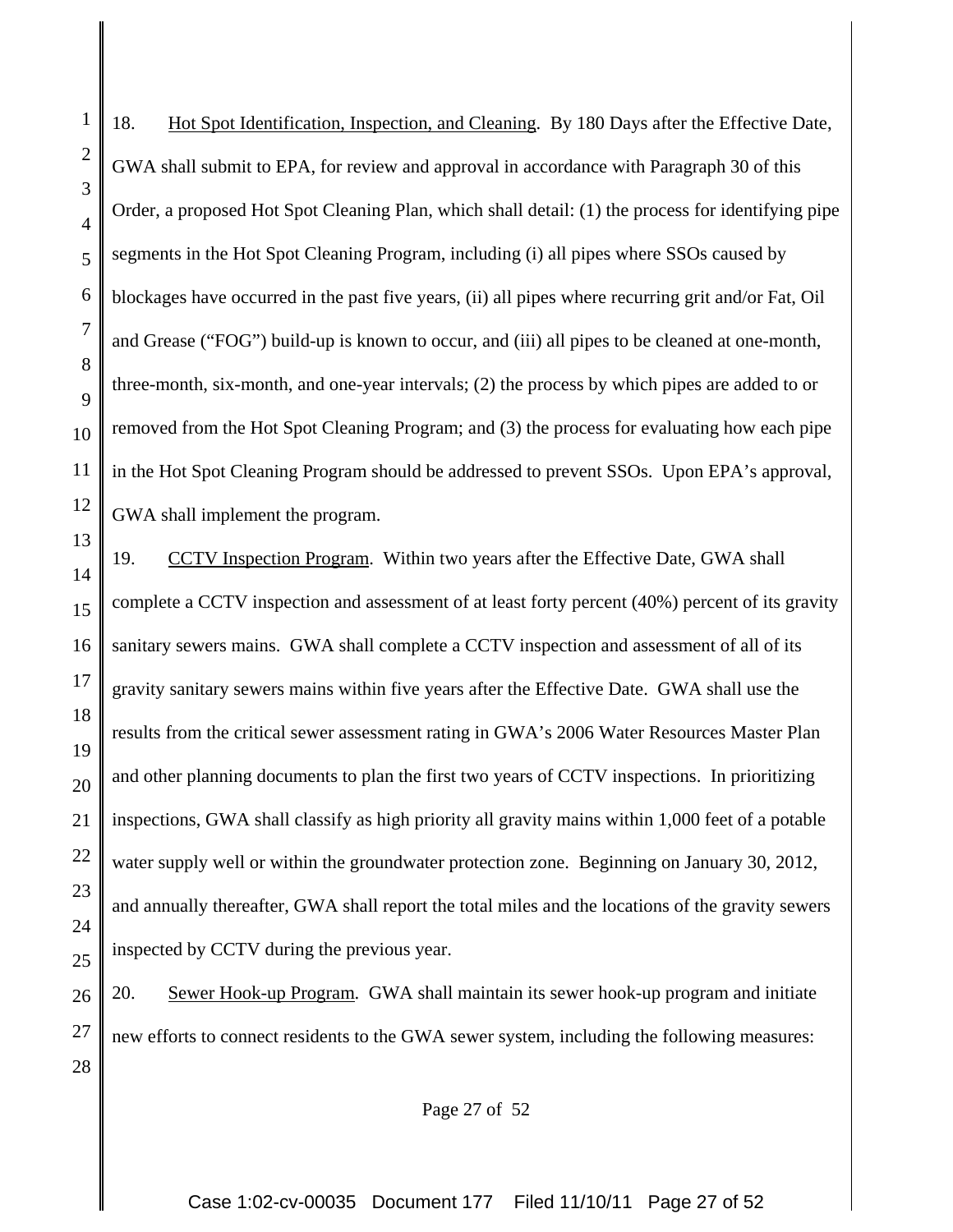1 2 3 4 5 6 7 8 9 18. Hot Spot Identification, Inspection, and Cleaning. By 180 Days after the Effective Date, GWA shall submit to EPA, for review and approval in accordance with Paragraph 30 of this Order, a proposed Hot Spot Cleaning Plan, which shall detail: (1) the process for identifying pipe segments in the Hot Spot Cleaning Program, including (i) all pipes where SSOs caused by blockages have occurred in the past five years, (ii) all pipes where recurring grit and/or Fat, Oil and Grease ("FOG") build-up is known to occur, and (iii) all pipes to be cleaned at one-month, three-month, six-month, and one-year intervals; (2) the process by which pipes are added to or removed from the Hot Spot Cleaning Program; and (3) the process for evaluating how each pipe in the Hot Spot Cleaning Program should be addressed to prevent SSOs. Upon EPA's approval, GWA shall implement the program. 19. CCTV Inspection Program. Within two years after the Effective Date, GWA shall

complete a CCTV inspection and assessment of at least forty percent (40%) percent of its gravity sanitary sewers mains. GWA shall complete a CCTV inspection and assessment of all of its gravity sanitary sewers mains within five years after the Effective Date. GWA shall use the results from the critical sewer assessment rating in GWA's 2006 Water Resources Master Plan and other planning documents to plan the first two years of CCTV inspections. In prioritizing inspections, GWA shall classify as high priority all gravity mains within 1,000 feet of a potable water supply well or within the groundwater protection zone. Beginning on January 30, 2012, and annually thereafter, GWA shall report the total miles and the locations of the gravity sewers inspected by CCTV during the previous year.

20. Sewer Hook-up Program. GWA shall maintain its sewer hook-up program and initiate new efforts to connect residents to the GWA sewer system, including the following measures:

Page 27 of 52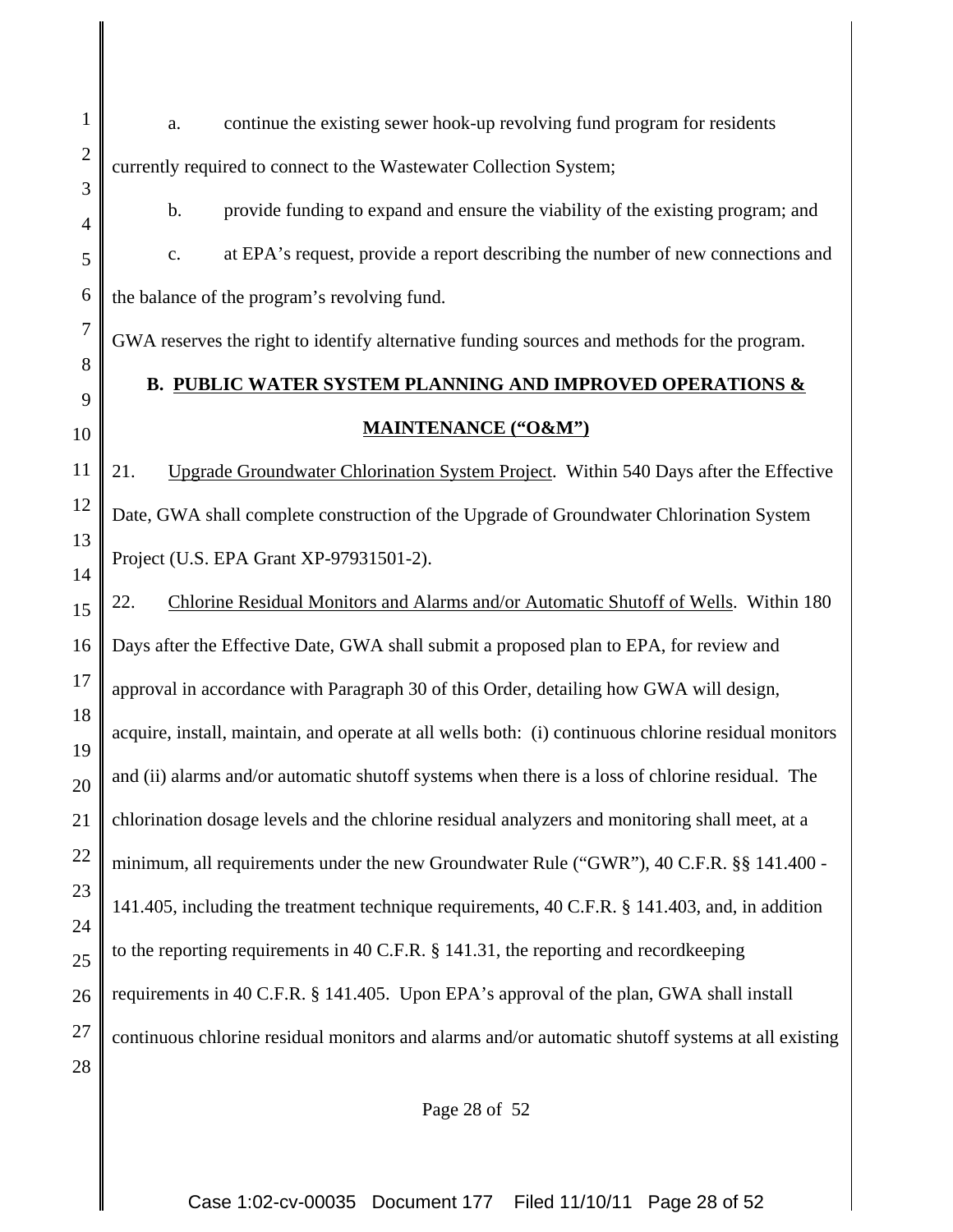a. continue the existing sewer hook-up revolving fund program for residents currently required to connect to the Wastewater Collection System;

1

2

3

4

5

6

7

8

9

10

b. provide funding to expand and ensure the viability of the existing program; and c. at EPA's request, provide a report describing the number of new connections and the balance of the program's revolving fund.

GWA reserves the right to identify alternative funding sources and methods for the program.

# **B. PUBLIC WATER SYSTEM PLANNING AND IMPROVED OPERATIONS & MAINTENANCE ("O&M")**

11 12 13 14 21. Upgrade Groundwater Chlorination System Project. Within 540 Days after the Effective Date, GWA shall complete construction of the Upgrade of Groundwater Chlorination System Project (U.S. EPA Grant XP-97931501-2).

15 16 17 18 19 20 21 22 23 24 25 26 27 28 22. Chlorine Residual Monitors and Alarms and/or Automatic Shutoff of Wells. Within 180 Days after the Effective Date, GWA shall submit a proposed plan to EPA, for review and approval in accordance with Paragraph 30 of this Order, detailing how GWA will design, acquire, install, maintain, and operate at all wells both: (i) continuous chlorine residual monitors and (ii) alarms and/or automatic shutoff systems when there is a loss of chlorine residual. The chlorination dosage levels and the chlorine residual analyzers and monitoring shall meet, at a minimum, all requirements under the new Groundwater Rule ("GWR"), 40 C.F.R. §§ 141.400 - 141.405, including the treatment technique requirements, 40 C.F.R. § 141.403, and, in addition to the reporting requirements in 40 C.F.R. § 141.31, the reporting and recordkeeping requirements in 40 C.F.R. § 141.405. Upon EPA's approval of the plan, GWA shall install continuous chlorine residual monitors and alarms and/or automatic shutoff systems at all existing

Page 28 of 52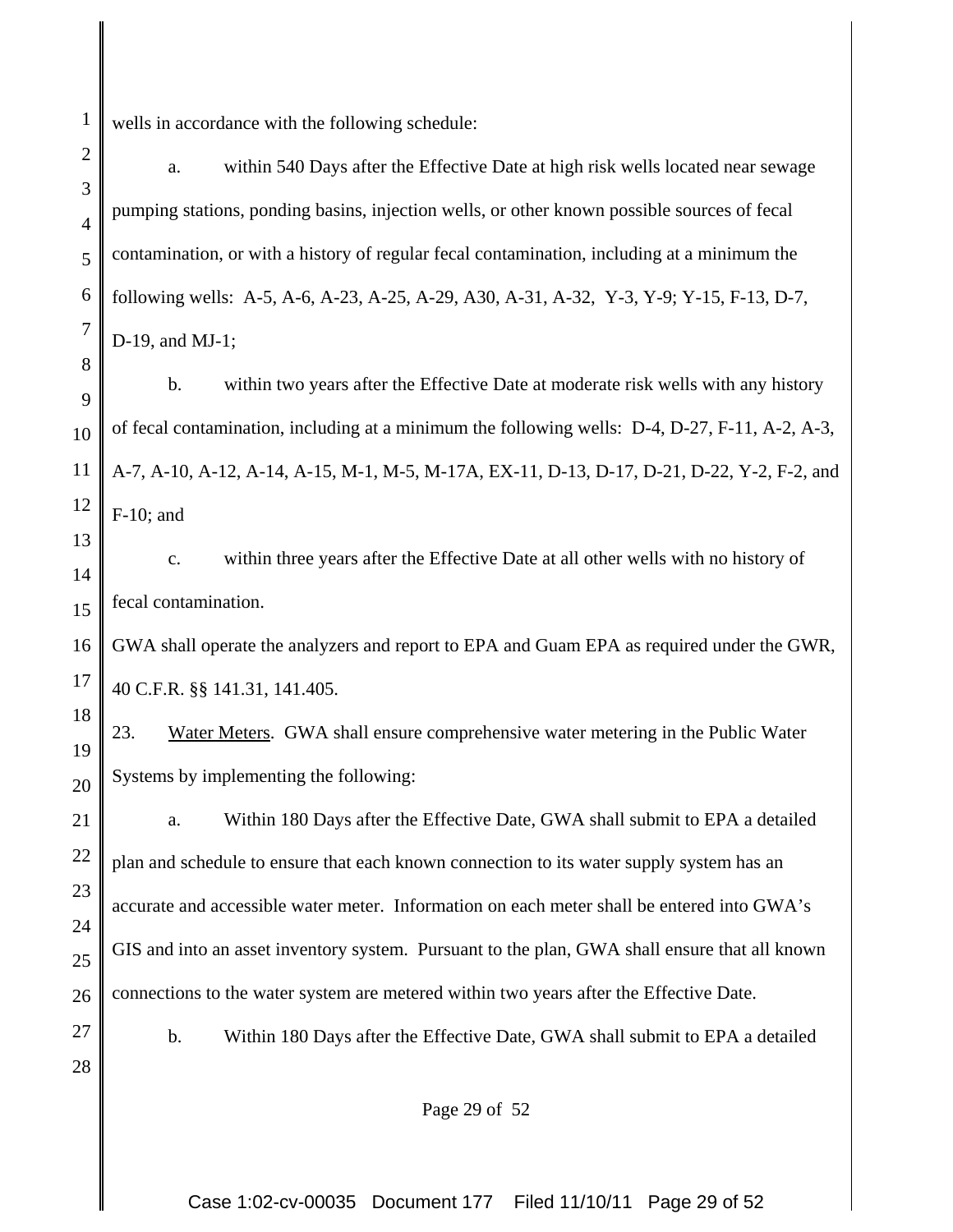1 wells in accordance with the following schedule:

2 3 4 5 6 7 8 9 10 11 12 13 14 15 16 17 18 19 20 21 22 23 24 25 26 27 28 a. within 540 Days after the Effective Date at high risk wells located near sewage pumping stations, ponding basins, injection wells, or other known possible sources of fecal contamination, or with a history of regular fecal contamination, including at a minimum the following wells: A-5, A-6, A-23, A-25, A-29, A30, A-31, A-32, Y-3, Y-9; Y-15, F-13, D-7, D-19, and MJ-1; b. within two years after the Effective Date at moderate risk wells with any history of fecal contamination, including at a minimum the following wells: D-4, D-27, F-11, A-2, A-3, A-7, A-10, A-12, A-14, A-15, M-1, M-5, M-17A, EX-11, D-13, D-17, D-21, D-22, Y-2, F-2, and F-10; and c. within three years after the Effective Date at all other wells with no history of fecal contamination. GWA shall operate the analyzers and report to EPA and Guam EPA as required under the GWR, 40 C.F.R. §§ 141.31, 141.405. 23. Water Meters. GWA shall ensure comprehensive water metering in the Public Water Systems by implementing the following: a. Within 180 Days after the Effective Date, GWA shall submit to EPA a detailed plan and schedule to ensure that each known connection to its water supply system has an accurate and accessible water meter. Information on each meter shall be entered into GWA's GIS and into an asset inventory system. Pursuant to the plan, GWA shall ensure that all known connections to the water system are metered within two years after the Effective Date. b. Within 180 Days after the Effective Date, GWA shall submit to EPA a detailed Page 29 of 52

Case 1:02-cv-00035 Document 177 Filed 11/10/11 Page 29 of 52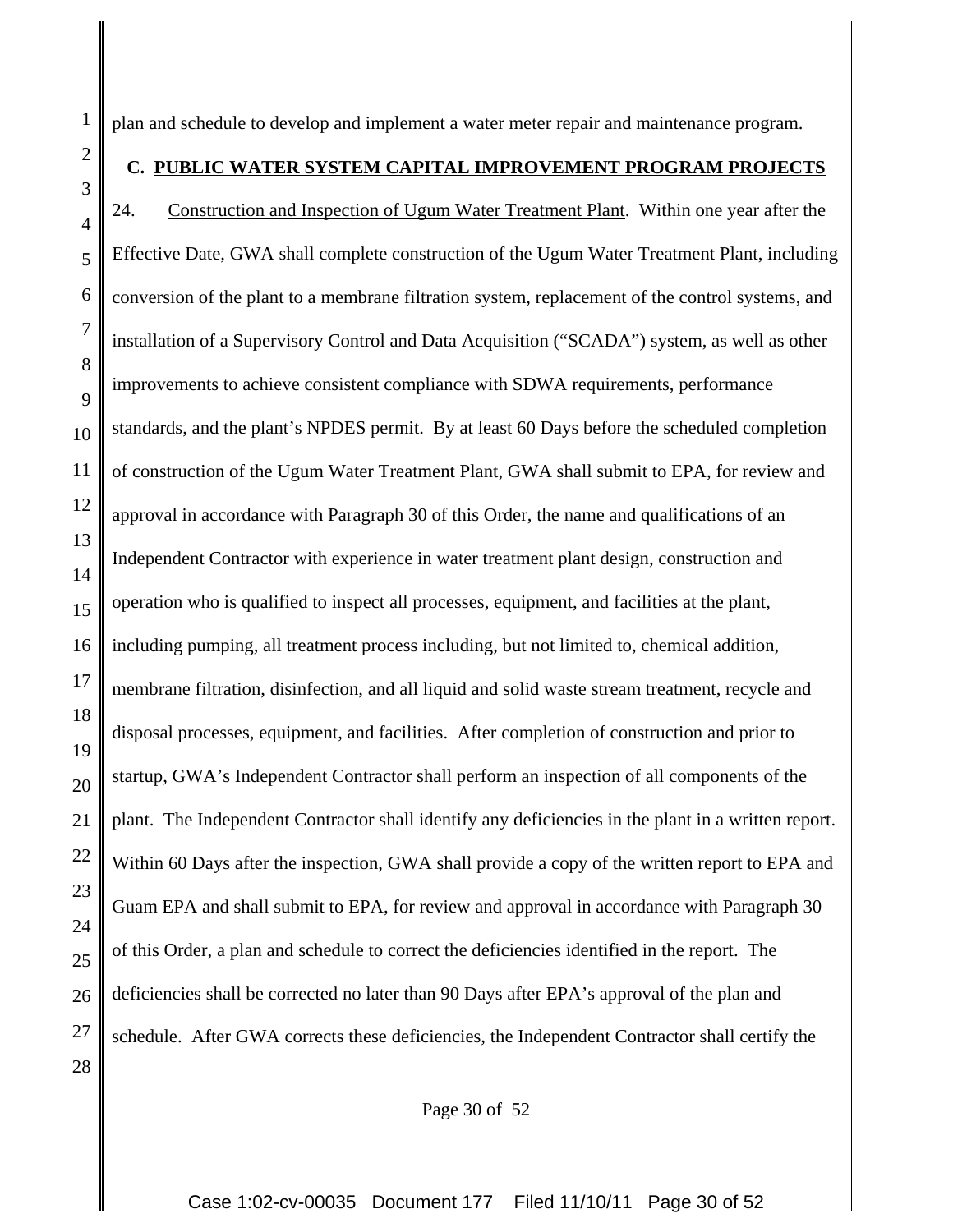plan and schedule to develop and implement a water meter repair and maintenance program.

1

2

3

4

5

6

7

8

9

10

11

12

13

14

15

16

17

18

19

20

21

22

23

24

25

26

27

28

### **C. PUBLIC WATER SYSTEM CAPITAL IMPROVEMENT PROGRAM PROJECTS**

24. Construction and Inspection of Ugum Water Treatment Plant. Within one year after the Effective Date, GWA shall complete construction of the Ugum Water Treatment Plant, including conversion of the plant to a membrane filtration system, replacement of the control systems, and installation of a Supervisory Control and Data Acquisition ("SCADA") system, as well as other improvements to achieve consistent compliance with SDWA requirements, performance standards, and the plant's NPDES permit. By at least 60 Days before the scheduled completion of construction of the Ugum Water Treatment Plant, GWA shall submit to EPA, for review and approval in accordance with Paragraph 30 of this Order, the name and qualifications of an Independent Contractor with experience in water treatment plant design, construction and operation who is qualified to inspect all processes, equipment, and facilities at the plant, including pumping, all treatment process including, but not limited to, chemical addition, membrane filtration, disinfection, and all liquid and solid waste stream treatment, recycle and disposal processes, equipment, and facilities. After completion of construction and prior to startup, GWA's Independent Contractor shall perform an inspection of all components of the plant. The Independent Contractor shall identify any deficiencies in the plant in a written report. Within 60 Days after the inspection, GWA shall provide a copy of the written report to EPA and Guam EPA and shall submit to EPA, for review and approval in accordance with Paragraph 30 of this Order, a plan and schedule to correct the deficiencies identified in the report. The deficiencies shall be corrected no later than 90 Days after EPA's approval of the plan and schedule. After GWA corrects these deficiencies, the Independent Contractor shall certify the

Page 30 of 52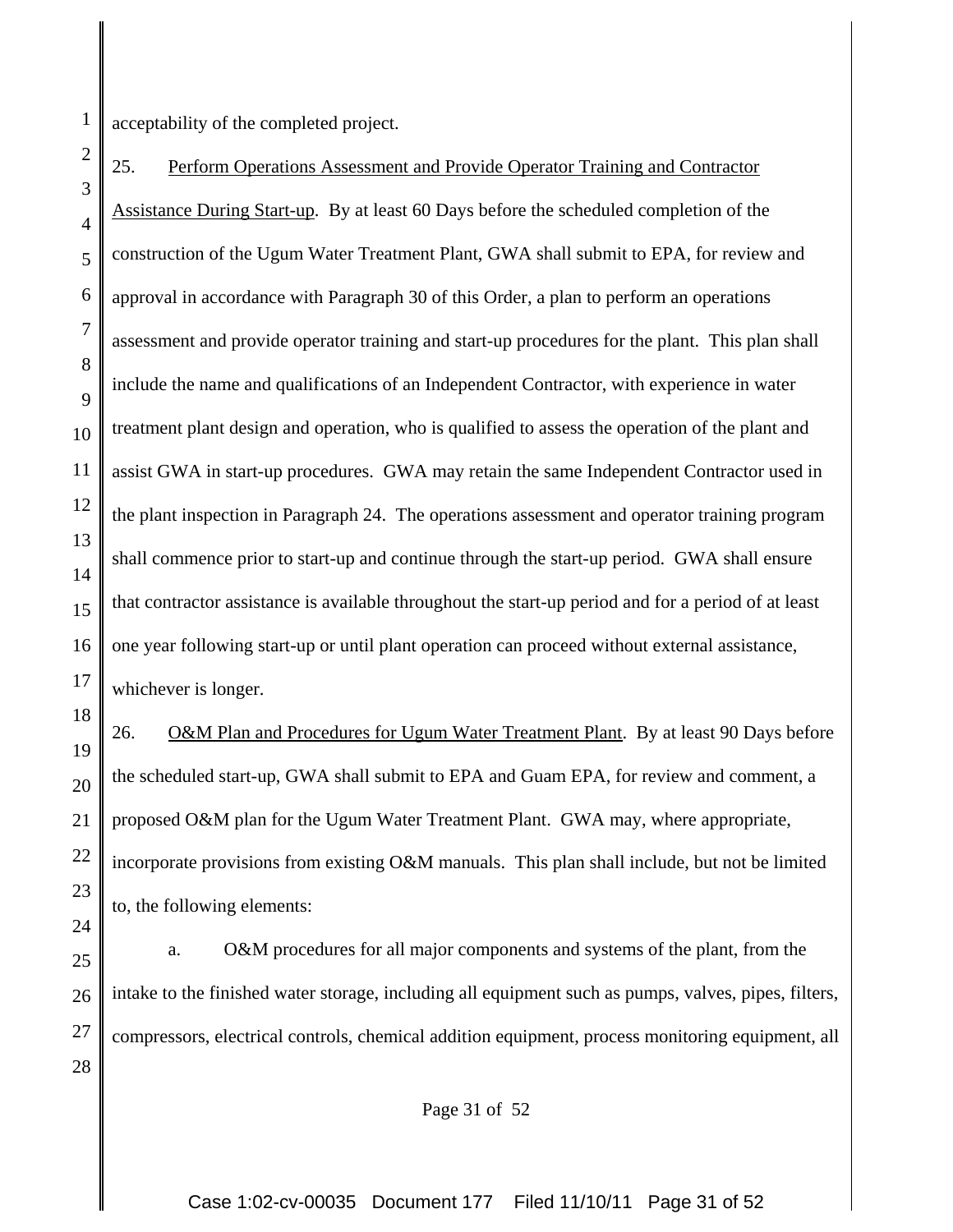1 acceptability of the completed project.

18

20

21

2 3 4 5 6 7 8 9 10 11 12 13 14 15 16 17 25. Perform Operations Assessment and Provide Operator Training and Contractor Assistance During Start-up. By at least 60 Days before the scheduled completion of the construction of the Ugum Water Treatment Plant, GWA shall submit to EPA, for review and approval in accordance with Paragraph 30 of this Order, a plan to perform an operations assessment and provide operator training and start-up procedures for the plant. This plan shall include the name and qualifications of an Independent Contractor, with experience in water treatment plant design and operation, who is qualified to assess the operation of the plant and assist GWA in start-up procedures. GWA may retain the same Independent Contractor used in the plant inspection in Paragraph 24. The operations assessment and operator training program shall commence prior to start-up and continue through the start-up period. GWA shall ensure that contractor assistance is available throughout the start-up period and for a period of at least one year following start-up or until plant operation can proceed without external assistance, whichever is longer.

19 22 23 24 26. O&M Plan and Procedures for Ugum Water Treatment Plant. By at least 90 Days before the scheduled start-up, GWA shall submit to EPA and Guam EPA, for review and comment, a proposed O&M plan for the Ugum Water Treatment Plant. GWA may, where appropriate, incorporate provisions from existing O&M manuals. This plan shall include, but not be limited to, the following elements:

25 26 27 28 a. O&M procedures for all major components and systems of the plant, from the intake to the finished water storage, including all equipment such as pumps, valves, pipes, filters, compressors, electrical controls, chemical addition equipment, process monitoring equipment, all

Page 31 of 52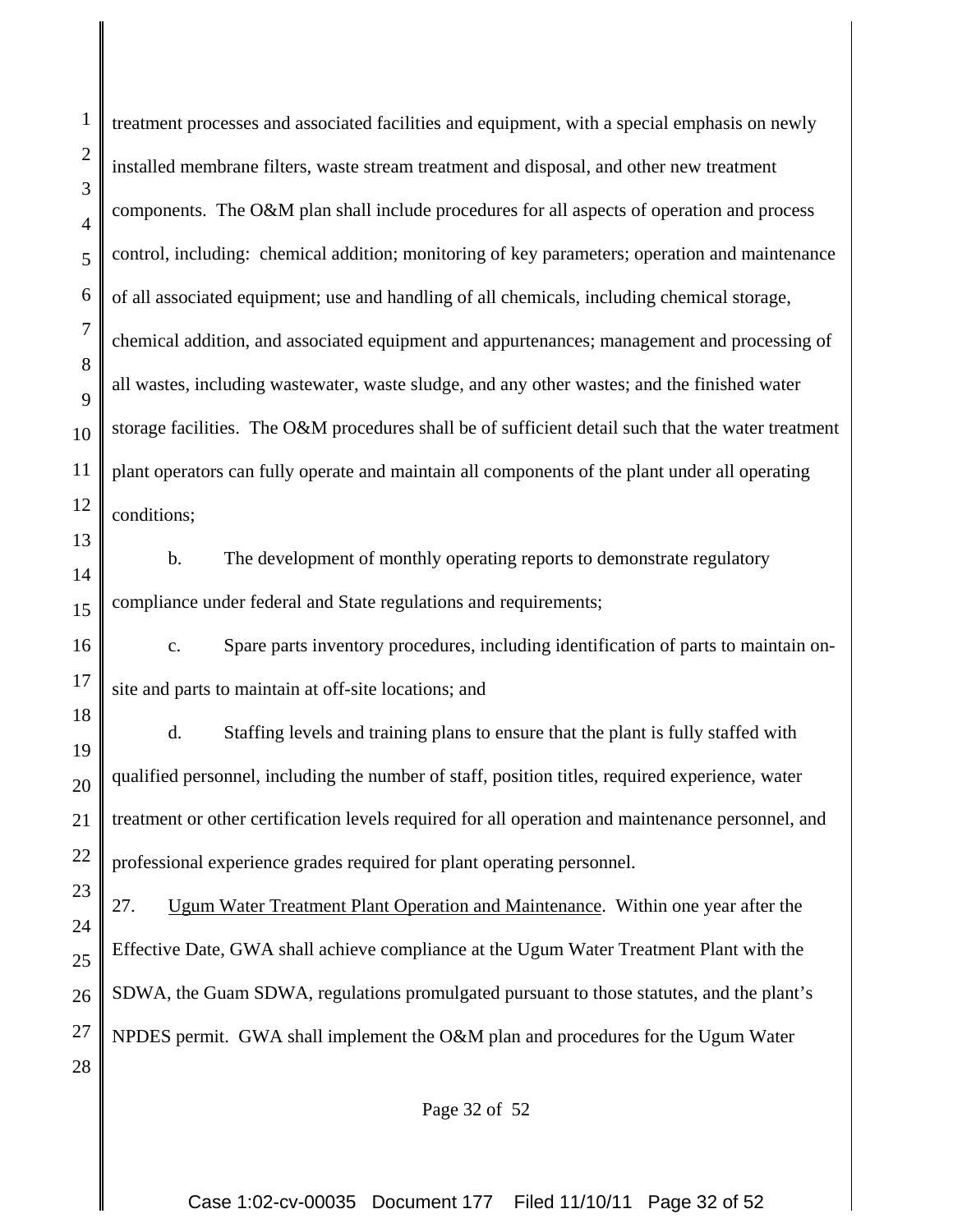1

treatment processes and associated facilities and equipment, with a special emphasis on newly installed membrane filters, waste stream treatment and disposal, and other new treatment components. The O&M plan shall include procedures for all aspects of operation and process control, including: chemical addition; monitoring of key parameters; operation and maintenance of all associated equipment; use and handling of all chemicals, including chemical storage, chemical addition, and associated equipment and appurtenances; management and processing of all wastes, including wastewater, waste sludge, and any other wastes; and the finished water storage facilities. The O&M procedures shall be of sufficient detail such that the water treatment plant operators can fully operate and maintain all components of the plant under all operating conditions;

b. The development of monthly operating reports to demonstrate regulatory compliance under federal and State regulations and requirements;

 c. Spare parts inventory procedures, including identification of parts to maintain onsite and parts to maintain at off-site locations; and

d. Staffing levels and training plans to ensure that the plant is fully staffed with qualified personnel, including the number of staff, position titles, required experience, water treatment or other certification levels required for all operation and maintenance personnel, and professional experience grades required for plant operating personnel.

27. Ugum Water Treatment Plant Operation and Maintenance. Within one year after the Effective Date, GWA shall achieve compliance at the Ugum Water Treatment Plant with the SDWA, the Guam SDWA, regulations promulgated pursuant to those statutes, and the plant's NPDES permit. GWA shall implement the O&M plan and procedures for the Ugum Water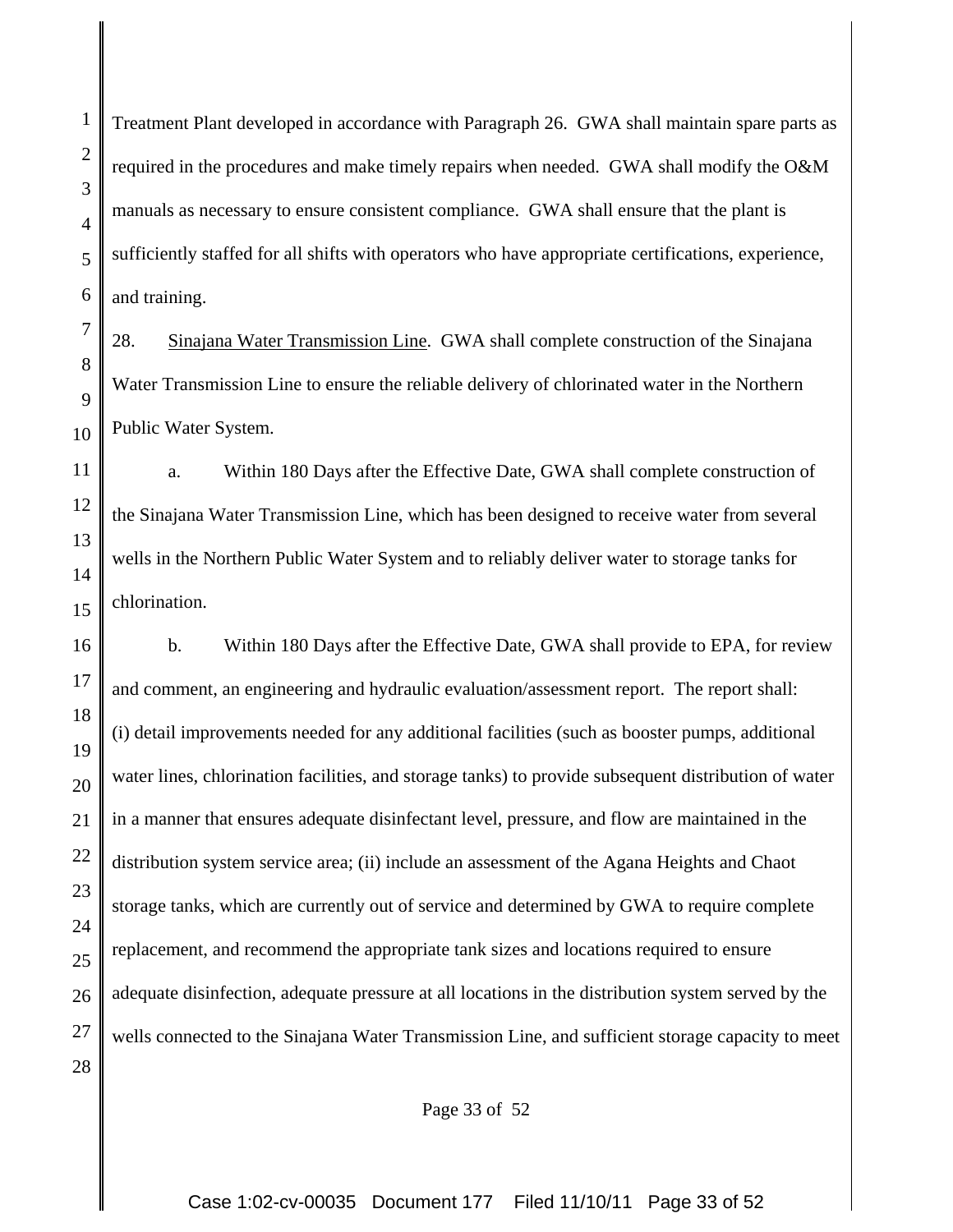1 2 3 4 5 6 7 8 9 10 11 12 13 14 15 Treatment Plant developed in accordance with Paragraph 26. GWA shall maintain spare parts as required in the procedures and make timely repairs when needed. GWA shall modify the O&M manuals as necessary to ensure consistent compliance. GWA shall ensure that the plant is sufficiently staffed for all shifts with operators who have appropriate certifications, experience, and training. 28. Sinajana Water Transmission Line. GWA shall complete construction of the Sinajana Water Transmission Line to ensure the reliable delivery of chlorinated water in the Northern Public Water System. a. Within 180 Days after the Effective Date, GWA shall complete construction of the Sinajana Water Transmission Line, which has been designed to receive water from several wells in the Northern Public Water System and to reliably deliver water to storage tanks for chlorination.

16 17 18 19 20 21 22 23 24 25 26 27 28 b. Within 180 Days after the Effective Date, GWA shall provide to EPA, for review and comment, an engineering and hydraulic evaluation/assessment report. The report shall: (i) detail improvements needed for any additional facilities (such as booster pumps, additional water lines, chlorination facilities, and storage tanks) to provide subsequent distribution of water in a manner that ensures adequate disinfectant level, pressure, and flow are maintained in the distribution system service area; (ii) include an assessment of the Agana Heights and Chaot storage tanks, which are currently out of service and determined by GWA to require complete replacement, and recommend the appropriate tank sizes and locations required to ensure adequate disinfection, adequate pressure at all locations in the distribution system served by the wells connected to the Sinajana Water Transmission Line, and sufficient storage capacity to meet

Page 33 of 52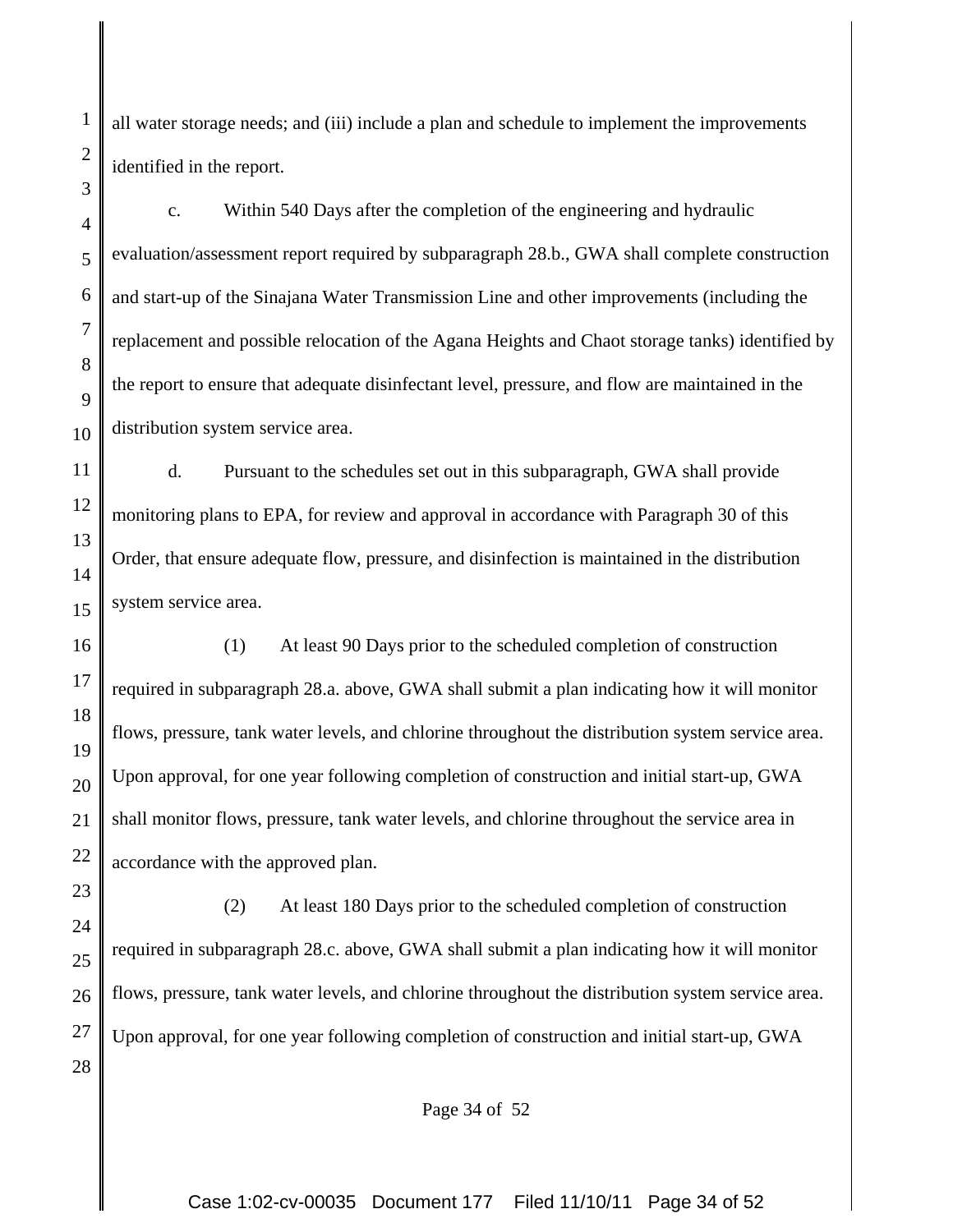all water storage needs; and (iii) include a plan and schedule to implement the improvements identified in the report.

c. Within 540 Days after the completion of the engineering and hydraulic evaluation/assessment report required by subparagraph 28.b., GWA shall complete construction and start-up of the Sinajana Water Transmission Line and other improvements (including the replacement and possible relocation of the Agana Heights and Chaot storage tanks) identified by the report to ensure that adequate disinfectant level, pressure, and flow are maintained in the distribution system service area.

d. Pursuant to the schedules set out in this subparagraph, GWA shall provide monitoring plans to EPA, for review and approval in accordance with Paragraph 30 of this Order, that ensure adequate flow, pressure, and disinfection is maintained in the distribution system service area.

(1) At least 90 Days prior to the scheduled completion of construction required in subparagraph 28.a. above, GWA shall submit a plan indicating how it will monitor flows, pressure, tank water levels, and chlorine throughout the distribution system service area. Upon approval, for one year following completion of construction and initial start-up, GWA shall monitor flows, pressure, tank water levels, and chlorine throughout the service area in accordance with the approved plan.

(2) At least 180 Days prior to the scheduled completion of construction required in subparagraph 28.c. above, GWA shall submit a plan indicating how it will monitor flows, pressure, tank water levels, and chlorine throughout the distribution system service area. Upon approval, for one year following completion of construction and initial start-up, GWA

Page 34 of 52

Case 1:02-cv-00035 Document 177 Filed 11/10/11 Page 34 of 52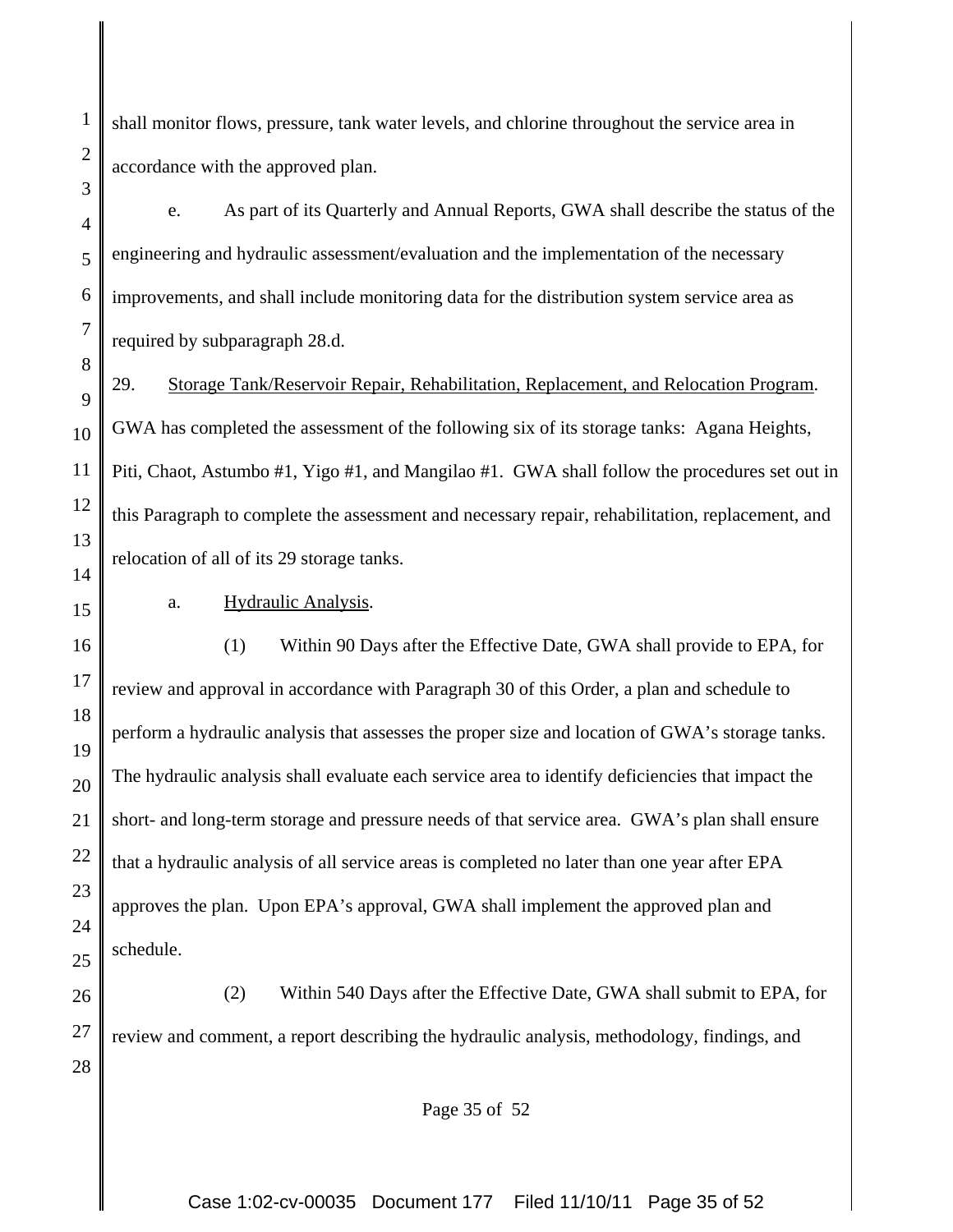shall monitor flows, pressure, tank water levels, and chlorine throughout the service area in accordance with the approved plan.

e. As part of its Quarterly and Annual Reports, GWA shall describe the status of the engineering and hydraulic assessment/evaluation and the implementation of the necessary improvements, and shall include monitoring data for the distribution system service area as required by subparagraph 28.d.

29. Storage Tank/Reservoir Repair, Rehabilitation, Replacement, and Relocation Program. GWA has completed the assessment of the following six of its storage tanks: Agana Heights, Piti, Chaot, Astumbo #1, Yigo #1, and Mangilao #1. GWA shall follow the procedures set out in this Paragraph to complete the assessment and necessary repair, rehabilitation, replacement, and relocation of all of its 29 storage tanks.

a. Hydraulic Analysis.

(1) Within 90 Days after the Effective Date, GWA shall provide to EPA, for review and approval in accordance with Paragraph 30 of this Order, a plan and schedule to perform a hydraulic analysis that assesses the proper size and location of GWA's storage tanks. The hydraulic analysis shall evaluate each service area to identify deficiencies that impact the short- and long-term storage and pressure needs of that service area. GWA's plan shall ensure that a hydraulic analysis of all service areas is completed no later than one year after EPA approves the plan. Upon EPA's approval, GWA shall implement the approved plan and schedule.

(2) Within 540 Days after the Effective Date, GWA shall submit to EPA, for review and comment, a report describing the hydraulic analysis, methodology, findings, and

Page 35 of 52

Case 1:02-cv-00035 Document 177 Filed 11/10/11 Page 35 of 52

1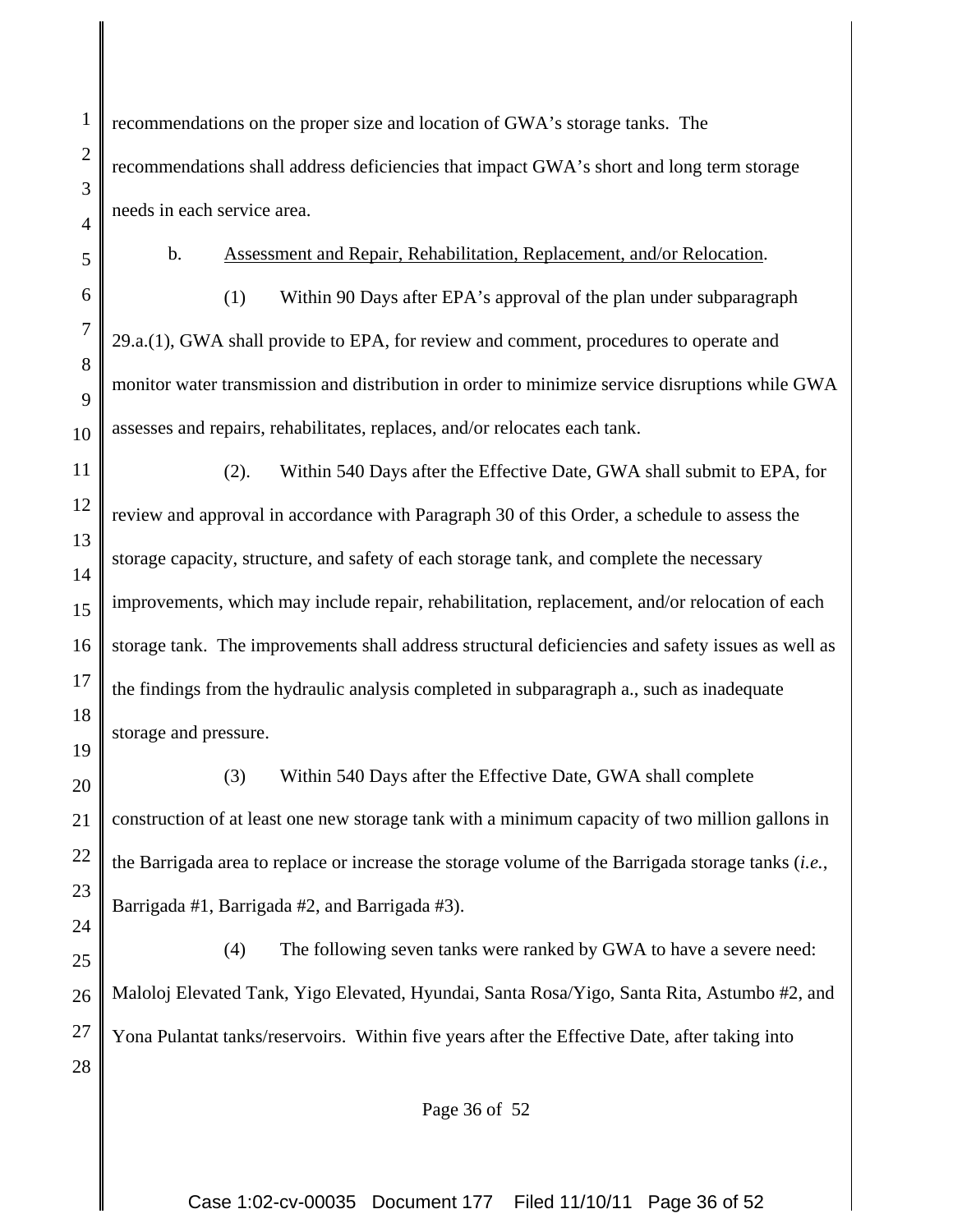recommendations on the proper size and location of GWA's storage tanks. The recommendations shall address deficiencies that impact GWA's short and long term storage needs in each service area.

b. Assessment and Repair, Rehabilitation, Replacement, and/or Relocation.

(1) Within 90 Days after EPA's approval of the plan under subparagraph 29.a.(1), GWA shall provide to EPA, for review and comment, procedures to operate and monitor water transmission and distribution in order to minimize service disruptions while GWA assesses and repairs, rehabilitates, replaces, and/or relocates each tank.

(2). Within 540 Days after the Effective Date, GWA shall submit to EPA, for review and approval in accordance with Paragraph 30 of this Order, a schedule to assess the storage capacity, structure, and safety of each storage tank, and complete the necessary improvements, which may include repair, rehabilitation, replacement, and/or relocation of each storage tank. The improvements shall address structural deficiencies and safety issues as well as the findings from the hydraulic analysis completed in subparagraph a., such as inadequate storage and pressure.

(3) Within 540 Days after the Effective Date, GWA shall complete construction of at least one new storage tank with a minimum capacity of two million gallons in the Barrigada area to replace or increase the storage volume of the Barrigada storage tanks (*i.e.*, Barrigada #1, Barrigada #2, and Barrigada #3).

(4) The following seven tanks were ranked by GWA to have a severe need: Maloloj Elevated Tank, Yigo Elevated, Hyundai, Santa Rosa/Yigo, Santa Rita, Astumbo #2, and Yona Pulantat tanks/reservoirs. Within five years after the Effective Date, after taking into

Page 36 of 52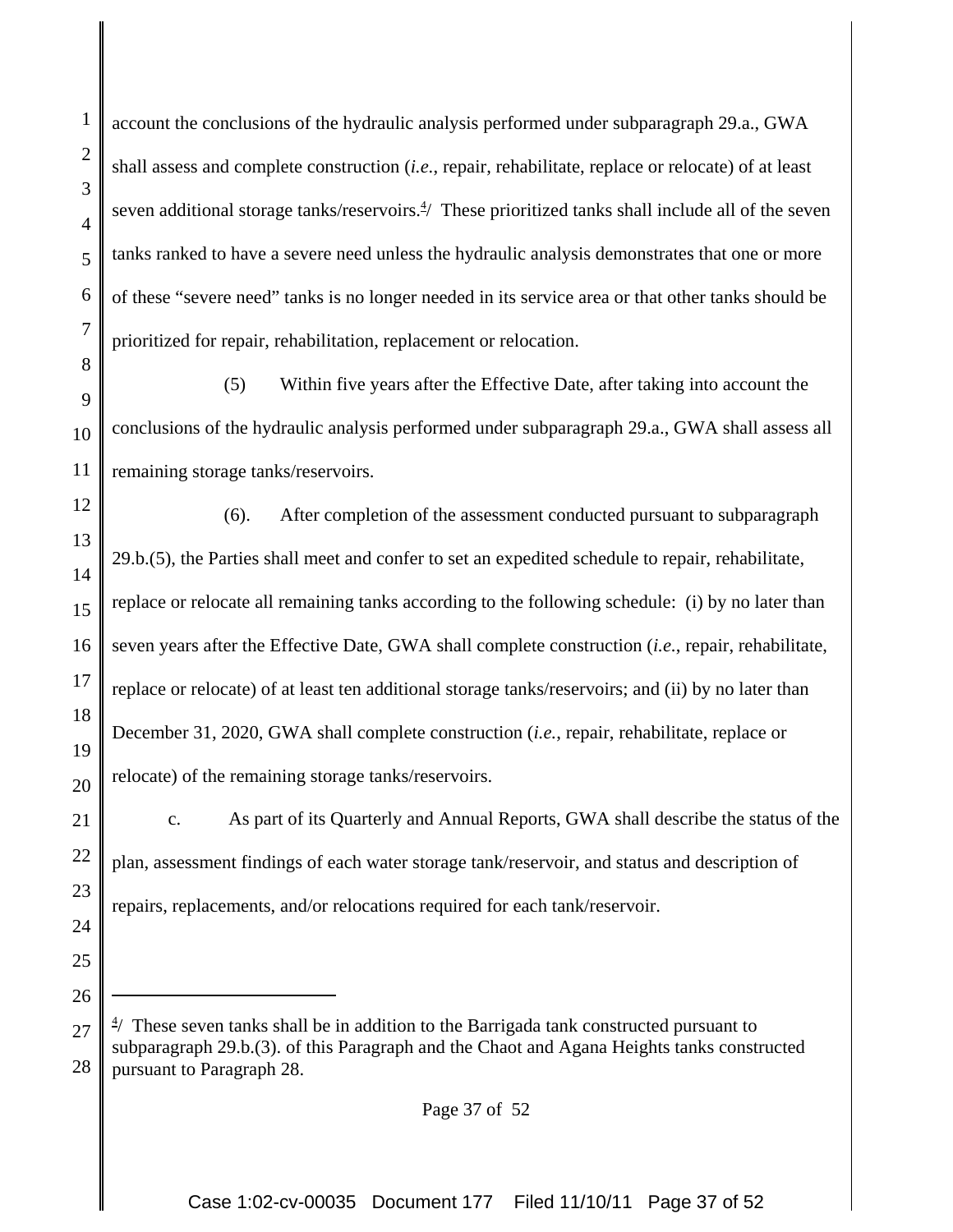1

2

3

account the conclusions of the hydraulic analysis performed under subparagraph 29.a., GWA shall assess and complete construction (*i.e.*, repair, rehabilitate, replace or relocate) of at least seven additional storage tanks/reservoirs.<sup>4</sup>/ These prioritized tanks shall include all of the seven tanks ranked to have a severe need unless the hydraulic analysis demonstrates that one or more of these "severe need" tanks is no longer needed in its service area or that other tanks should be prioritized for repair, rehabilitation, replacement or relocation.

(5) Within five years after the Effective Date, after taking into account the conclusions of the hydraulic analysis performed under subparagraph 29.a., GWA shall assess all remaining storage tanks/reservoirs.

(6). After completion of the assessment conducted pursuant to subparagraph 29.b.(5), the Parties shall meet and confer to set an expedited schedule to repair, rehabilitate, replace or relocate all remaining tanks according to the following schedule: (i) by no later than seven years after the Effective Date, GWA shall complete construction (*i.e.*, repair, rehabilitate, replace or relocate) of at least ten additional storage tanks/reservoirs; and (ii) by no later than December 31, 2020, GWA shall complete construction (*i.e.*, repair, rehabilitate, replace or relocate) of the remaining storage tanks/reservoirs.

c. As part of its Quarterly and Annual Reports, GWA shall describe the status of the plan, assessment findings of each water storage tank/reservoir, and status and description of repairs, replacements, and/or relocations required for each tank/reservoir.

Page 37 of 52

 $4/$  These seven tanks shall be in addition to the Barrigada tank constructed pursuant to subparagraph 29.b.(3). of this Paragraph and the Chaot and Agana Heights tanks constructed pursuant to Paragraph 28.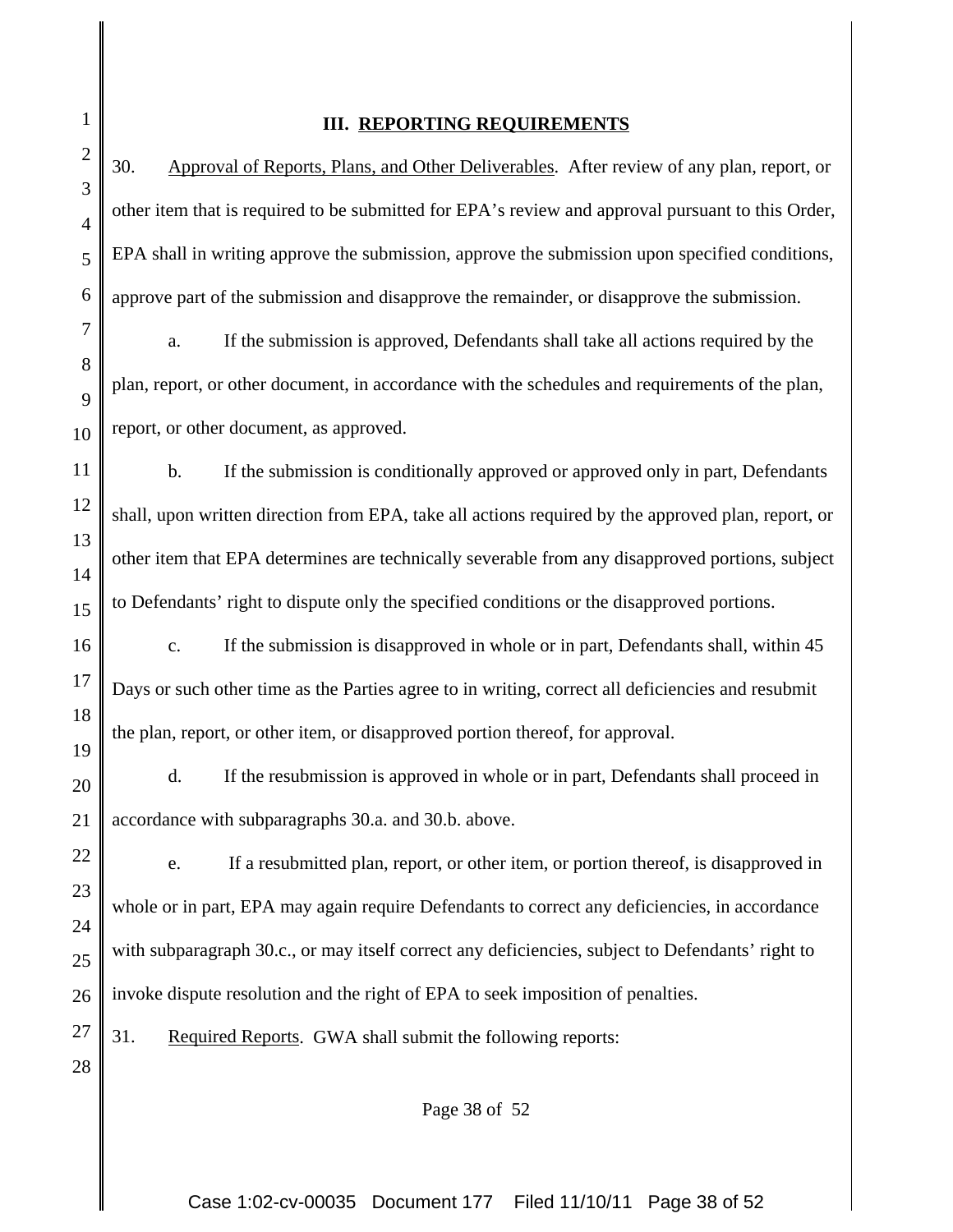#### **III. REPORTING REQUIREMENTS**

30. Approval of Reports, Plans, and Other Deliverables. After review of any plan, report, or other item that is required to be submitted for EPA's review and approval pursuant to this Order, EPA shall in writing approve the submission, approve the submission upon specified conditions, approve part of the submission and disapprove the remainder, or disapprove the submission.

a. If the submission is approved, Defendants shall take all actions required by the plan, report, or other document, in accordance with the schedules and requirements of the plan, report, or other document, as approved.

b. If the submission is conditionally approved or approved only in part, Defendants shall, upon written direction from EPA, take all actions required by the approved plan, report, or other item that EPA determines are technically severable from any disapproved portions, subject to Defendants' right to dispute only the specified conditions or the disapproved portions.

 c. If the submission is disapproved in whole or in part, Defendants shall, within 45 Days or such other time as the Parties agree to in writing, correct all deficiencies and resubmit the plan, report, or other item, or disapproved portion thereof, for approval.

d. If the resubmission is approved in whole or in part, Defendants shall proceed in accordance with subparagraphs 30.a. and 30.b. above.

e. If a resubmitted plan, report, or other item, or portion thereof, is disapproved in whole or in part, EPA may again require Defendants to correct any deficiencies, in accordance with subparagraph 30.c., or may itself correct any deficiencies, subject to Defendants' right to invoke dispute resolution and the right of EPA to seek imposition of penalties.

31. Required Reports. GWA shall submit the following reports:

Page 38 of 52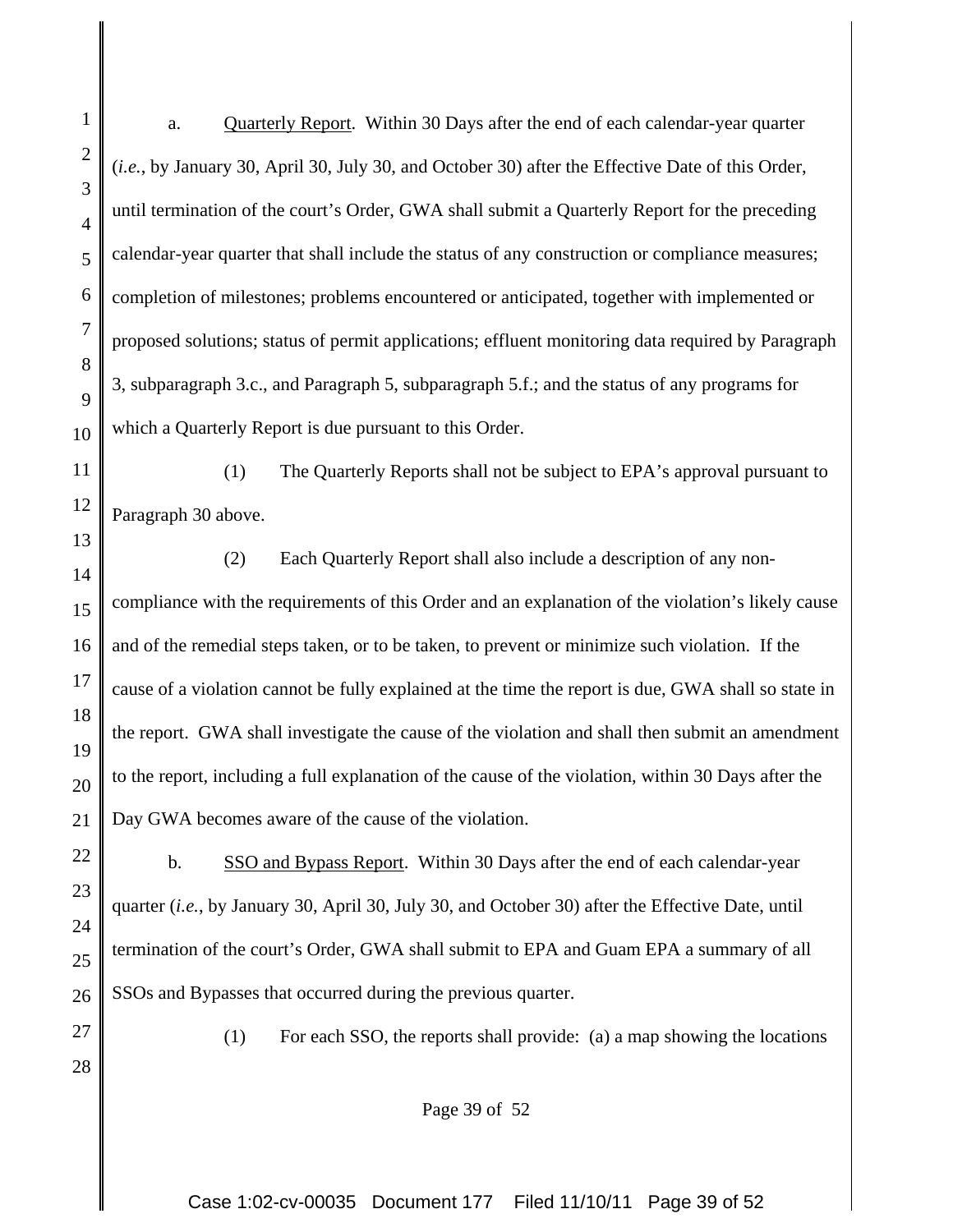2 3 4 5 6 7 8 9 10 11 12 13 14 15 16 17 18 19 20 21 22 23 24 (*i.e.*, by January 30, April 30, July 30, and October 30) after the Effective Date of this Order, until termination of the court's Order, GWA shall submit a Quarterly Report for the preceding calendar-year quarter that shall include the status of any construction or compliance measures; completion of milestones; problems encountered or anticipated, together with implemented or proposed solutions; status of permit applications; effluent monitoring data required by Paragraph 3, subparagraph 3.c., and Paragraph 5, subparagraph 5.f.; and the status of any programs for which a Quarterly Report is due pursuant to this Order. (1) The Quarterly Reports shall not be subject to EPA's approval pursuant to Paragraph 30 above. (2) Each Quarterly Report shall also include a description of any noncompliance with the requirements of this Order and an explanation of the violation's likely cause and of the remedial steps taken, or to be taken, to prevent or minimize such violation. If the cause of a violation cannot be fully explained at the time the report is due, GWA shall so state in the report. GWA shall investigate the cause of the violation and shall then submit an amendment to the report, including a full explanation of the cause of the violation, within 30 Days after the Day GWA becomes aware of the cause of the violation. b. SSO and Bypass Report. Within 30 Days after the end of each calendar-year quarter (*i.e.*, by January 30, April 30, July 30, and October 30) after the Effective Date, until termination of the court's Order, GWA shall submit to EPA and Guam EPA a summary of all

a. Quarterly Report. Within 30 Days after the end of each calendar-year quarter

26 27 28

25

1

(1) For each SSO, the reports shall provide: (a) a map showing the locations

Page 39 of 52

SSOs and Bypasses that occurred during the previous quarter.

Case 1:02-cv-00035 Document 177 Filed 11/10/11 Page 39 of 52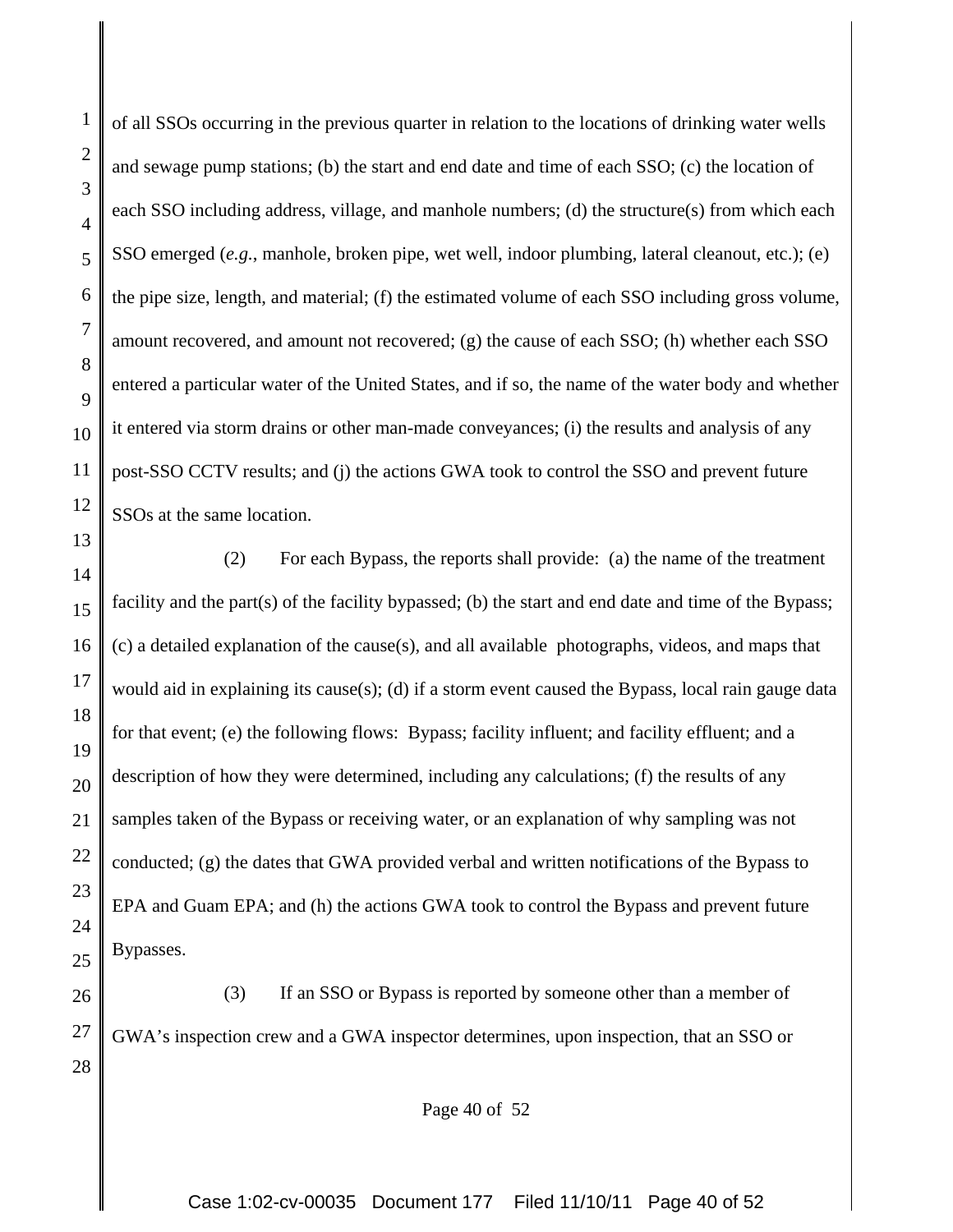of all SSOs occurring in the previous quarter in relation to the locations of drinking water wells and sewage pump stations; (b) the start and end date and time of each SSO; (c) the location of each SSO including address, village, and manhole numbers; (d) the structure(s) from which each SSO emerged (*e.g.*, manhole, broken pipe, wet well, indoor plumbing, lateral cleanout, etc.); (e) the pipe size, length, and material; (f) the estimated volume of each SSO including gross volume, amount recovered, and amount not recovered; (g) the cause of each SSO; (h) whether each SSO entered a particular water of the United States, and if so, the name of the water body and whether it entered via storm drains or other man-made conveyances; (i) the results and analysis of any post-SSO CCTV results; and (j) the actions GWA took to control the SSO and prevent future SSOs at the same location.

(2) For each Bypass, the reports shall provide: (a) the name of the treatment facility and the part(s) of the facility bypassed; (b) the start and end date and time of the Bypass; (c) a detailed explanation of the cause(s), and all available photographs, videos, and maps that would aid in explaining its cause(s); (d) if a storm event caused the Bypass, local rain gauge data for that event; (e) the following flows: Bypass; facility influent; and facility effluent; and a description of how they were determined, including any calculations; (f) the results of any samples taken of the Bypass or receiving water, or an explanation of why sampling was not conducted; (g) the dates that GWA provided verbal and written notifications of the Bypass to EPA and Guam EPA; and (h) the actions GWA took to control the Bypass and prevent future Bypasses.

(3) If an SSO or Bypass is reported by someone other than a member of GWA's inspection crew and a GWA inspector determines, upon inspection, that an SSO or

Page 40 of 52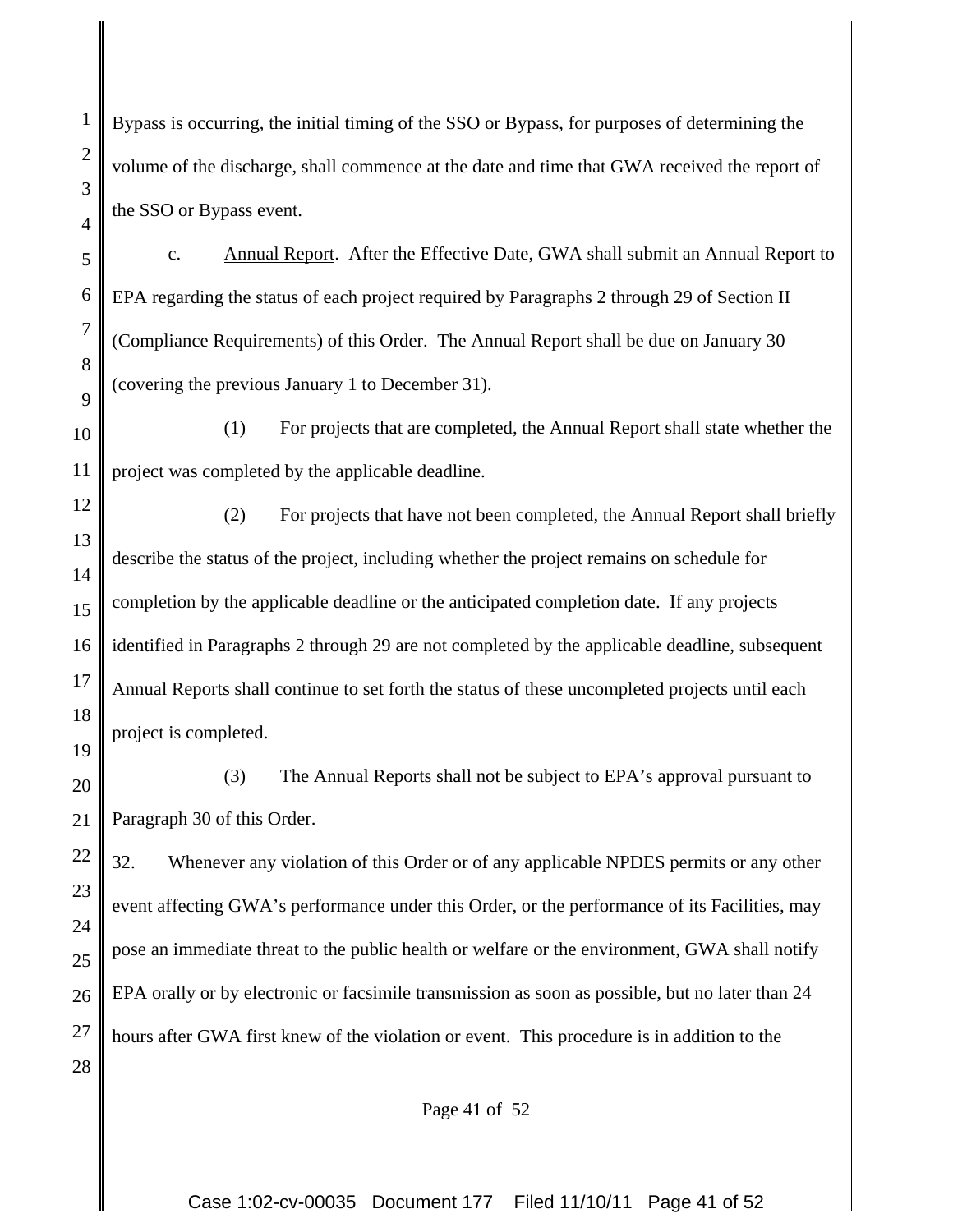Bypass is occurring, the initial timing of the SSO or Bypass, for purposes of determining the volume of the discharge, shall commence at the date and time that GWA received the report of the SSO or Bypass event.

1

2

3

4

5

6

7

8

9

19

c. Annual Report. After the Effective Date, GWA shall submit an Annual Report to EPA regarding the status of each project required by Paragraphs 2 through 29 of Section II (Compliance Requirements) of this Order. The Annual Report shall be due on January 30 (covering the previous January 1 to December 31).

10 11 (1) For projects that are completed, the Annual Report shall state whether the project was completed by the applicable deadline.

12 13 14 15 16 17 18 (2) For projects that have not been completed, the Annual Report shall briefly describe the status of the project, including whether the project remains on schedule for completion by the applicable deadline or the anticipated completion date. If any projects identified in Paragraphs 2 through 29 are not completed by the applicable deadline, subsequent Annual Reports shall continue to set forth the status of these uncompleted projects until each project is completed.

20 21 (3) The Annual Reports shall not be subject to EPA's approval pursuant to Paragraph 30 of this Order.

22 23 24 25 26 27 28 32. Whenever any violation of this Order or of any applicable NPDES permits or any other event affecting GWA's performance under this Order, or the performance of its Facilities, may pose an immediate threat to the public health or welfare or the environment, GWA shall notify EPA orally or by electronic or facsimile transmission as soon as possible, but no later than 24 hours after GWA first knew of the violation or event. This procedure is in addition to the

Page 41 of 52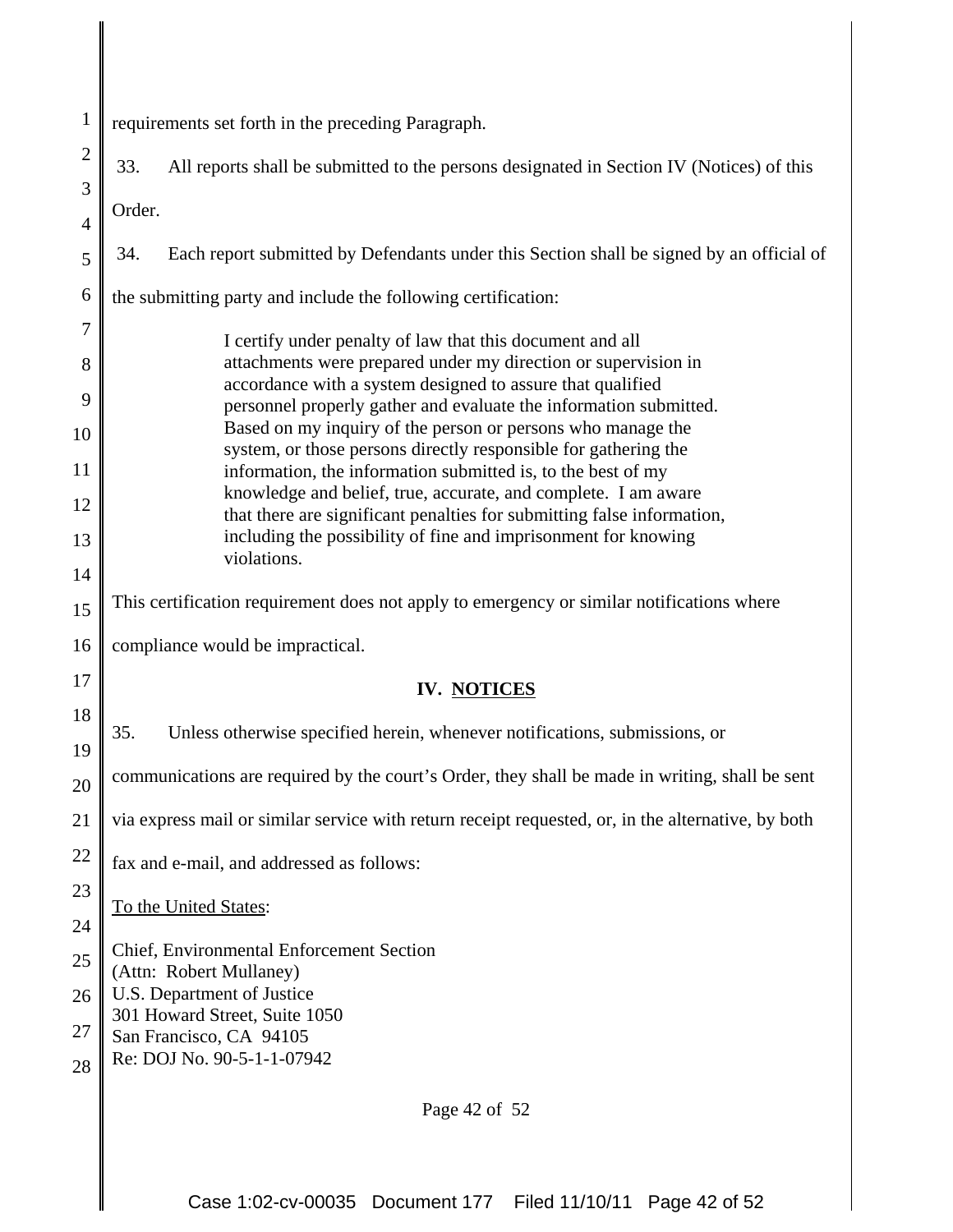| $\mathbf{1}$   | requirements set forth in the preceding Paragraph.                                                                             |  |  |  |
|----------------|--------------------------------------------------------------------------------------------------------------------------------|--|--|--|
| $\overline{2}$ | 33.<br>All reports shall be submitted to the persons designated in Section IV (Notices) of this                                |  |  |  |
| 3              |                                                                                                                                |  |  |  |
| $\overline{4}$ | Order.                                                                                                                         |  |  |  |
| 5              | Each report submitted by Defendants under this Section shall be signed by an official of<br>34.                                |  |  |  |
| 6              | the submitting party and include the following certification:                                                                  |  |  |  |
| 7              | I certify under penalty of law that this document and all                                                                      |  |  |  |
| 8              | attachments were prepared under my direction or supervision in<br>accordance with a system designed to assure that qualified   |  |  |  |
| 9              | personnel properly gather and evaluate the information submitted.                                                              |  |  |  |
| 10             | Based on my inquiry of the person or persons who manage the<br>system, or those persons directly responsible for gathering the |  |  |  |
| 11             | information, the information submitted is, to the best of my<br>knowledge and belief, true, accurate, and complete. I am aware |  |  |  |
| 12             | that there are significant penalties for submitting false information,                                                         |  |  |  |
| 13             | including the possibility of fine and imprisonment for knowing<br>violations.                                                  |  |  |  |
| 14<br>15       | This certification requirement does not apply to emergency or similar notifications where                                      |  |  |  |
| 16             | compliance would be impractical.                                                                                               |  |  |  |
| 17             |                                                                                                                                |  |  |  |
| 18             | IV. NOTICES                                                                                                                    |  |  |  |
| 19             | 35.<br>Unless otherwise specified herein, whenever notifications, submissions, or                                              |  |  |  |
| 20             | communications are required by the court's Order, they shall be made in writing, shall be sent                                 |  |  |  |
| 21             | via express mail or similar service with return receipt requested, or, in the alternative, by both                             |  |  |  |
| 22             | fax and e-mail, and addressed as follows:                                                                                      |  |  |  |
| 23             | To the United States:                                                                                                          |  |  |  |
| 24             | Chief, Environmental Enforcement Section                                                                                       |  |  |  |
| 25             | (Attn: Robert Mullaney)                                                                                                        |  |  |  |
| 26             | U.S. Department of Justice<br>301 Howard Street, Suite 1050                                                                    |  |  |  |
| 27             | San Francisco, CA 94105<br>Re: DOJ No. 90-5-1-1-07942                                                                          |  |  |  |
| 28             |                                                                                                                                |  |  |  |
|                | Page 42 of 52                                                                                                                  |  |  |  |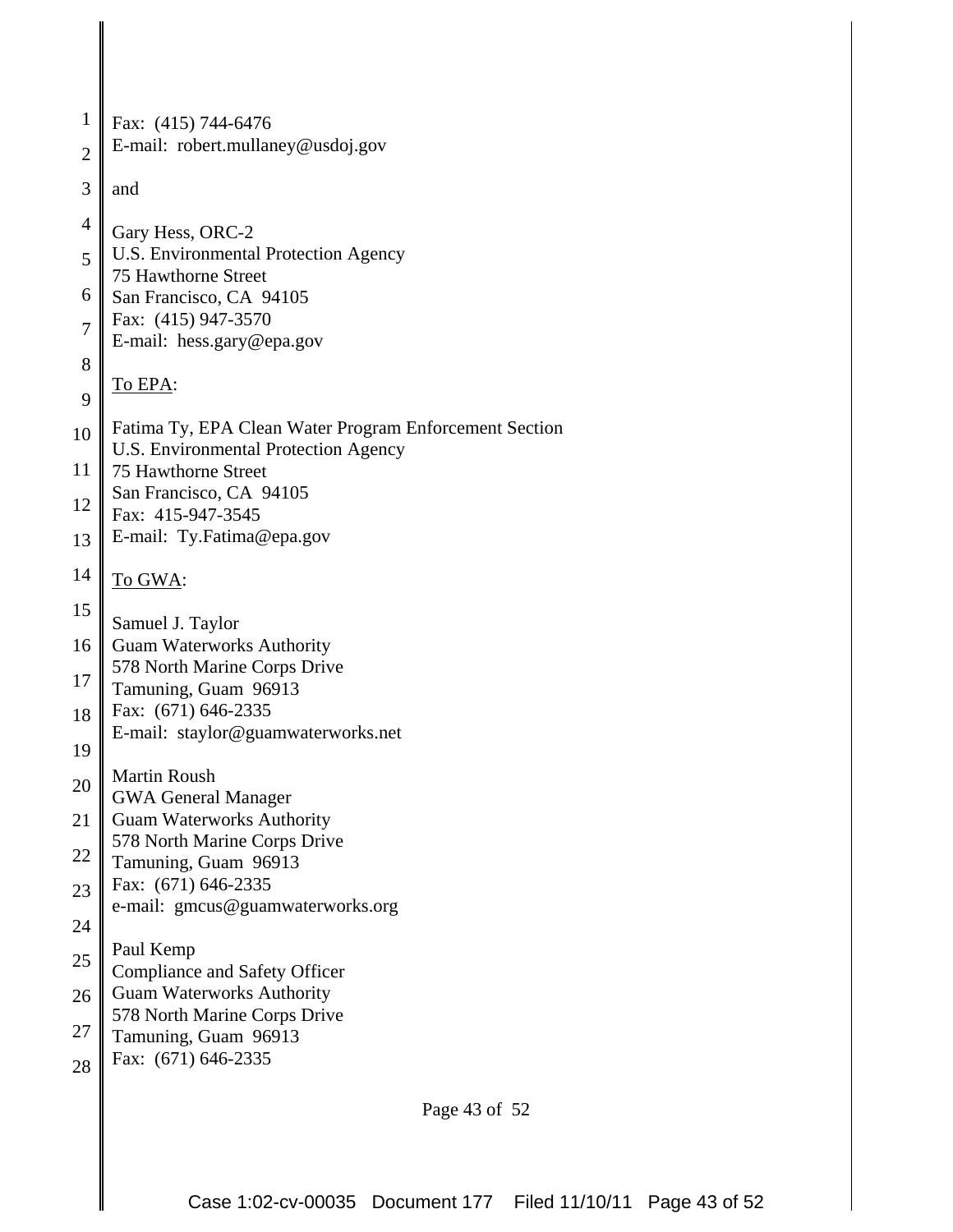| 1              | Fax: (415) 744-6476                                                                            |
|----------------|------------------------------------------------------------------------------------------------|
| $\overline{2}$ | E-mail: robert.mullaney@usdoj.gov                                                              |
| 3              | and                                                                                            |
| $\overline{4}$ | Gary Hess, ORC-2                                                                               |
| 5              | U.S. Environmental Protection Agency<br>75 Hawthorne Street                                    |
| 6              | San Francisco, CA 94105                                                                        |
| $\overline{7}$ | Fax: (415) 947-3570<br>E-mail: hess.gary@epa.gov                                               |
| 8              |                                                                                                |
| 9              | To EPA:                                                                                        |
| 10             | Fatima Ty, EPA Clean Water Program Enforcement Section<br>U.S. Environmental Protection Agency |
| 11             | 75 Hawthorne Street                                                                            |
| 12             | San Francisco, CA 94105<br>Fax: 415-947-3545                                                   |
| 13             | E-mail: Ty.Fatima@epa.gov                                                                      |
| 14             | To GWA:                                                                                        |
| 15             | Samuel J. Taylor                                                                               |
| 16             | <b>Guam Waterworks Authority</b>                                                               |
| 17             | 578 North Marine Corps Drive<br>Tamuning, Guam 96913                                           |
| 18             | Fax: (671) 646-2335                                                                            |
| 19             | E-mail: staylor@guamwaterworks.net                                                             |
| 20             | <b>Martin Roush</b><br><b>GWA General Manager</b>                                              |
| 21             | <b>Guam Waterworks Authority</b>                                                               |
| 22             | 578 North Marine Corps Drive<br>Tamuning, Guam 96913                                           |
| 23             | Fax: (671) 646-2335                                                                            |
| 24             | e-mail: gmcus@guamwaterworks.org                                                               |
| 25             | Paul Kemp<br><b>Compliance and Safety Officer</b>                                              |
| 26             | <b>Guam Waterworks Authority</b>                                                               |
| 27             | 578 North Marine Corps Drive<br>Tamuning, Guam 96913                                           |
| 28             | Fax: (671) 646-2335                                                                            |
|                |                                                                                                |

Page 43 of 52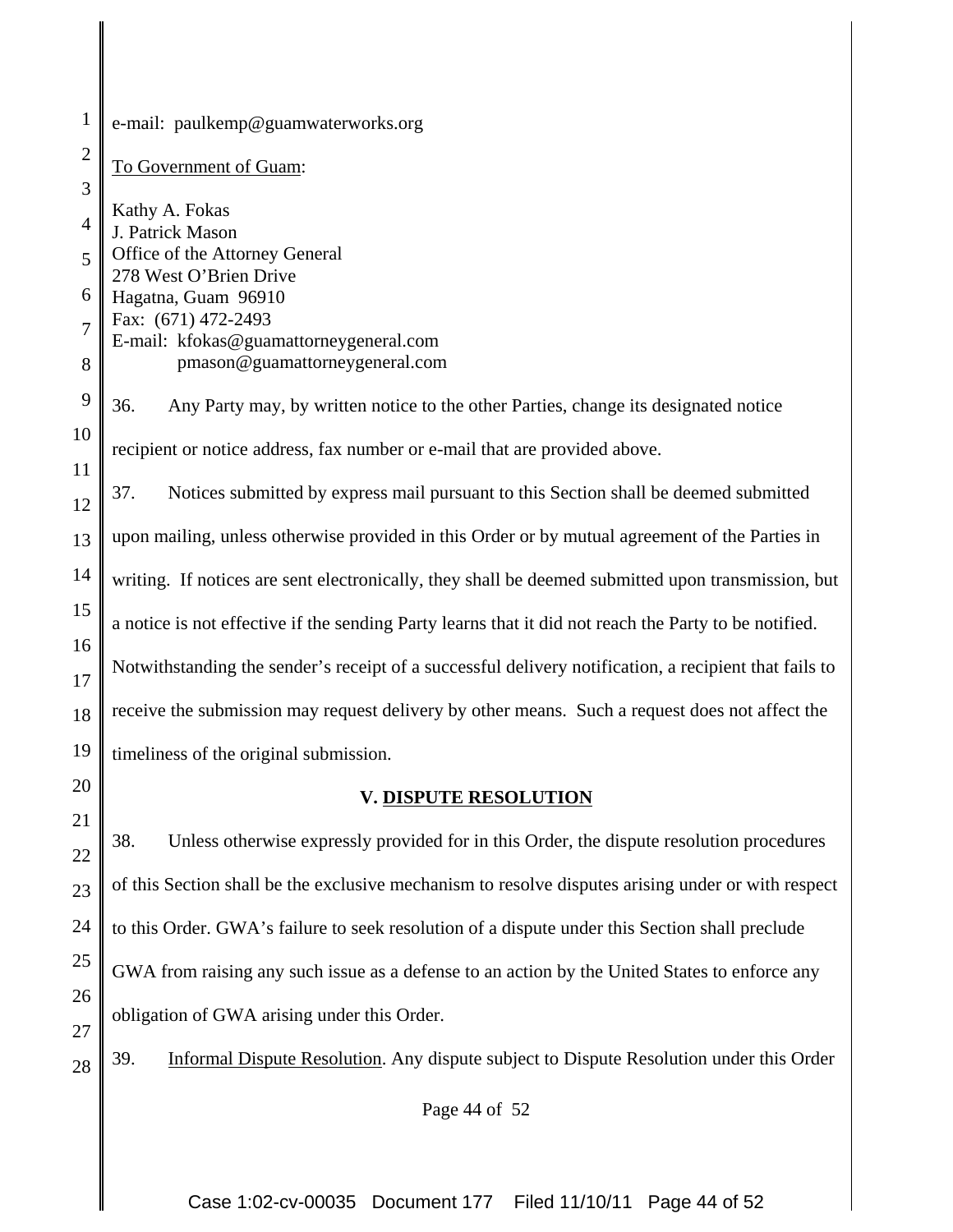| $\mathbf{1}$   | e-mail: paulkemp@guamwaterworks.org                                                                   |
|----------------|-------------------------------------------------------------------------------------------------------|
| $\overline{2}$ | To Government of Guam:                                                                                |
| 3              |                                                                                                       |
| $\overline{4}$ | Kathy A. Fokas<br>J. Patrick Mason                                                                    |
| 5              | Office of the Attorney General<br>278 West O'Brien Drive                                              |
| 6              | Hagatna, Guam 96910                                                                                   |
| $\overline{7}$ | Fax: (671) 472-2493                                                                                   |
| 8              | E-mail: kfokas@guamattorneygeneral.com<br>pmason@guamattorneygeneral.com                              |
|                |                                                                                                       |
| 9              | 36.<br>Any Party may, by written notice to the other Parties, change its designated notice            |
| 10             | recipient or notice address, fax number or e-mail that are provided above.                            |
| 11             |                                                                                                       |
| 12             | 37.<br>Notices submitted by express mail pursuant to this Section shall be deemed submitted           |
| 13             | upon mailing, unless otherwise provided in this Order or by mutual agreement of the Parties in        |
| 14             | writing. If notices are sent electronically, they shall be deemed submitted upon transmission, but    |
| 15             | a notice is not effective if the sending Party learns that it did not reach the Party to be notified. |
| 16             |                                                                                                       |
| 17             | Notwithstanding the sender's receipt of a successful delivery notification, a recipient that fails to |
| 18             | receive the submission may request delivery by other means. Such a request does not affect the        |
| 19             | timeliness of the original submission.                                                                |
| 20             | <b>V. DISPUTE RESOLUTION</b>                                                                          |
| 21             | 38.<br>Unless otherwise expressly provided for in this Order, the dispute resolution procedures       |
| 22             |                                                                                                       |
| 23             | of this Section shall be the exclusive mechanism to resolve disputes arising under or with respect    |
| 24             | to this Order. GWA's failure to seek resolution of a dispute under this Section shall preclude        |
| 25             | GWA from raising any such issue as a defense to an action by the United States to enforce any         |
| 26             |                                                                                                       |
| 27             | obligation of GWA arising under this Order.                                                           |
| 28             | Informal Dispute Resolution. Any dispute subject to Dispute Resolution under this Order<br>39.        |

Page 44 of 52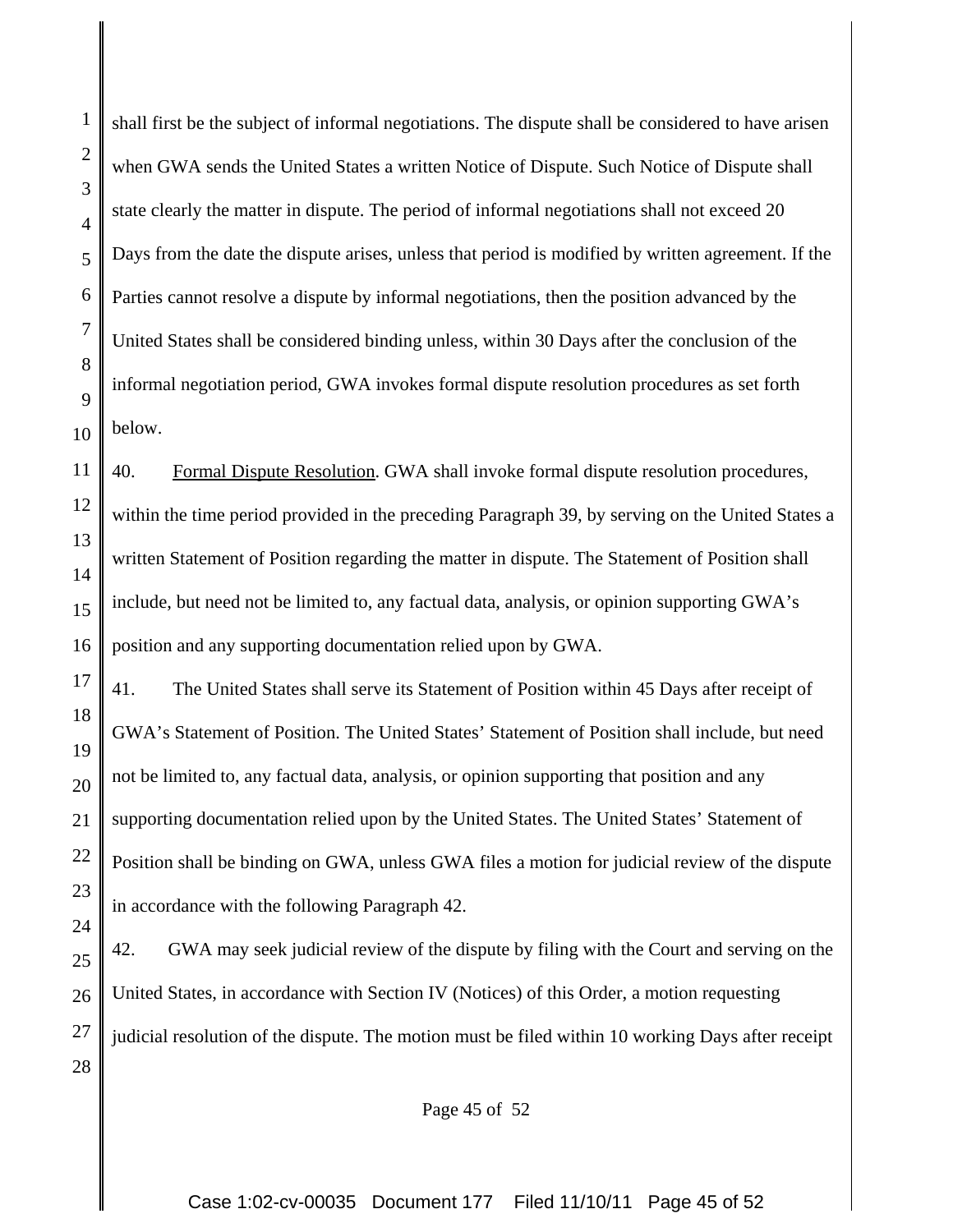1

2

shall first be the subject of informal negotiations. The dispute shall be considered to have arisen when GWA sends the United States a written Notice of Dispute. Such Notice of Dispute shall state clearly the matter in dispute. The period of informal negotiations shall not exceed 20 Days from the date the dispute arises, unless that period is modified by written agreement. If the Parties cannot resolve a dispute by informal negotiations, then the position advanced by the United States shall be considered binding unless, within 30 Days after the conclusion of the informal negotiation period, GWA invokes formal dispute resolution procedures as set forth below.

40. Formal Dispute Resolution. GWA shall invoke formal dispute resolution procedures, within the time period provided in the preceding Paragraph 39, by serving on the United States a written Statement of Position regarding the matter in dispute. The Statement of Position shall include, but need not be limited to, any factual data, analysis, or opinion supporting GWA's position and any supporting documentation relied upon by GWA.

41. The United States shall serve its Statement of Position within 45 Days after receipt of GWA's Statement of Position. The United States' Statement of Position shall include, but need not be limited to, any factual data, analysis, or opinion supporting that position and any supporting documentation relied upon by the United States. The United States' Statement of Position shall be binding on GWA, unless GWA files a motion for judicial review of the dispute in accordance with the following Paragraph 42.

42. GWA may seek judicial review of the dispute by filing with the Court and serving on the United States, in accordance with Section IV (Notices) of this Order, a motion requesting judicial resolution of the dispute. The motion must be filed within 10 working Days after receipt

Page 45 of 52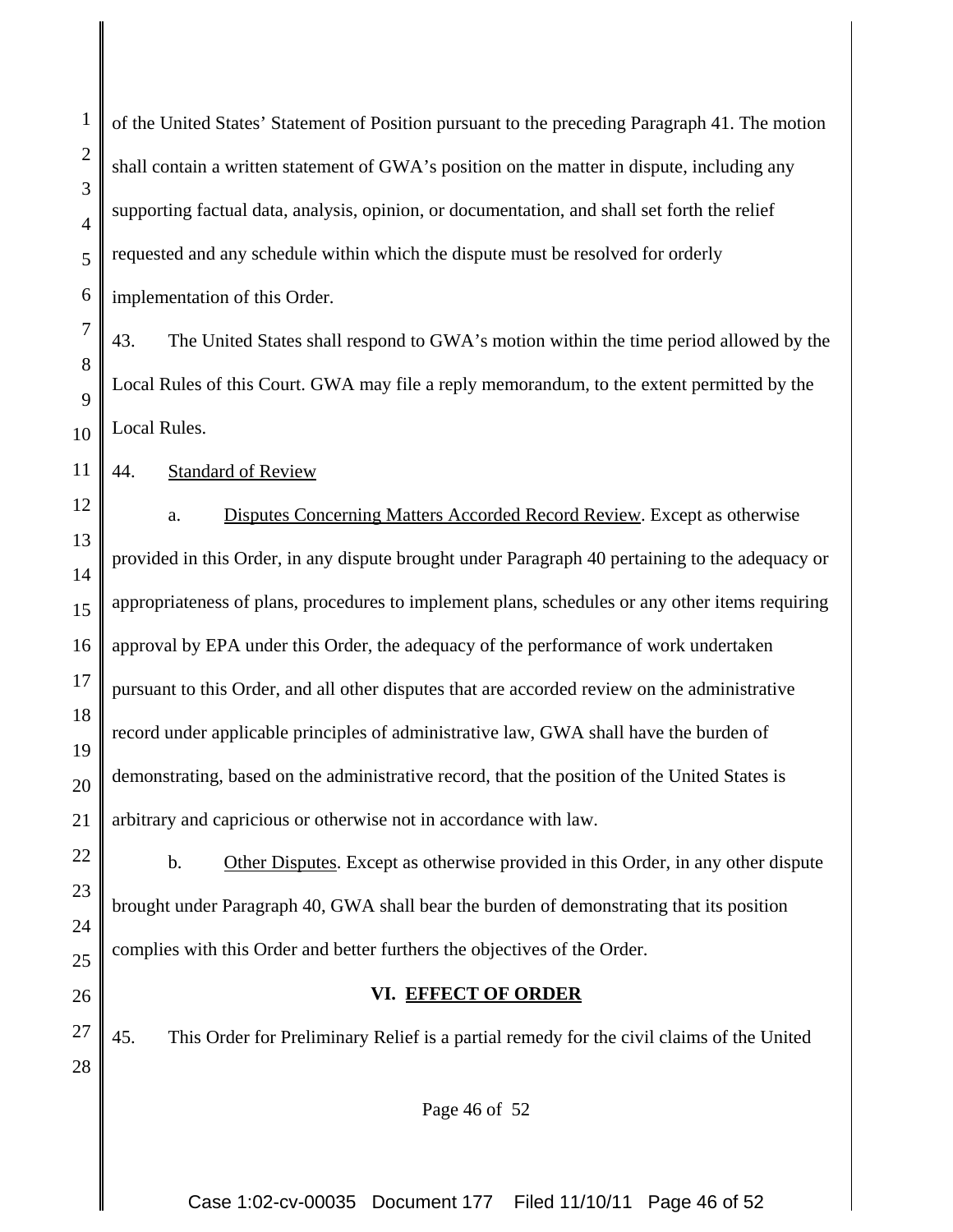of the United States' Statement of Position pursuant to the preceding Paragraph 41. The motion shall contain a written statement of GWA's position on the matter in dispute, including any supporting factual data, analysis, opinion, or documentation, and shall set forth the relief requested and any schedule within which the dispute must be resolved for orderly implementation of this Order.

7 8 9 10 43. The United States shall respond to GWA's motion within the time period allowed by the Local Rules of this Court. GWA may file a reply memorandum, to the extent permitted by the Local Rules.

11 44. Standard of Review

1

2

3

4

5

6

23

24

25

26

27

28

12 13 14 15 16 17 18 19 20 21 a. Disputes Concerning Matters Accorded Record Review. Except as otherwise provided in this Order, in any dispute brought under Paragraph 40 pertaining to the adequacy or appropriateness of plans, procedures to implement plans, schedules or any other items requiring approval by EPA under this Order, the adequacy of the performance of work undertaken pursuant to this Order, and all other disputes that are accorded review on the administrative record under applicable principles of administrative law, GWA shall have the burden of demonstrating, based on the administrative record, that the position of the United States is arbitrary and capricious or otherwise not in accordance with law.

22 b. Other Disputes. Except as otherwise provided in this Order, in any other dispute brought under Paragraph 40, GWA shall bear the burden of demonstrating that its position complies with this Order and better furthers the objectives of the Order.

#### **VI. EFFECT OF ORDER**

45. This Order for Preliminary Relief is a partial remedy for the civil claims of the United

Page 46 of 52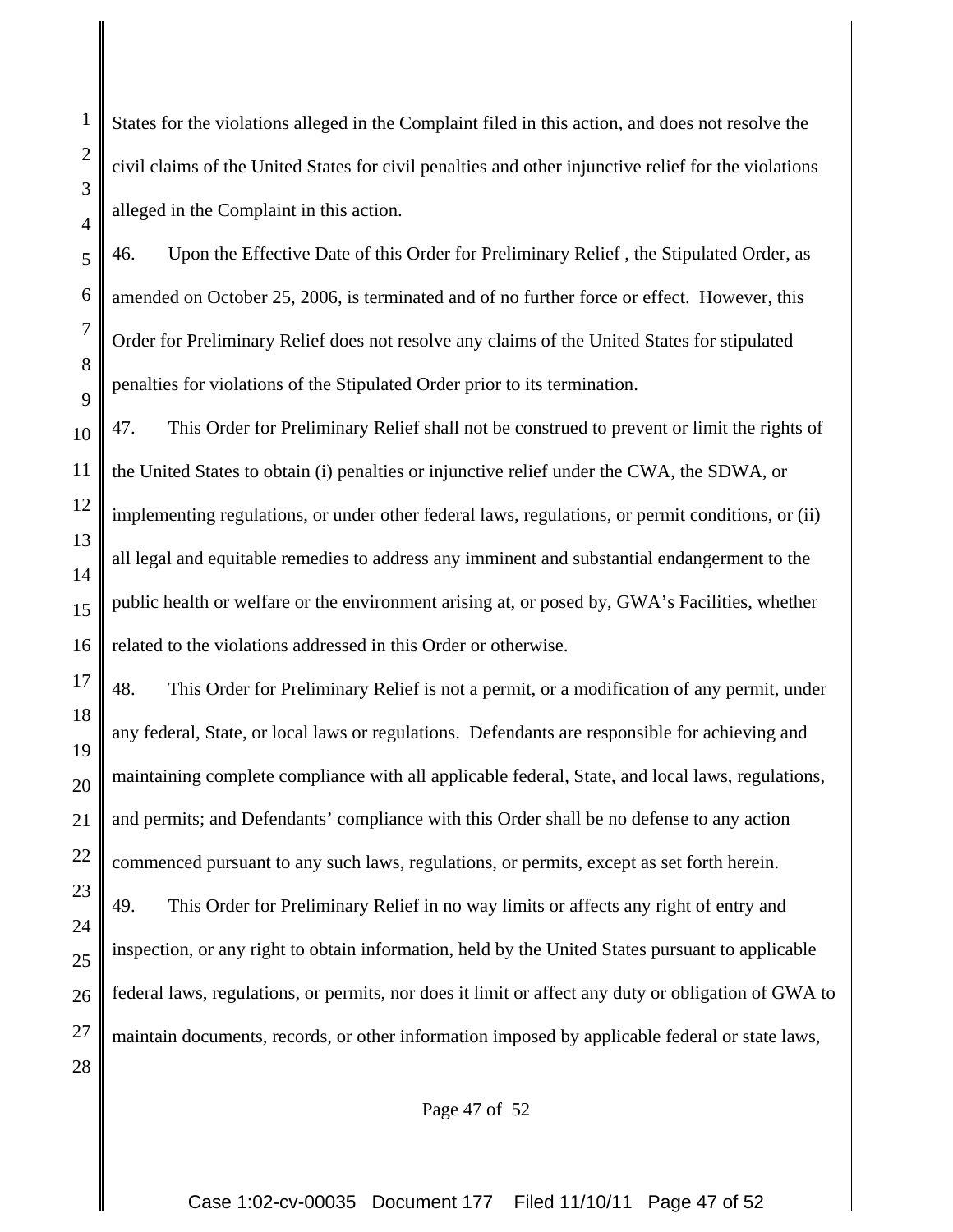States for the violations alleged in the Complaint filed in this action, and does not resolve the civil claims of the United States for civil penalties and other injunctive relief for the violations alleged in the Complaint in this action.

46. Upon the Effective Date of this Order for Preliminary Relief , the Stipulated Order, as amended on October 25, 2006, is terminated and of no further force or effect. However, this Order for Preliminary Relief does not resolve any claims of the United States for stipulated penalties for violations of the Stipulated Order prior to its termination.

47. This Order for Preliminary Relief shall not be construed to prevent or limit the rights of the United States to obtain (i) penalties or injunctive relief under the CWA, the SDWA, or implementing regulations, or under other federal laws, regulations, or permit conditions, or (ii) all legal and equitable remedies to address any imminent and substantial endangerment to the public health or welfare or the environment arising at, or posed by, GWA's Facilities, whether related to the violations addressed in this Order or otherwise.

48. This Order for Preliminary Relief is not a permit, or a modification of any permit, under any federal, State, or local laws or regulations. Defendants are responsible for achieving and maintaining complete compliance with all applicable federal, State, and local laws, regulations, and permits; and Defendants' compliance with this Order shall be no defense to any action commenced pursuant to any such laws, regulations, or permits, except as set forth herein. 49. This Order for Preliminary Relief in no way limits or affects any right of entry and inspection, or any right to obtain information, held by the United States pursuant to applicable federal laws, regulations, or permits, nor does it limit or affect any duty or obligation of GWA to maintain documents, records, or other information imposed by applicable federal or state laws,

Page 47 of 52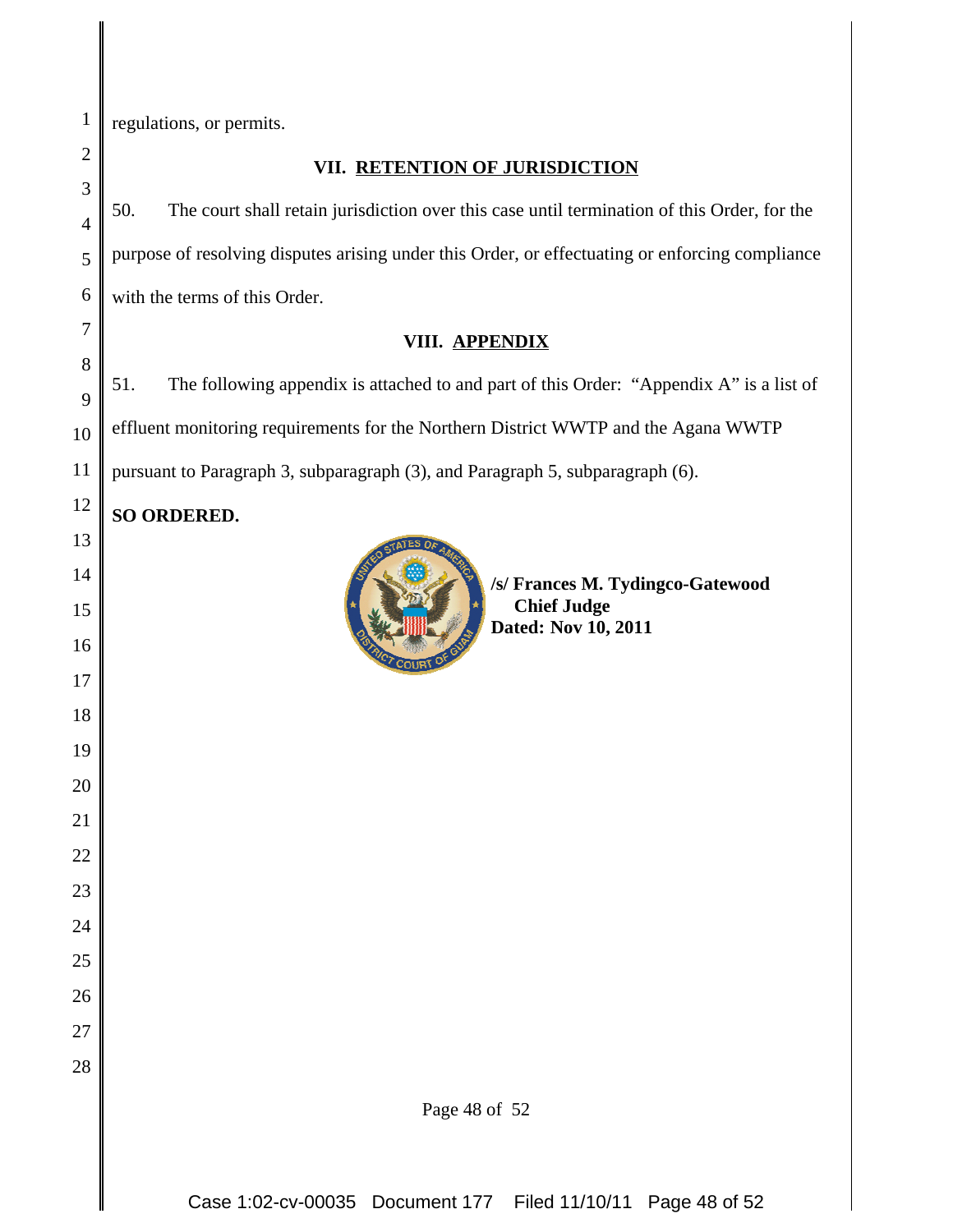regulations, or permits.

## **VII. RETENTION OF JURISDICTION** 50. The court shall retain jurisdiction over this case until termination of this Order, for the purpose of resolving disputes arising under this Order, or effectuating or enforcing compliance with the terms of this Order. **VIII. APPENDIX** 51. The following appendix is attached to and part of this Order: "Appendix A" is a list of effluent monitoring requirements for the Northern District WWTP and the Agana WWTP pursuant to Paragraph 3, subparagraph (3), and Paragraph 5, subparagraph (6). **SO ORDERED.** Page 48 of 52 **/s/ Frances M. Tydingco-Gatewood Chief Judge Dated: Nov 10, 2011**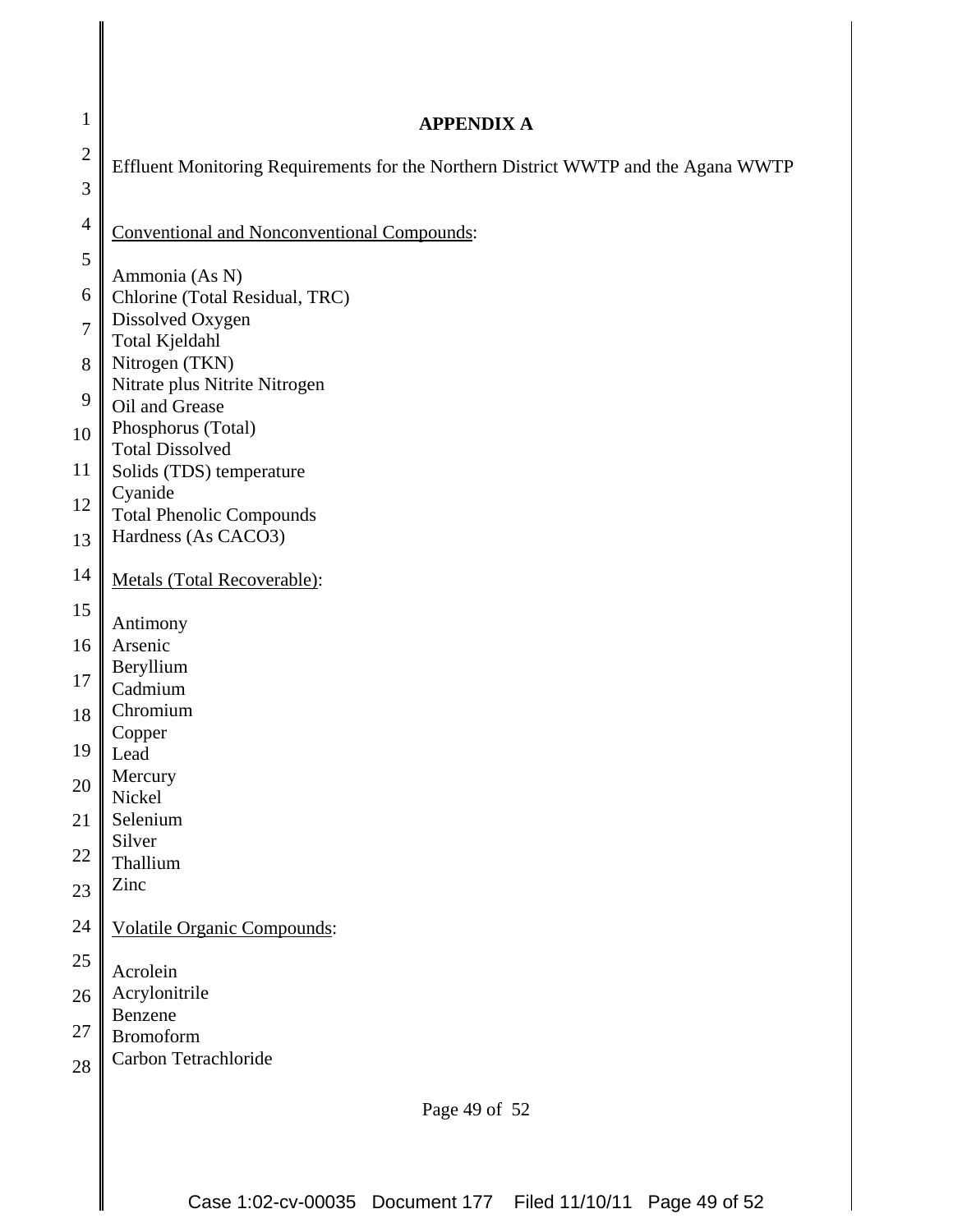| $\mathbf{1}$   | <b>APPENDIX A</b>                                                                  |
|----------------|------------------------------------------------------------------------------------|
| $\overline{2}$ | Effluent Monitoring Requirements for the Northern District WWTP and the Agana WWTP |
| 3              |                                                                                    |
| $\overline{4}$ | <b>Conventional and Nonconventional Compounds:</b>                                 |
| 5              | Ammonia (As N)                                                                     |
| 6              | Chlorine (Total Residual, TRC)                                                     |
| $\overline{7}$ | Dissolved Oxygen<br>Total Kjeldahl                                                 |
| 8              | Nitrogen (TKN)                                                                     |
| 9              | Nitrate plus Nitrite Nitrogen<br>Oil and Grease                                    |
| 10             | Phosphorus (Total)<br><b>Total Dissolved</b>                                       |
| 11             | Solids (TDS) temperature                                                           |
| 12             | Cyanide<br><b>Total Phenolic Compounds</b>                                         |
| 13             | Hardness (As CACO3)                                                                |
| 14             | Metals (Total Recoverable):                                                        |
| 15             | Antimony                                                                           |
| 16             | Arsenic                                                                            |
| 17             | Beryllium<br>Cadmium                                                               |
| 18             | Chromium                                                                           |
| 19             | Copper<br>Lead                                                                     |
| 20             | Mercury                                                                            |
| 21             | Nickel<br>Selenium                                                                 |
| 22             | Silver<br>Thallium                                                                 |
| 23             | Zinc                                                                               |
| 24             | <b>Volatile Organic Compounds:</b>                                                 |
| $25\,$         | Acrolein                                                                           |
| 26             | Acrylonitrile                                                                      |
| 27             | Benzene<br><b>Bromoform</b>                                                        |
| 28             | Carbon Tetrachloride                                                               |
|                | Page 49 of 52                                                                      |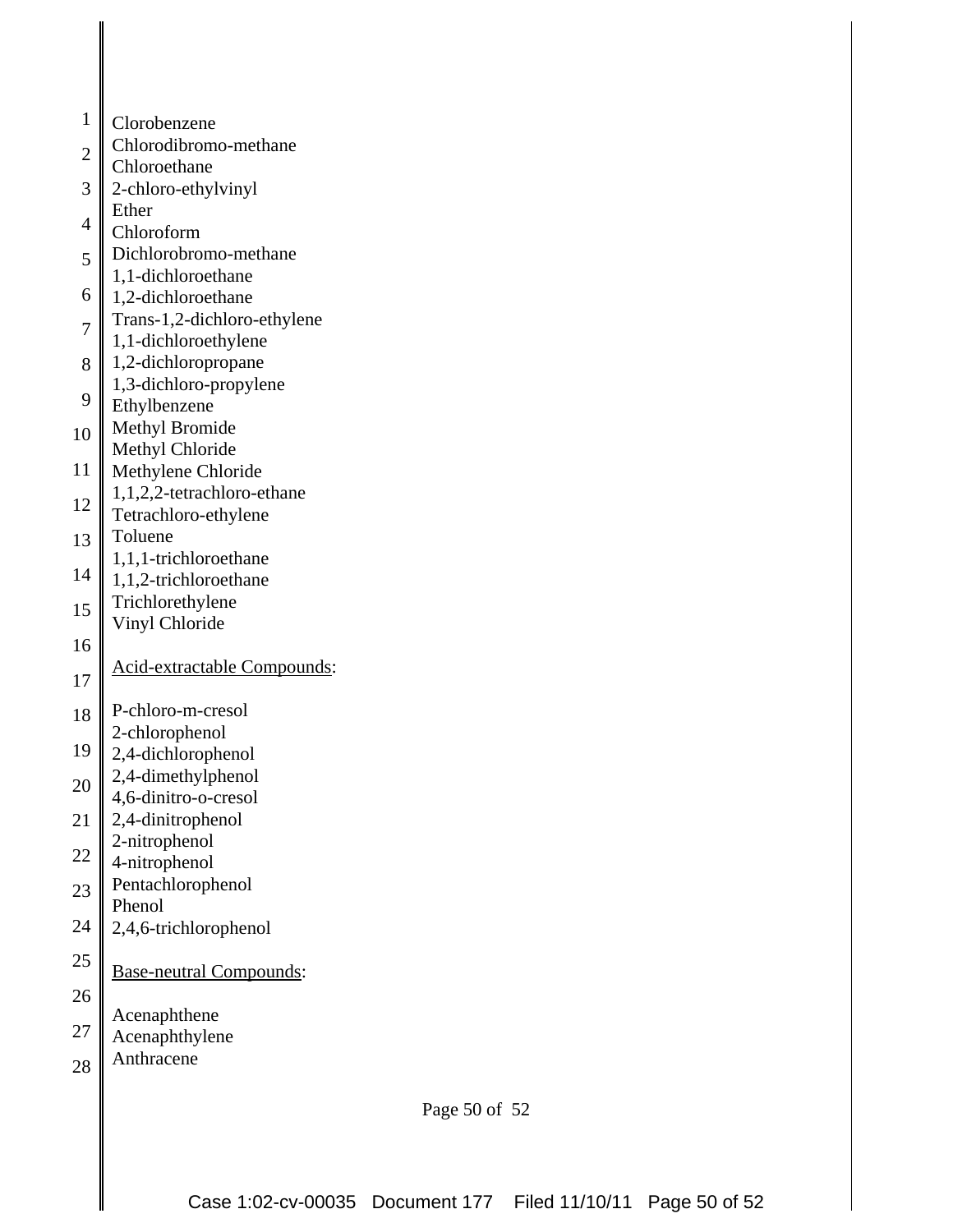| $\mathbf{1}$   | Clorobenzene                                |
|----------------|---------------------------------------------|
| $\overline{2}$ | Chlorodibromo-methane                       |
| 3              | Chloroethane<br>2-chloro-ethylvinyl         |
|                | Ether                                       |
| $\overline{4}$ | Chloroform                                  |
| 5              | Dichlorobromo-methane<br>1,1-dichloroethane |
| 6              | 1,2-dichloroethane                          |
| $\overline{7}$ | Trans-1,2-dichloro-ethylene                 |
|                | 1,1-dichloroethylene<br>1,2-dichloropropane |
| 8              | 1,3-dichloro-propylene                      |
| 9              | Ethylbenzene                                |
| 10             | <b>Methyl Bromide</b>                       |
| 11             | Methyl Chloride<br>Methylene Chloride       |
|                | 1,1,2,2-tetrachloro-ethane                  |
| 12             | Tetrachloro-ethylene                        |
| 13             | Toluene<br>1,1,1-trichloroethane            |
| 14             | 1,1,2-trichloroethane                       |
| 15             | Trichlorethylene                            |
| 16             | Vinyl Chloride                              |
|                | Acid-extractable Compounds:                 |
| 17             |                                             |
| 18             | P-chloro-m-cresol<br>2-chlorophenol         |
| 19             | 2,4-dichlorophenol                          |
| 20             | 2,4-dimethylphenol                          |
|                | 4,6-dinitro-o-cresol<br>2,4-dinitrophenol   |
| 21             | 2-nitrophenol                               |
| 22             | 4-nitrophenol                               |
| 23             | Pentachlorophenol                           |
| 24             | Phenol<br>2,4,6-trichlorophenol             |
| $25\,$         |                                             |
| 26             | <b>Base-neutral Compounds:</b>              |
| 27             | Acenaphthene                                |
|                | Acenaphthylene                              |

28 Anthracene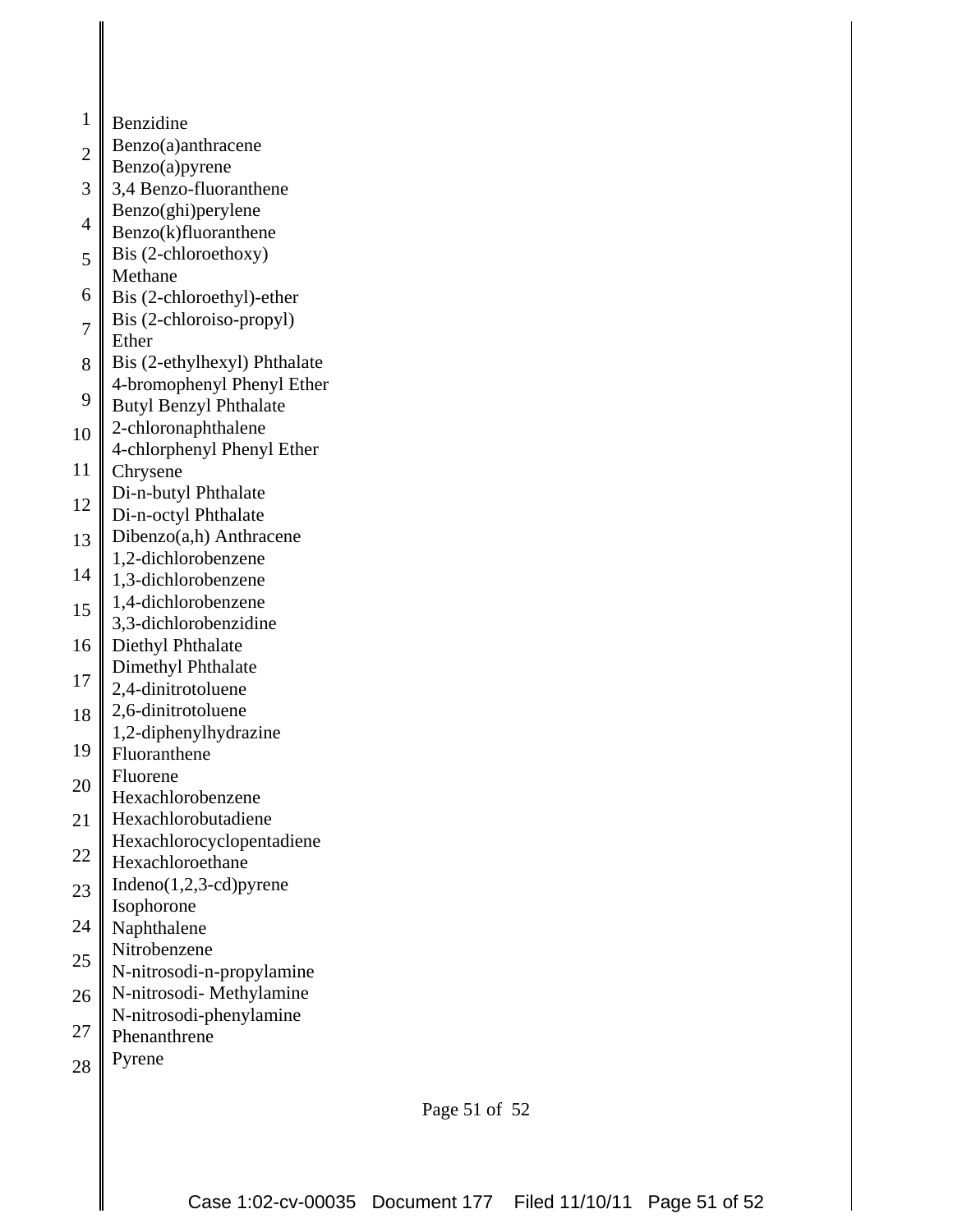- 1 Benzidine
- 2 Benzo(a)anthracene
- Benzo(a)pyrene
- 3 4 3,4 Benzo-fluoranthene Benzo(ghi)perylene
- Benzo(k)fluoranthene
- 5 Bis (2-chloroethoxy) Methane
- 6 Bis (2-chloroethyl)-ether
- 7 Bis (2-chloroiso-propyl) Ether
- 8 Bis (2-ethylhexyl) Phthalate 4-bromophenyl Phenyl Ether
- 9 Butyl Benzyl Phthalate
- 10 2-chloronaphthalene
- 4-chlorphenyl Phenyl Ether
- 11 Chrysene
- 12 Di-n-butyl Phthalate
- Di-n-octyl Phthalate
- 13 Dibenzo(a,h) Anthracene
- 14 1,2-dichlorobenzene
- 1,3-dichlorobenzene
- 15 1,4-dichlorobenzene
- 3,3-dichlorobenzidine
- 16 Diethyl Phthalate
- 17 Dimethyl Phthalate
- 2,4-dinitrotoluene
- 18 2,6-dinitrotoluene
- 19 1,2-diphenylhydrazine
- Fluoranthene Fluorene
- 20
- Hexachlorobenzene
- 21 Hexachlorobutadiene Hexachlorocyclopentadiene
- 22 Hexachloroethane
- 23 Indeno(1,2,3-cd)pyrene
- Isophorone
- 24 Naphthalene
- 25 Nitrobenzene
- N-nitrosodi-n-propylamine N-nitrosodi- Methylamine
- 26 N-nitrosodi-phenylamine
- 27 Phenanthrene
- Pyrene